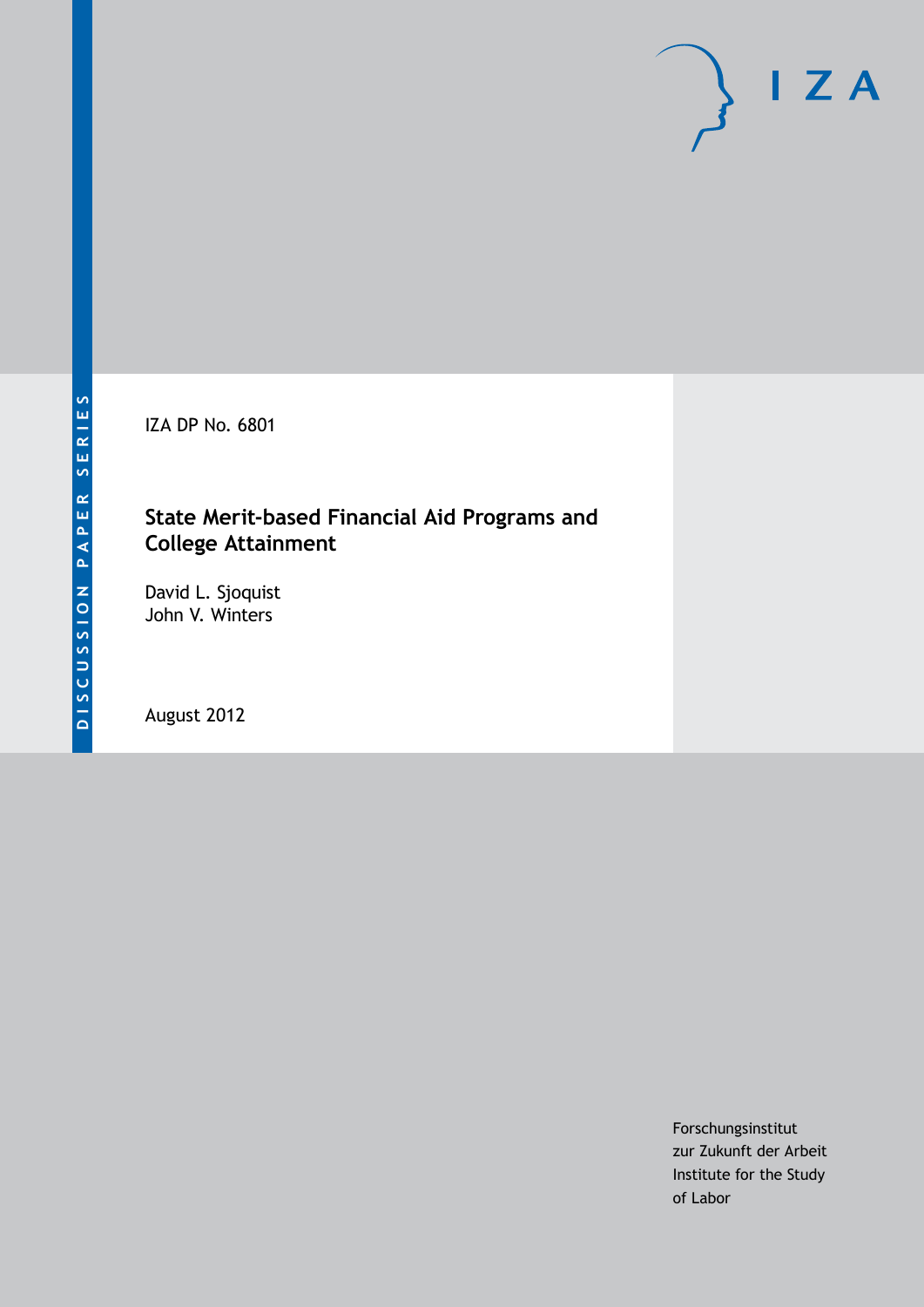IZA DP No. 6801

# **State Merit-based Financial Aid Programs and College Attainment**

David L. Sjoquist John V. Winters

August 2012

Forschungsinstitut zur Zukunft der Arbeit Institute for the Study of Labor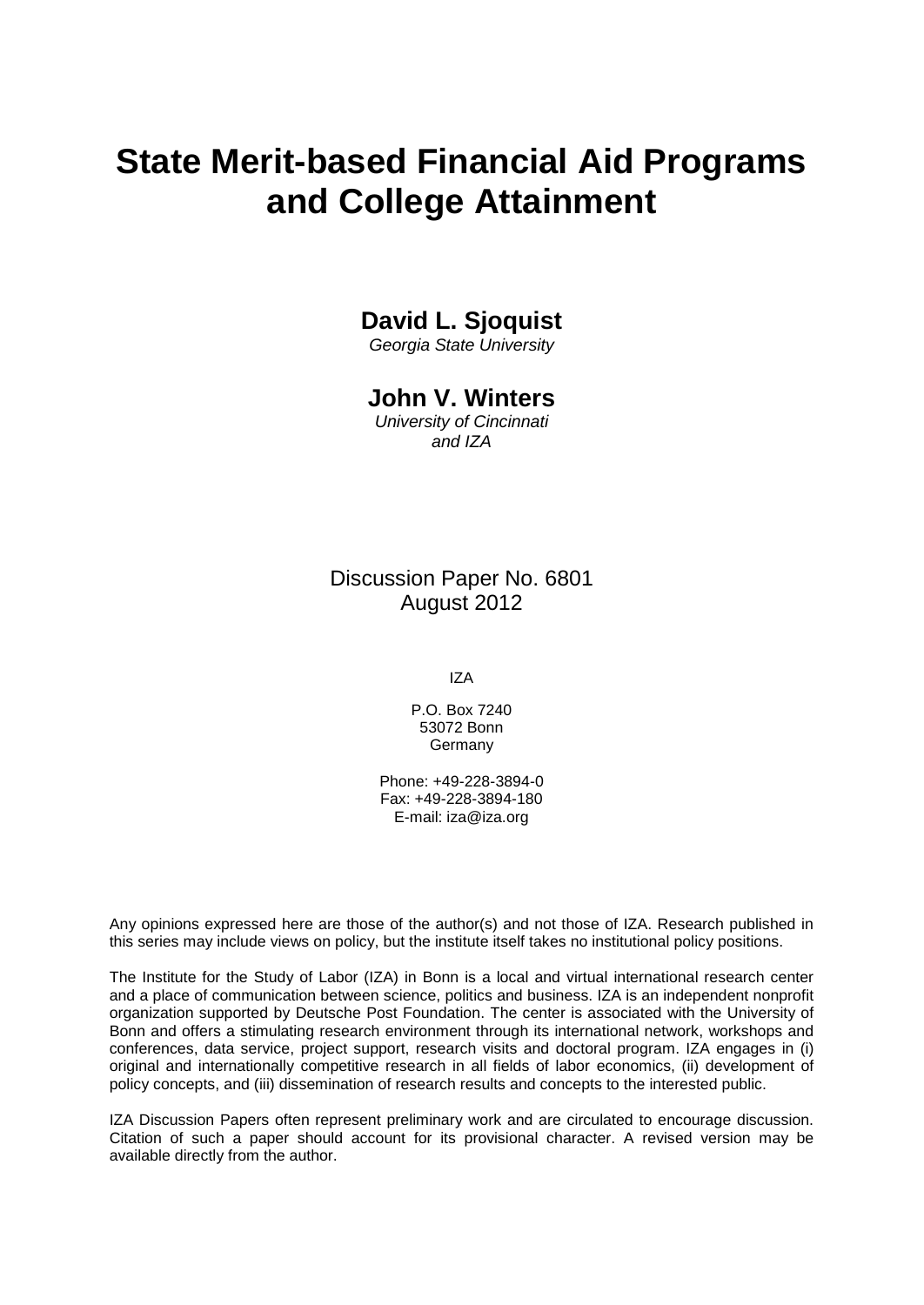# **State Merit-based Financial Aid Programs and College Attainment**

# **David L. Sjoquist**

*Georgia State University*

### **John V. Winters**

*University of Cincinnati and IZA*

Discussion Paper No. 6801 August 2012

IZA

P.O. Box 7240 53072 Bonn Germany

Phone: +49-228-3894-0 Fax: +49-228-3894-180 E-mail: [iza@iza.org](mailto:iza@iza.org)

Any opinions expressed here are those of the author(s) and not those of IZA. Research published in this series may include views on policy, but the institute itself takes no institutional policy positions.

The Institute for the Study of Labor (IZA) in Bonn is a local and virtual international research center and a place of communication between science, politics and business. IZA is an independent nonprofit organization supported by Deutsche Post Foundation. The center is associated with the University of Bonn and offers a stimulating research environment through its international network, workshops and conferences, data service, project support, research visits and doctoral program. IZA engages in (i) original and internationally competitive research in all fields of labor economics, (ii) development of policy concepts, and (iii) dissemination of research results and concepts to the interested public.

<span id="page-1-0"></span>IZA Discussion Papers often represent preliminary work and are circulated to encourage discussion. Citation of such a paper should account for its provisional character. A revised version may be available directly from the author.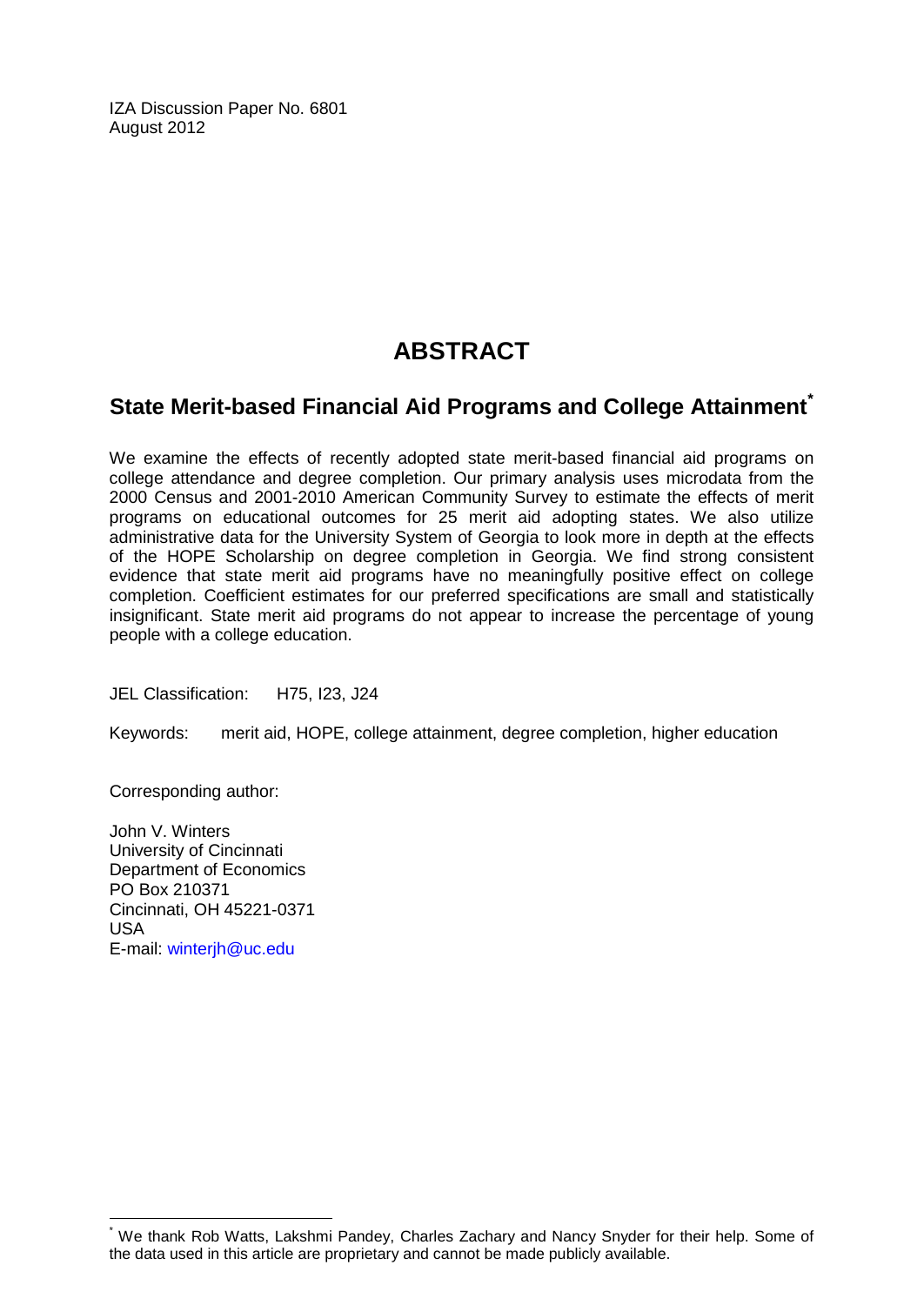IZA Discussion Paper No. 6801 August 2012

# **ABSTRACT**

# **State Merit-based Financial Aid Programs and College Attainment[\\*](#page-1-0)**

We examine the effects of recently adopted state merit-based financial aid programs on college attendance and degree completion. Our primary analysis uses microdata from the 2000 Census and 2001-2010 American Community Survey to estimate the effects of merit programs on educational outcomes for 25 merit aid adopting states. We also utilize administrative data for the University System of Georgia to look more in depth at the effects of the HOPE Scholarship on degree completion in Georgia. We find strong consistent evidence that state merit aid programs have no meaningfully positive effect on college completion. Coefficient estimates for our preferred specifications are small and statistically insignificant. State merit aid programs do not appear to increase the percentage of young people with a college education.

JEL Classification: H75, I23, J24

Keywords: merit aid, HOPE, college attainment, degree completion, higher education

Corresponding author:

John V. Winters University of Cincinnati Department of Economics PO Box 210371 Cincinnati, OH 45221-0371 USA E-mail: [winterjh@uc.edu](mailto:winterjh@uc.edu)

We thank Rob Watts, Lakshmi Pandey, Charles Zachary and Nancy Snyder for their help. Some of the data used in this article are proprietary and cannot be made publicly available.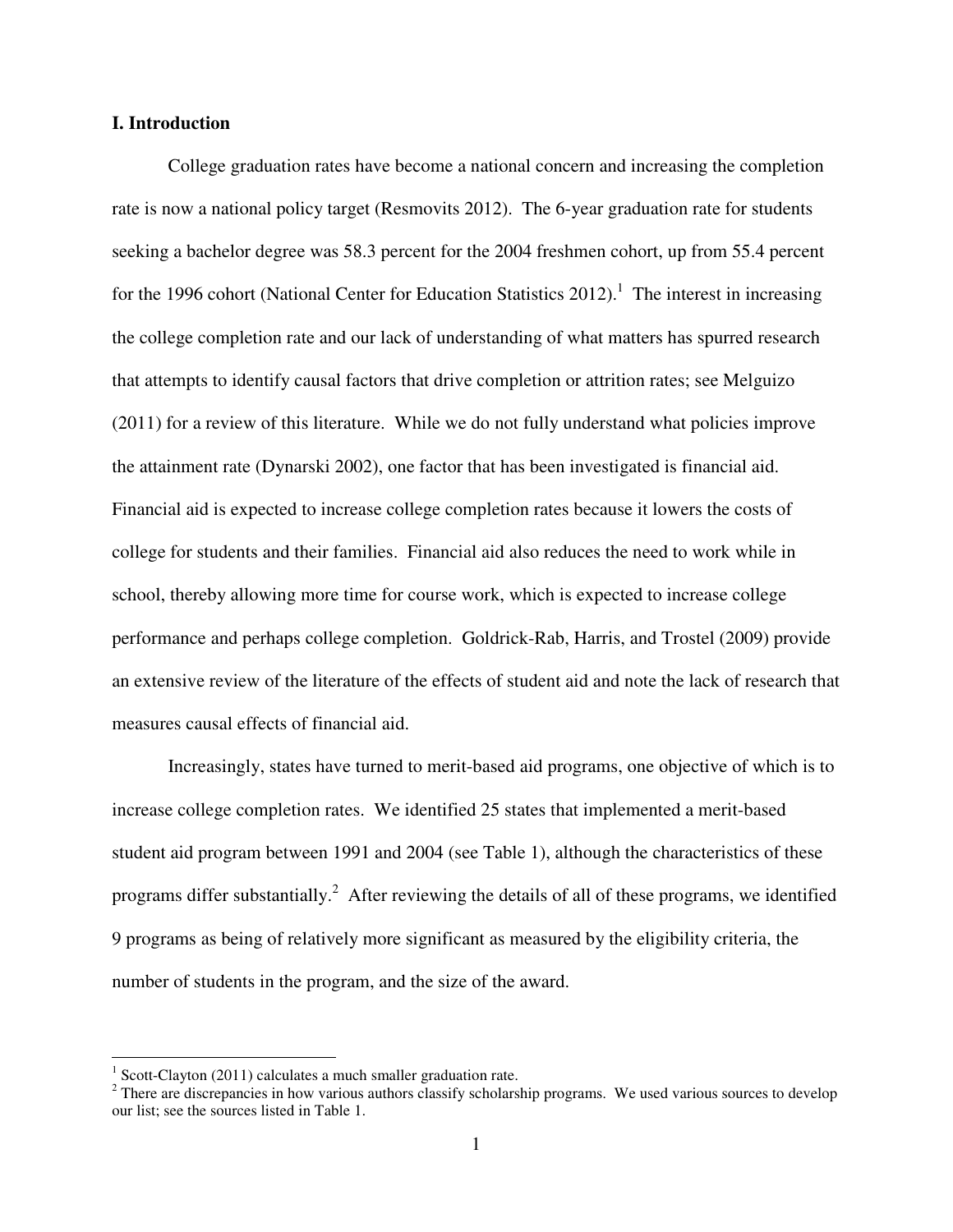#### **I. Introduction**

College graduation rates have become a national concern and increasing the completion rate is now a national policy target (Resmovits 2012). The 6-year graduation rate for students seeking a bachelor degree was 58.3 percent for the 2004 freshmen cohort, up from 55.4 percent for the 1996 cohort (National Center for Education Statistics  $2012$ ).<sup>1</sup> The interest in increasing the college completion rate and our lack of understanding of what matters has spurred research that attempts to identify causal factors that drive completion or attrition rates; see Melguizo (2011) for a review of this literature. While we do not fully understand what policies improve the attainment rate (Dynarski 2002), one factor that has been investigated is financial aid. Financial aid is expected to increase college completion rates because it lowers the costs of college for students and their families. Financial aid also reduces the need to work while in school, thereby allowing more time for course work, which is expected to increase college performance and perhaps college completion. Goldrick-Rab, Harris, and Trostel (2009) provide an extensive review of the literature of the effects of student aid and note the lack of research that measures causal effects of financial aid.

Increasingly, states have turned to merit-based aid programs, one objective of which is to increase college completion rates. We identified 25 states that implemented a merit-based student aid program between 1991 and 2004 (see Table 1), although the characteristics of these programs differ substantially.<sup>2</sup> After reviewing the details of all of these programs, we identified 9 programs as being of relatively more significant as measured by the eligibility criteria, the number of students in the program, and the size of the award.

 1 Scott-Clayton (2011) calculates a much smaller graduation rate.

 $2$  There are discrepancies in how various authors classify scholarship programs. We used various sources to develop our list; see the sources listed in Table 1.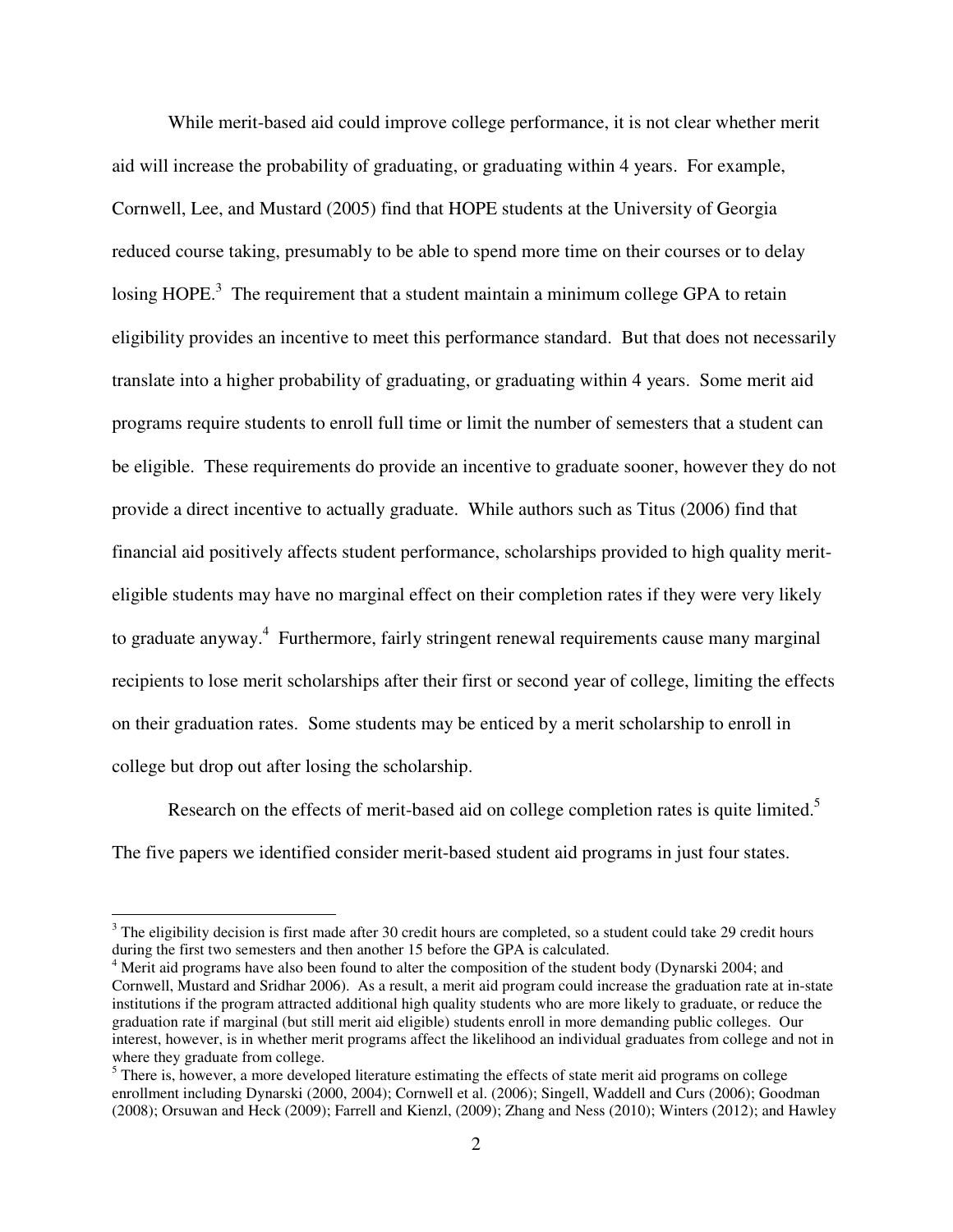While merit-based aid could improve college performance, it is not clear whether merit aid will increase the probability of graduating, or graduating within 4 years. For example, Cornwell, Lee, and Mustard (2005) find that HOPE students at the University of Georgia reduced course taking, presumably to be able to spend more time on their courses or to delay losing HOPE.<sup>3</sup> The requirement that a student maintain a minimum college GPA to retain eligibility provides an incentive to meet this performance standard. But that does not necessarily translate into a higher probability of graduating, or graduating within 4 years. Some merit aid programs require students to enroll full time or limit the number of semesters that a student can be eligible. These requirements do provide an incentive to graduate sooner, however they do not provide a direct incentive to actually graduate. While authors such as Titus (2006) find that financial aid positively affects student performance, scholarships provided to high quality meriteligible students may have no marginal effect on their completion rates if they were very likely to graduate anyway.<sup>4</sup> Furthermore, fairly stringent renewal requirements cause many marginal recipients to lose merit scholarships after their first or second year of college, limiting the effects on their graduation rates. Some students may be enticed by a merit scholarship to enroll in college but drop out after losing the scholarship.

Research on the effects of merit-based aid on college completion rates is quite limited.<sup>5</sup> The five papers we identified consider merit-based student aid programs in just four states.

 $\overline{a}$ 

 $3$  The eligibility decision is first made after 30 credit hours are completed, so a student could take 29 credit hours during the first two semesters and then another 15 before the GPA is calculated.

<sup>&</sup>lt;sup>4</sup> Merit aid programs have also been found to alter the composition of the student body (Dynarski 2004; and Cornwell, Mustard and Sridhar 2006). As a result, a merit aid program could increase the graduation rate at in-state institutions if the program attracted additional high quality students who are more likely to graduate, or reduce the graduation rate if marginal (but still merit aid eligible) students enroll in more demanding public colleges. Our interest, however, is in whether merit programs affect the likelihood an individual graduates from college and not in where they graduate from college.

<sup>&</sup>lt;sup>5</sup> There is, however, a more developed literature estimating the effects of state merit aid programs on college enrollment including Dynarski (2000, 2004); Cornwell et al. (2006); Singell, Waddell and Curs (2006); Goodman (2008); Orsuwan and Heck (2009); Farrell and Kienzl, (2009); Zhang and Ness (2010); Winters (2012); and Hawley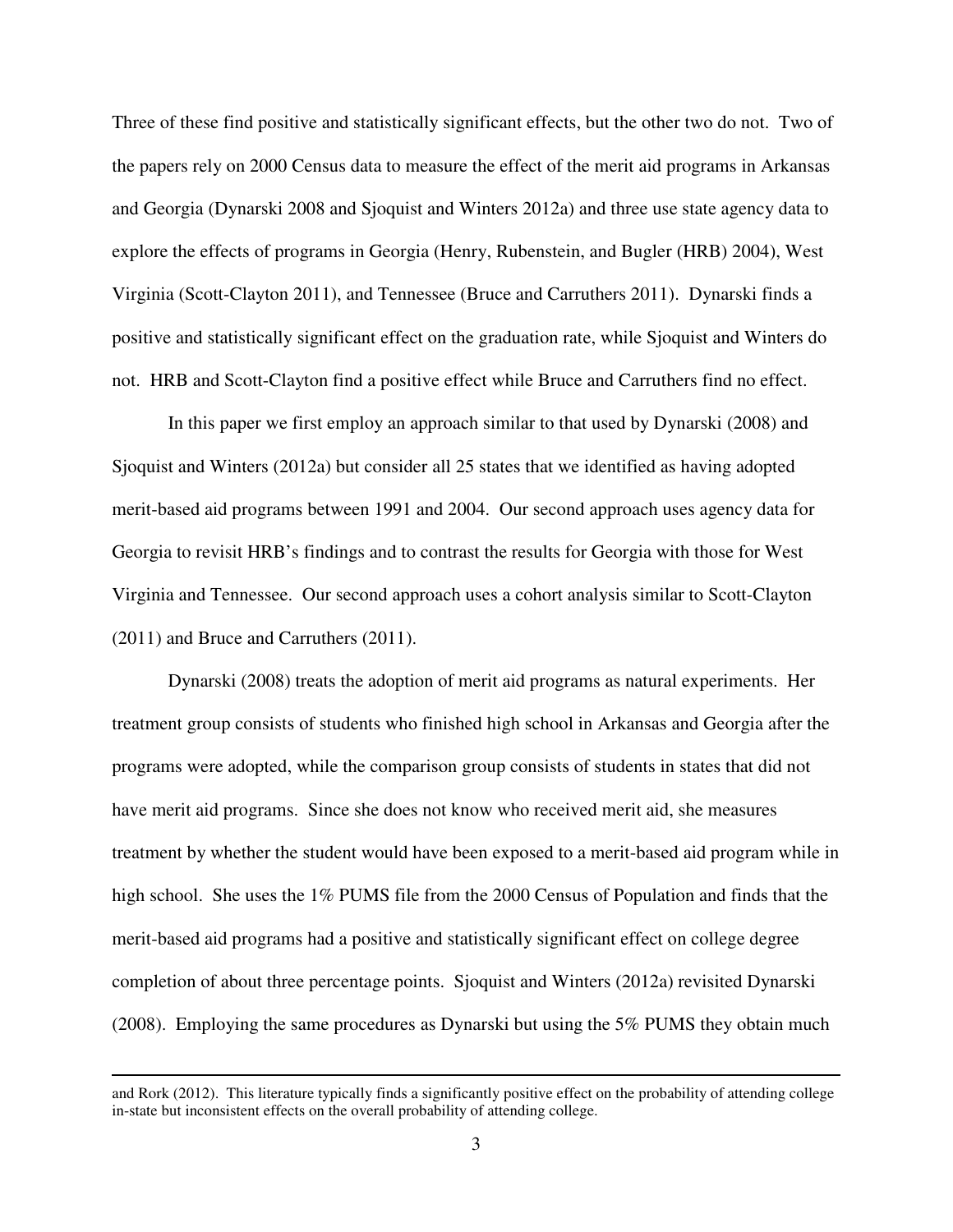Three of these find positive and statistically significant effects, but the other two do not. Two of the papers rely on 2000 Census data to measure the effect of the merit aid programs in Arkansas and Georgia (Dynarski 2008 and Sjoquist and Winters 2012a) and three use state agency data to explore the effects of programs in Georgia (Henry, Rubenstein, and Bugler (HRB) 2004), West Virginia (Scott-Clayton 2011), and Tennessee (Bruce and Carruthers 2011). Dynarski finds a positive and statistically significant effect on the graduation rate, while Sjoquist and Winters do not. HRB and Scott-Clayton find a positive effect while Bruce and Carruthers find no effect.

In this paper we first employ an approach similar to that used by Dynarski (2008) and Sjoquist and Winters (2012a) but consider all 25 states that we identified as having adopted merit-based aid programs between 1991 and 2004. Our second approach uses agency data for Georgia to revisit HRB's findings and to contrast the results for Georgia with those for West Virginia and Tennessee. Our second approach uses a cohort analysis similar to Scott-Clayton (2011) and Bruce and Carruthers (2011).

Dynarski (2008) treats the adoption of merit aid programs as natural experiments. Her treatment group consists of students who finished high school in Arkansas and Georgia after the programs were adopted, while the comparison group consists of students in states that did not have merit aid programs. Since she does not know who received merit aid, she measures treatment by whether the student would have been exposed to a merit-based aid program while in high school. She uses the 1% PUMS file from the 2000 Census of Population and finds that the merit-based aid programs had a positive and statistically significant effect on college degree completion of about three percentage points. Sjoquist and Winters (2012a) revisited Dynarski (2008). Employing the same procedures as Dynarski but using the 5% PUMS they obtain much

<u>.</u>

and Rork (2012). This literature typically finds a significantly positive effect on the probability of attending college in-state but inconsistent effects on the overall probability of attending college.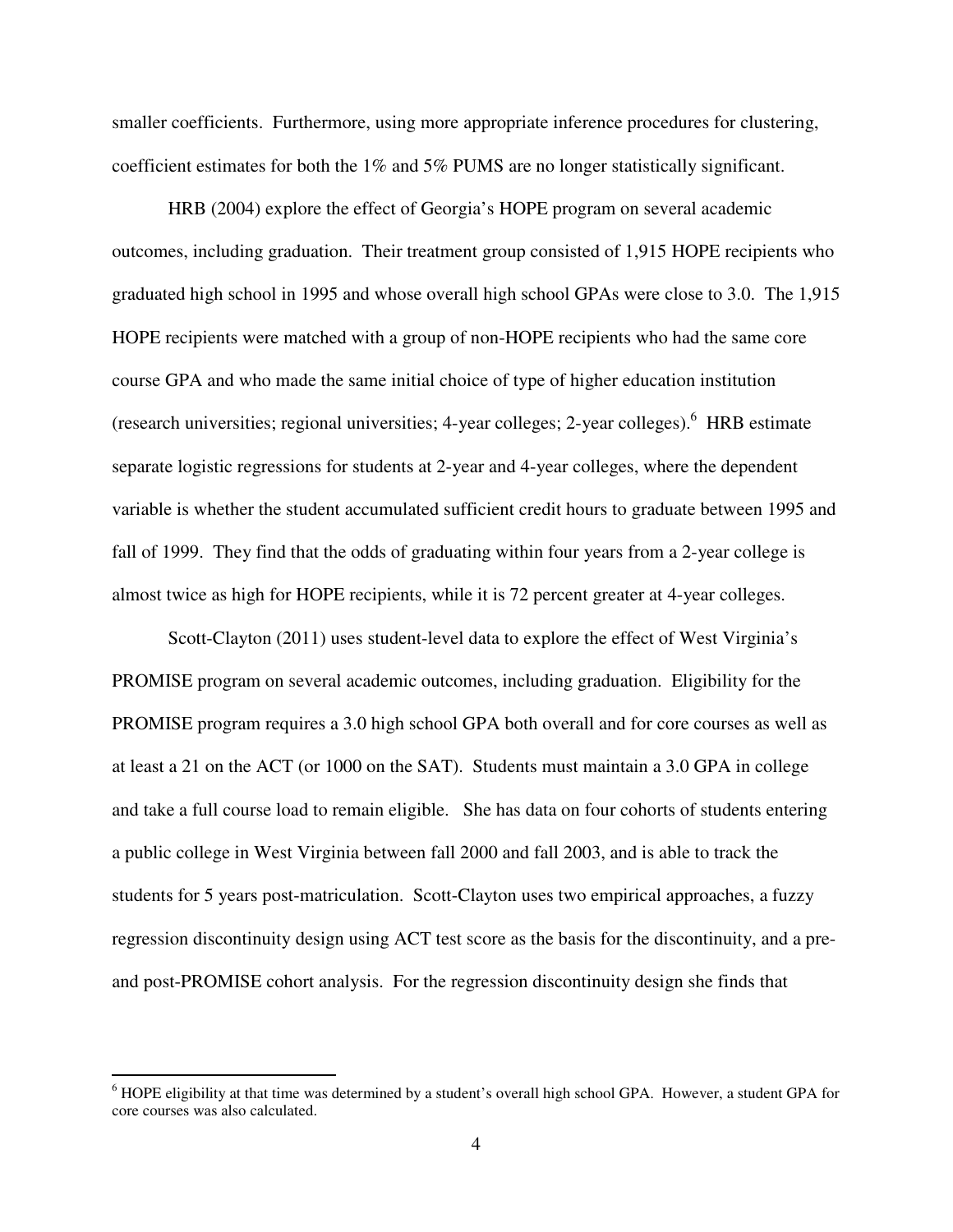smaller coefficients. Furthermore, using more appropriate inference procedures for clustering, coefficient estimates for both the 1% and 5% PUMS are no longer statistically significant.

HRB (2004) explore the effect of Georgia's HOPE program on several academic outcomes, including graduation. Their treatment group consisted of 1,915 HOPE recipients who graduated high school in 1995 and whose overall high school GPAs were close to 3.0. The 1,915 HOPE recipients were matched with a group of non-HOPE recipients who had the same core course GPA and who made the same initial choice of type of higher education institution (research universities; regional universities; 4-year colleges; 2-year colleges). <sup>6</sup> HRB estimate separate logistic regressions for students at 2-year and 4-year colleges, where the dependent variable is whether the student accumulated sufficient credit hours to graduate between 1995 and fall of 1999. They find that the odds of graduating within four years from a 2-year college is almost twice as high for HOPE recipients, while it is 72 percent greater at 4-year colleges.

Scott-Clayton (2011) uses student-level data to explore the effect of West Virginia's PROMISE program on several academic outcomes, including graduation. Eligibility for the PROMISE program requires a 3.0 high school GPA both overall and for core courses as well as at least a 21 on the ACT (or 1000 on the SAT). Students must maintain a 3.0 GPA in college and take a full course load to remain eligible. She has data on four cohorts of students entering a public college in West Virginia between fall 2000 and fall 2003, and is able to track the students for 5 years post-matriculation. Scott-Clayton uses two empirical approaches, a fuzzy regression discontinuity design using ACT test score as the basis for the discontinuity, and a preand post-PROMISE cohort analysis. For the regression discontinuity design she finds that

 $\overline{a}$ 

<sup>&</sup>lt;sup>6</sup> HOPE eligibility at that time was determined by a student's overall high school GPA. However, a student GPA for core courses was also calculated.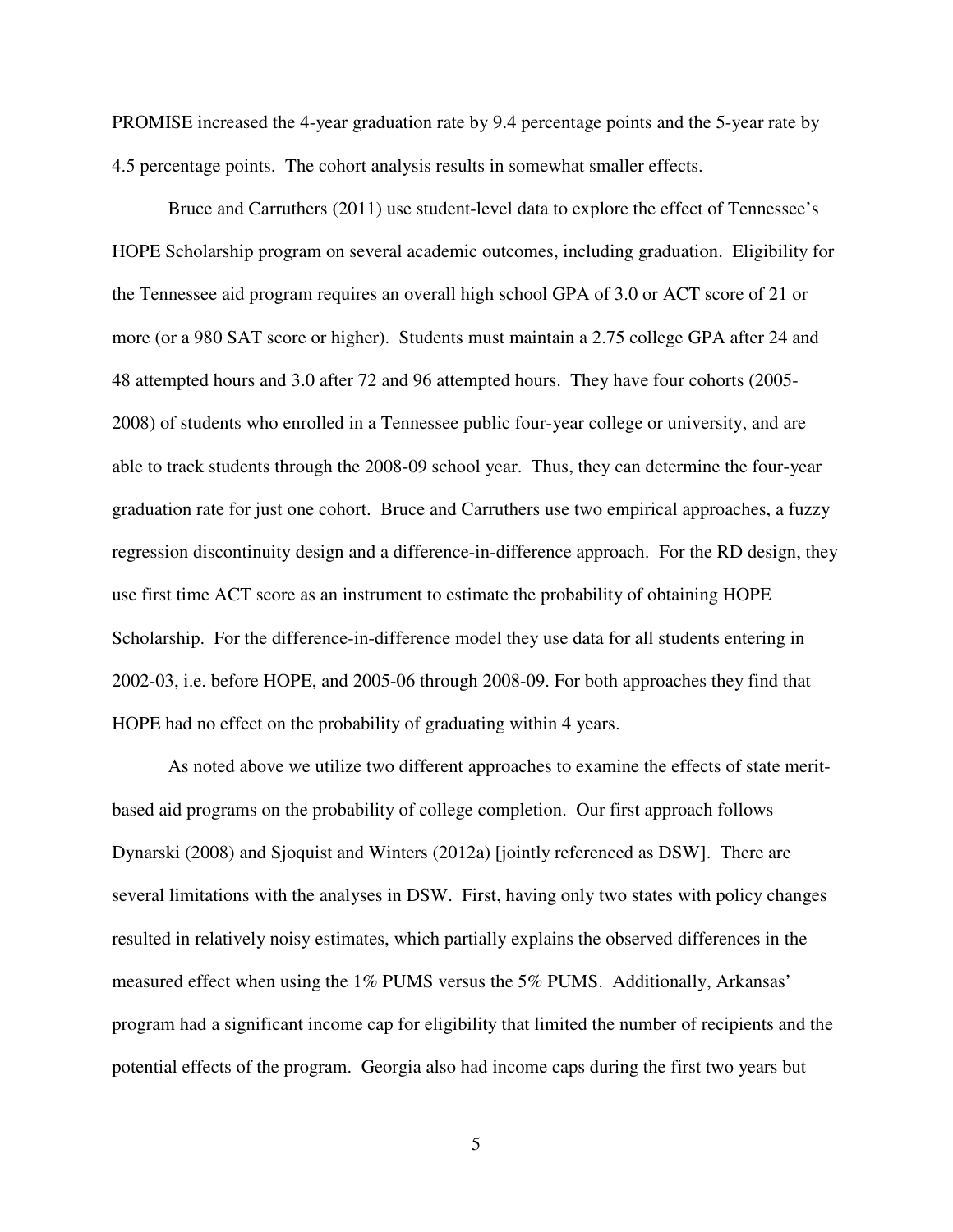PROMISE increased the 4-year graduation rate by 9.4 percentage points and the 5-year rate by 4.5 percentage points. The cohort analysis results in somewhat smaller effects.

Bruce and Carruthers (2011) use student-level data to explore the effect of Tennessee's HOPE Scholarship program on several academic outcomes, including graduation. Eligibility for the Tennessee aid program requires an overall high school GPA of 3.0 or ACT score of 21 or more (or a 980 SAT score or higher). Students must maintain a 2.75 college GPA after 24 and 48 attempted hours and 3.0 after 72 and 96 attempted hours. They have four cohorts (2005- 2008) of students who enrolled in a Tennessee public four-year college or university, and are able to track students through the 2008-09 school year. Thus, they can determine the four-year graduation rate for just one cohort. Bruce and Carruthers use two empirical approaches, a fuzzy regression discontinuity design and a difference-in-difference approach. For the RD design, they use first time ACT score as an instrument to estimate the probability of obtaining HOPE Scholarship. For the difference-in-difference model they use data for all students entering in 2002-03, i.e. before HOPE, and 2005-06 through 2008-09. For both approaches they find that HOPE had no effect on the probability of graduating within 4 years.

As noted above we utilize two different approaches to examine the effects of state meritbased aid programs on the probability of college completion. Our first approach follows Dynarski (2008) and Sjoquist and Winters (2012a) [jointly referenced as DSW]. There are several limitations with the analyses in DSW. First, having only two states with policy changes resulted in relatively noisy estimates, which partially explains the observed differences in the measured effect when using the 1% PUMS versus the 5% PUMS. Additionally, Arkansas' program had a significant income cap for eligibility that limited the number of recipients and the potential effects of the program. Georgia also had income caps during the first two years but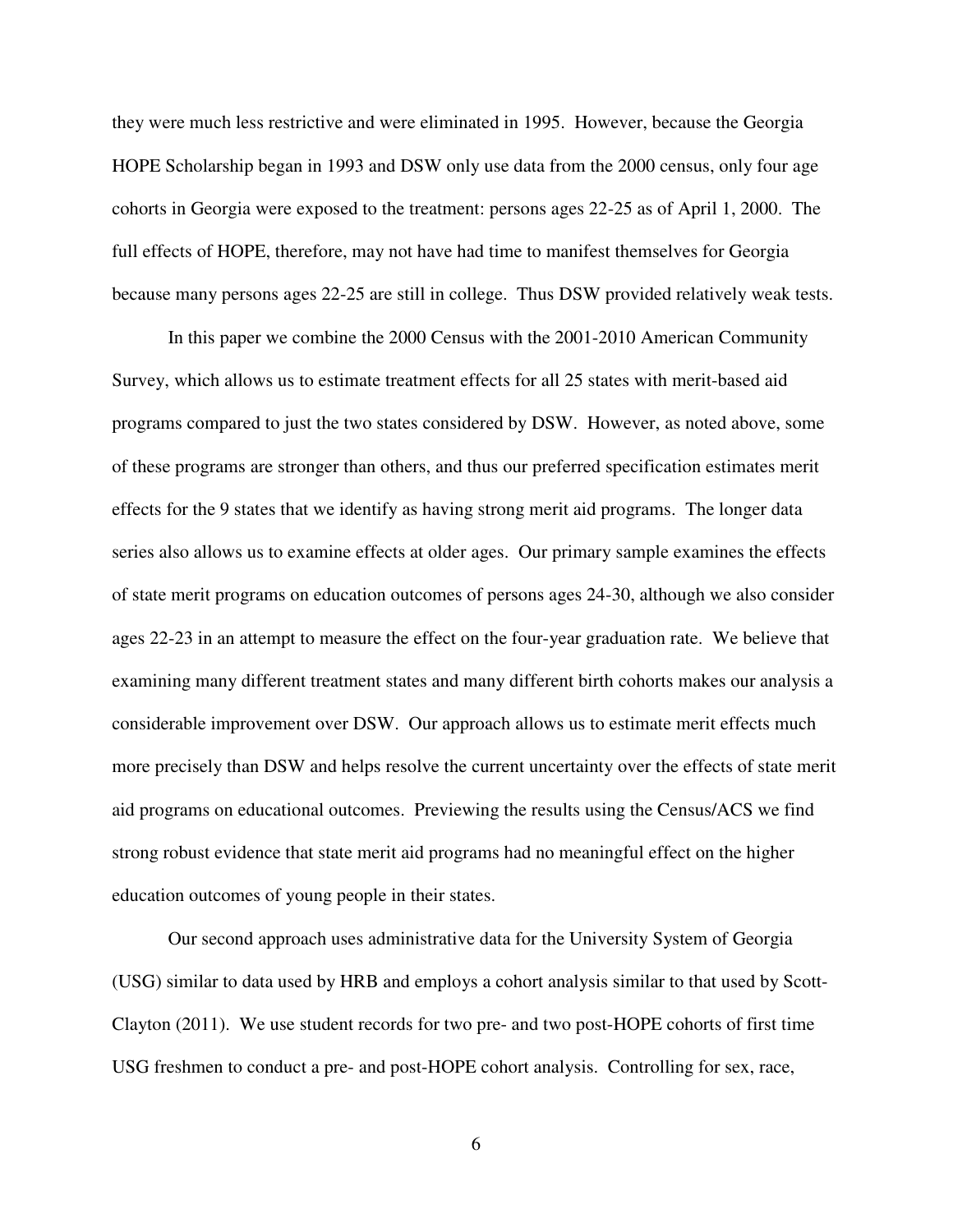they were much less restrictive and were eliminated in 1995. However, because the Georgia HOPE Scholarship began in 1993 and DSW only use data from the 2000 census, only four age cohorts in Georgia were exposed to the treatment: persons ages 22-25 as of April 1, 2000. The full effects of HOPE, therefore, may not have had time to manifest themselves for Georgia because many persons ages 22-25 are still in college. Thus DSW provided relatively weak tests.

In this paper we combine the 2000 Census with the 2001-2010 American Community Survey, which allows us to estimate treatment effects for all 25 states with merit-based aid programs compared to just the two states considered by DSW. However, as noted above, some of these programs are stronger than others, and thus our preferred specification estimates merit effects for the 9 states that we identify as having strong merit aid programs. The longer data series also allows us to examine effects at older ages. Our primary sample examines the effects of state merit programs on education outcomes of persons ages 24-30, although we also consider ages 22-23 in an attempt to measure the effect on the four-year graduation rate. We believe that examining many different treatment states and many different birth cohorts makes our analysis a considerable improvement over DSW. Our approach allows us to estimate merit effects much more precisely than DSW and helps resolve the current uncertainty over the effects of state merit aid programs on educational outcomes. Previewing the results using the Census/ACS we find strong robust evidence that state merit aid programs had no meaningful effect on the higher education outcomes of young people in their states.

Our second approach uses administrative data for the University System of Georgia (USG) similar to data used by HRB and employs a cohort analysis similar to that used by Scott-Clayton (2011). We use student records for two pre- and two post-HOPE cohorts of first time USG freshmen to conduct a pre- and post-HOPE cohort analysis. Controlling for sex, race,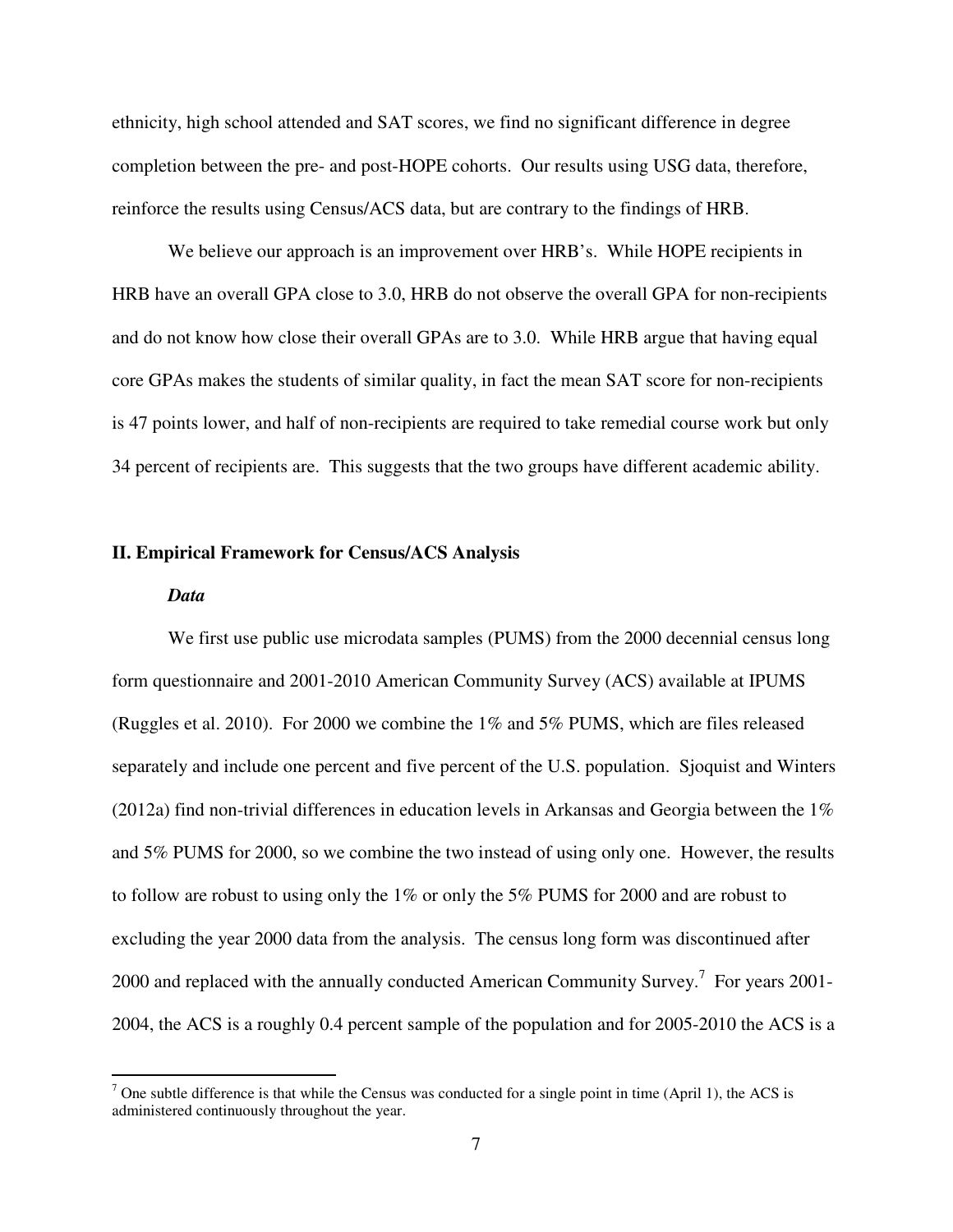ethnicity, high school attended and SAT scores, we find no significant difference in degree completion between the pre- and post-HOPE cohorts. Our results using USG data, therefore, reinforce the results using Census/ACS data, but are contrary to the findings of HRB.

We believe our approach is an improvement over HRB's. While HOPE recipients in HRB have an overall GPA close to 3.0, HRB do not observe the overall GPA for non-recipients and do not know how close their overall GPAs are to 3.0. While HRB argue that having equal core GPAs makes the students of similar quality, in fact the mean SAT score for non-recipients is 47 points lower, and half of non-recipients are required to take remedial course work but only 34 percent of recipients are. This suggests that the two groups have different academic ability.

#### **II. Empirical Framework for Census/ACS Analysis**

#### *Data*

We first use public use microdata samples (PUMS) from the 2000 decennial census long form questionnaire and 2001-2010 American Community Survey (ACS) available at IPUMS (Ruggles et al. 2010). For 2000 we combine the 1% and 5% PUMS, which are files released separately and include one percent and five percent of the U.S. population. Sjoquist and Winters (2012a) find non-trivial differences in education levels in Arkansas and Georgia between the  $1\%$ and 5% PUMS for 2000, so we combine the two instead of using only one. However, the results to follow are robust to using only the 1% or only the 5% PUMS for 2000 and are robust to excluding the year 2000 data from the analysis. The census long form was discontinued after 2000 and replaced with the annually conducted American Community Survey.<sup>7</sup> For years 2001-2004, the ACS is a roughly 0.4 percent sample of the population and for 2005-2010 the ACS is a

The subtle difference is that while the Census was conducted for a single point in time (April 1), the ACS is administered continuously throughout the year.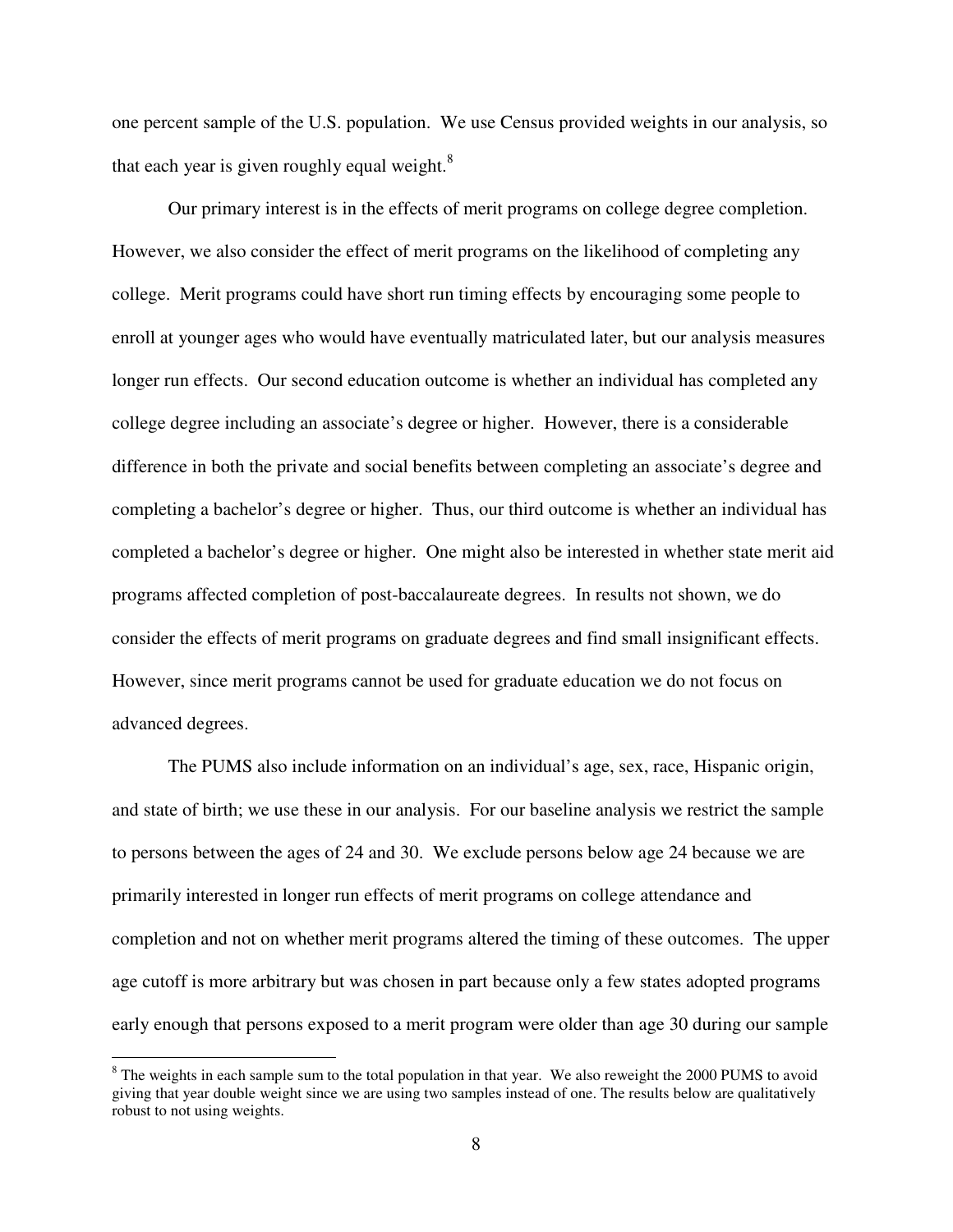one percent sample of the U.S. population. We use Census provided weights in our analysis, so that each year is given roughly equal weight. $8$ 

Our primary interest is in the effects of merit programs on college degree completion. However, we also consider the effect of merit programs on the likelihood of completing any college. Merit programs could have short run timing effects by encouraging some people to enroll at younger ages who would have eventually matriculated later, but our analysis measures longer run effects. Our second education outcome is whether an individual has completed any college degree including an associate's degree or higher. However, there is a considerable difference in both the private and social benefits between completing an associate's degree and completing a bachelor's degree or higher. Thus, our third outcome is whether an individual has completed a bachelor's degree or higher. One might also be interested in whether state merit aid programs affected completion of post-baccalaureate degrees. In results not shown, we do consider the effects of merit programs on graduate degrees and find small insignificant effects. However, since merit programs cannot be used for graduate education we do not focus on advanced degrees.

The PUMS also include information on an individual's age, sex, race, Hispanic origin, and state of birth; we use these in our analysis. For our baseline analysis we restrict the sample to persons between the ages of 24 and 30. We exclude persons below age 24 because we are primarily interested in longer run effects of merit programs on college attendance and completion and not on whether merit programs altered the timing of these outcomes. The upper age cutoff is more arbitrary but was chosen in part because only a few states adopted programs early enough that persons exposed to a merit program were older than age 30 during our sample

<u>.</u>

 $8$  The weights in each sample sum to the total population in that year. We also reweight the 2000 PUMS to avoid giving that year double weight since we are using two samples instead of one. The results below are qualitatively robust to not using weights.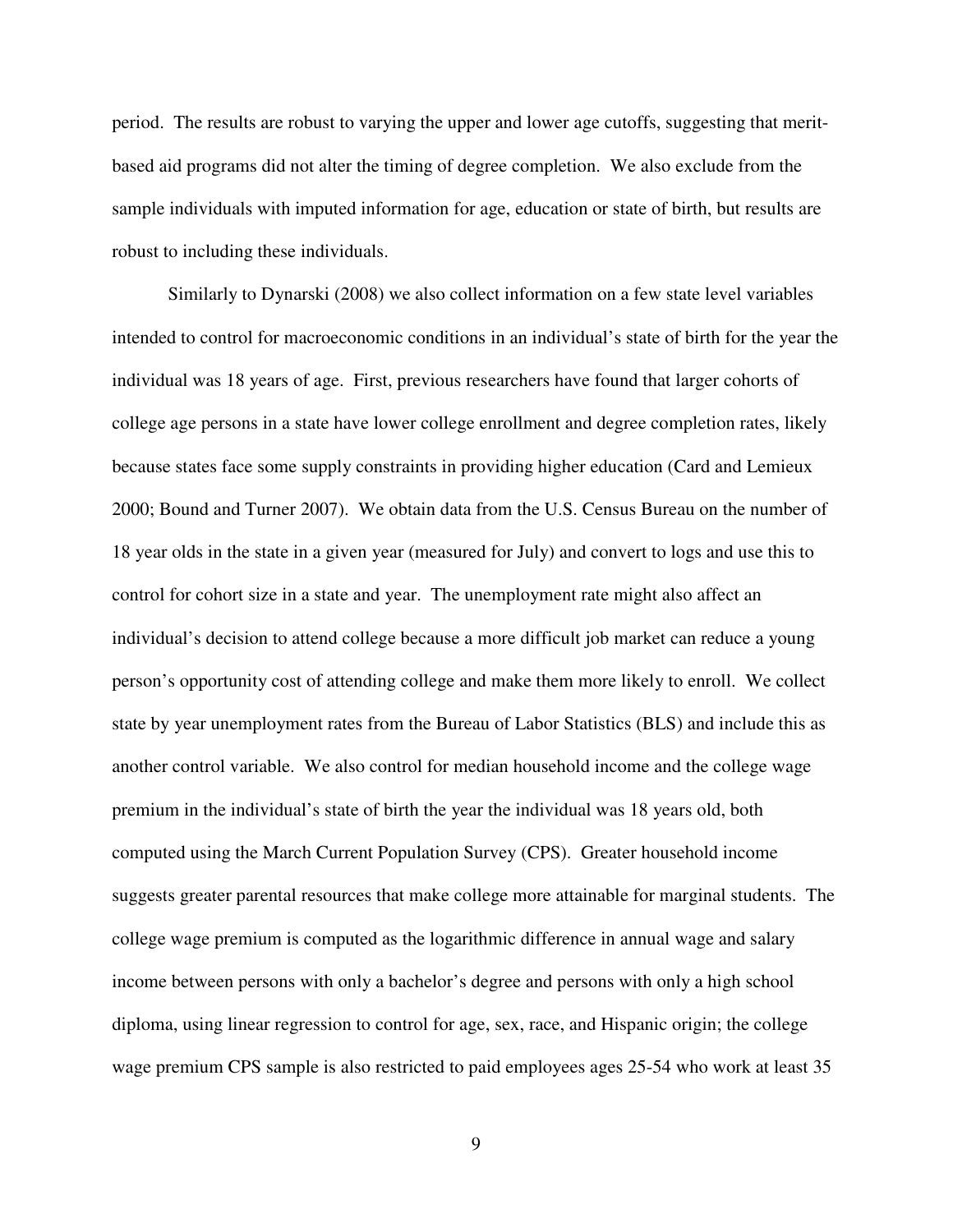period. The results are robust to varying the upper and lower age cutoffs, suggesting that meritbased aid programs did not alter the timing of degree completion. We also exclude from the sample individuals with imputed information for age, education or state of birth, but results are robust to including these individuals.

Similarly to Dynarski (2008) we also collect information on a few state level variables intended to control for macroeconomic conditions in an individual's state of birth for the year the individual was 18 years of age. First, previous researchers have found that larger cohorts of college age persons in a state have lower college enrollment and degree completion rates, likely because states face some supply constraints in providing higher education (Card and Lemieux 2000; Bound and Turner 2007). We obtain data from the U.S. Census Bureau on the number of 18 year olds in the state in a given year (measured for July) and convert to logs and use this to control for cohort size in a state and year. The unemployment rate might also affect an individual's decision to attend college because a more difficult job market can reduce a young person's opportunity cost of attending college and make them more likely to enroll. We collect state by year unemployment rates from the Bureau of Labor Statistics (BLS) and include this as another control variable. We also control for median household income and the college wage premium in the individual's state of birth the year the individual was 18 years old, both computed using the March Current Population Survey (CPS). Greater household income suggests greater parental resources that make college more attainable for marginal students. The college wage premium is computed as the logarithmic difference in annual wage and salary income between persons with only a bachelor's degree and persons with only a high school diploma, using linear regression to control for age, sex, race, and Hispanic origin; the college wage premium CPS sample is also restricted to paid employees ages 25-54 who work at least 35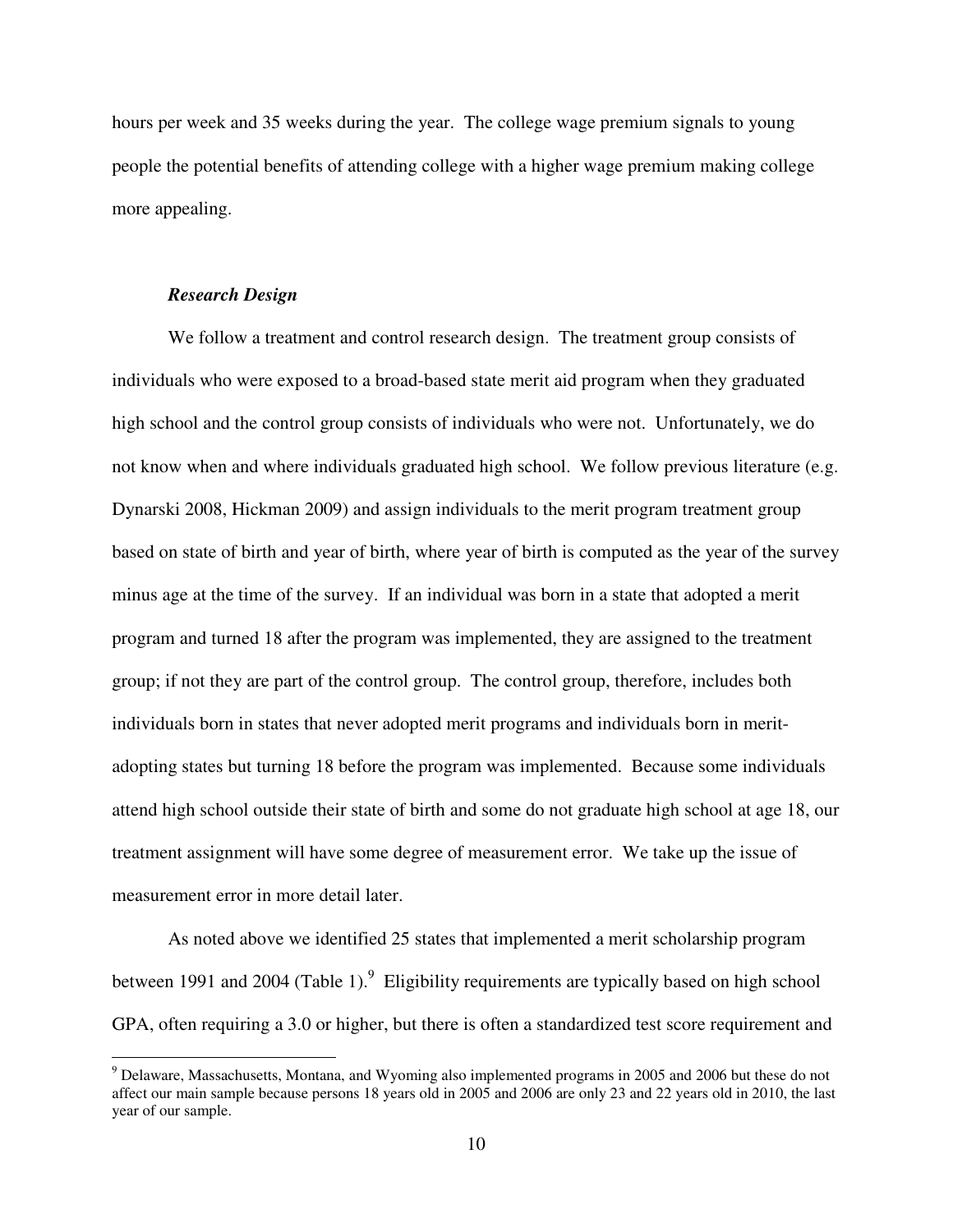hours per week and 35 weeks during the year. The college wage premium signals to young people the potential benefits of attending college with a higher wage premium making college more appealing.

#### *Research Design*

<u>.</u>

We follow a treatment and control research design. The treatment group consists of individuals who were exposed to a broad-based state merit aid program when they graduated high school and the control group consists of individuals who were not. Unfortunately, we do not know when and where individuals graduated high school. We follow previous literature (e.g. Dynarski 2008, Hickman 2009) and assign individuals to the merit program treatment group based on state of birth and year of birth, where year of birth is computed as the year of the survey minus age at the time of the survey. If an individual was born in a state that adopted a merit program and turned 18 after the program was implemented, they are assigned to the treatment group; if not they are part of the control group. The control group, therefore, includes both individuals born in states that never adopted merit programs and individuals born in meritadopting states but turning 18 before the program was implemented. Because some individuals attend high school outside their state of birth and some do not graduate high school at age 18, our treatment assignment will have some degree of measurement error. We take up the issue of measurement error in more detail later.

As noted above we identified 25 states that implemented a merit scholarship program between 1991 and 2004 (Table 1).  $9$  Eligibility requirements are typically based on high school GPA, often requiring a 3.0 or higher, but there is often a standardized test score requirement and

<sup>&</sup>lt;sup>9</sup> Delaware, Massachusetts, Montana, and Wyoming also implemented programs in 2005 and 2006 but these do not affect our main sample because persons 18 years old in 2005 and 2006 are only 23 and 22 years old in 2010, the last year of our sample.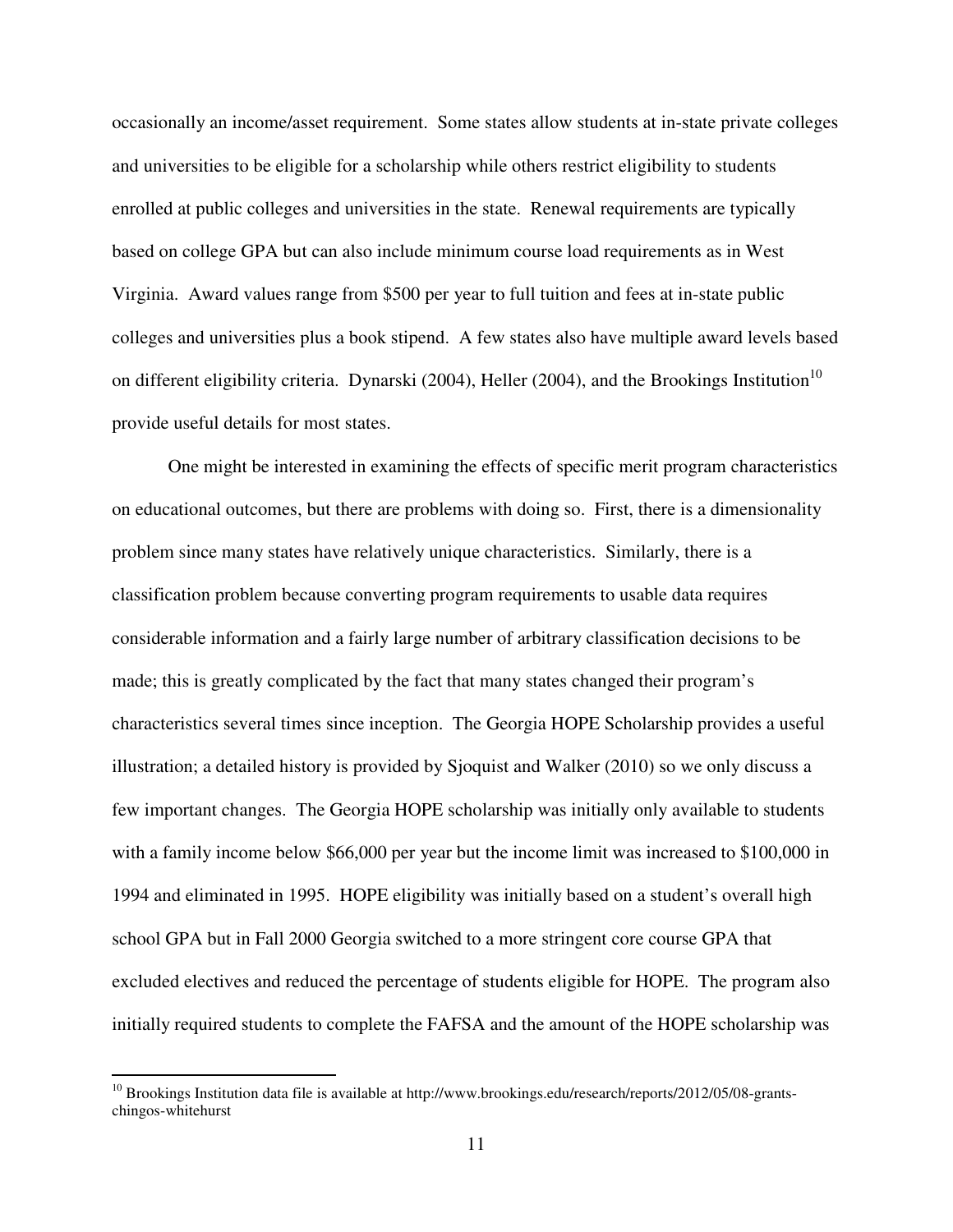occasionally an income/asset requirement. Some states allow students at in-state private colleges and universities to be eligible for a scholarship while others restrict eligibility to students enrolled at public colleges and universities in the state. Renewal requirements are typically based on college GPA but can also include minimum course load requirements as in West Virginia. Award values range from \$500 per year to full tuition and fees at in-state public colleges and universities plus a book stipend. A few states also have multiple award levels based on different eligibility criteria. Dynarski (2004), Heller (2004), and the Brookings Institution<sup>10</sup> provide useful details for most states.

One might be interested in examining the effects of specific merit program characteristics on educational outcomes, but there are problems with doing so. First, there is a dimensionality problem since many states have relatively unique characteristics. Similarly, there is a classification problem because converting program requirements to usable data requires considerable information and a fairly large number of arbitrary classification decisions to be made; this is greatly complicated by the fact that many states changed their program's characteristics several times since inception. The Georgia HOPE Scholarship provides a useful illustration; a detailed history is provided by Sjoquist and Walker (2010) so we only discuss a few important changes. The Georgia HOPE scholarship was initially only available to students with a family income below \$66,000 per year but the income limit was increased to \$100,000 in 1994 and eliminated in 1995. HOPE eligibility was initially based on a student's overall high school GPA but in Fall 2000 Georgia switched to a more stringent core course GPA that excluded electives and reduced the percentage of students eligible for HOPE. The program also initially required students to complete the FAFSA and the amount of the HOPE scholarship was

<u>.</u>

<sup>&</sup>lt;sup>10</sup> Brookings Institution data file is available at http://www.brookings.edu/research/reports/2012/05/08-grantschingos-whitehurst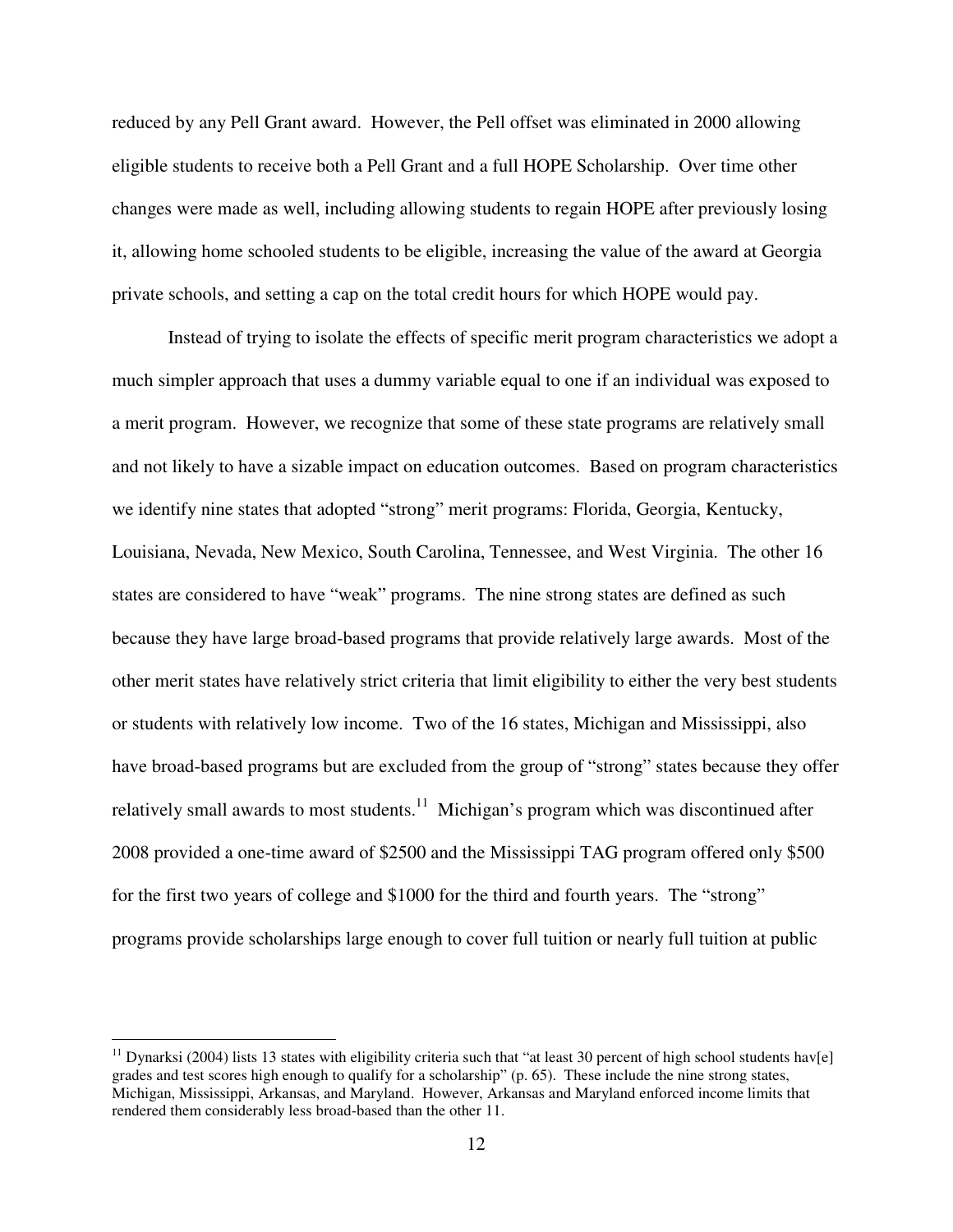reduced by any Pell Grant award. However, the Pell offset was eliminated in 2000 allowing eligible students to receive both a Pell Grant and a full HOPE Scholarship. Over time other changes were made as well, including allowing students to regain HOPE after previously losing it, allowing home schooled students to be eligible, increasing the value of the award at Georgia private schools, and setting a cap on the total credit hours for which HOPE would pay.

Instead of trying to isolate the effects of specific merit program characteristics we adopt a much simpler approach that uses a dummy variable equal to one if an individual was exposed to a merit program. However, we recognize that some of these state programs are relatively small and not likely to have a sizable impact on education outcomes. Based on program characteristics we identify nine states that adopted "strong" merit programs: Florida, Georgia, Kentucky, Louisiana, Nevada, New Mexico, South Carolina, Tennessee, and West Virginia. The other 16 states are considered to have "weak" programs. The nine strong states are defined as such because they have large broad-based programs that provide relatively large awards. Most of the other merit states have relatively strict criteria that limit eligibility to either the very best students or students with relatively low income. Two of the 16 states, Michigan and Mississippi, also have broad-based programs but are excluded from the group of "strong" states because they offer relatively small awards to most students.<sup>11</sup> Michigan's program which was discontinued after 2008 provided a one-time award of \$2500 and the Mississippi TAG program offered only \$500 for the first two years of college and \$1000 for the third and fourth years. The "strong" programs provide scholarships large enough to cover full tuition or nearly full tuition at public

 $\overline{a}$ 

<sup>&</sup>lt;sup>11</sup> Dynarksi (2004) lists 13 states with eligibility criteria such that "at least 30 percent of high school students hav[e] grades and test scores high enough to qualify for a scholarship" (p. 65). These include the nine strong states, Michigan, Mississippi, Arkansas, and Maryland. However, Arkansas and Maryland enforced income limits that rendered them considerably less broad-based than the other 11.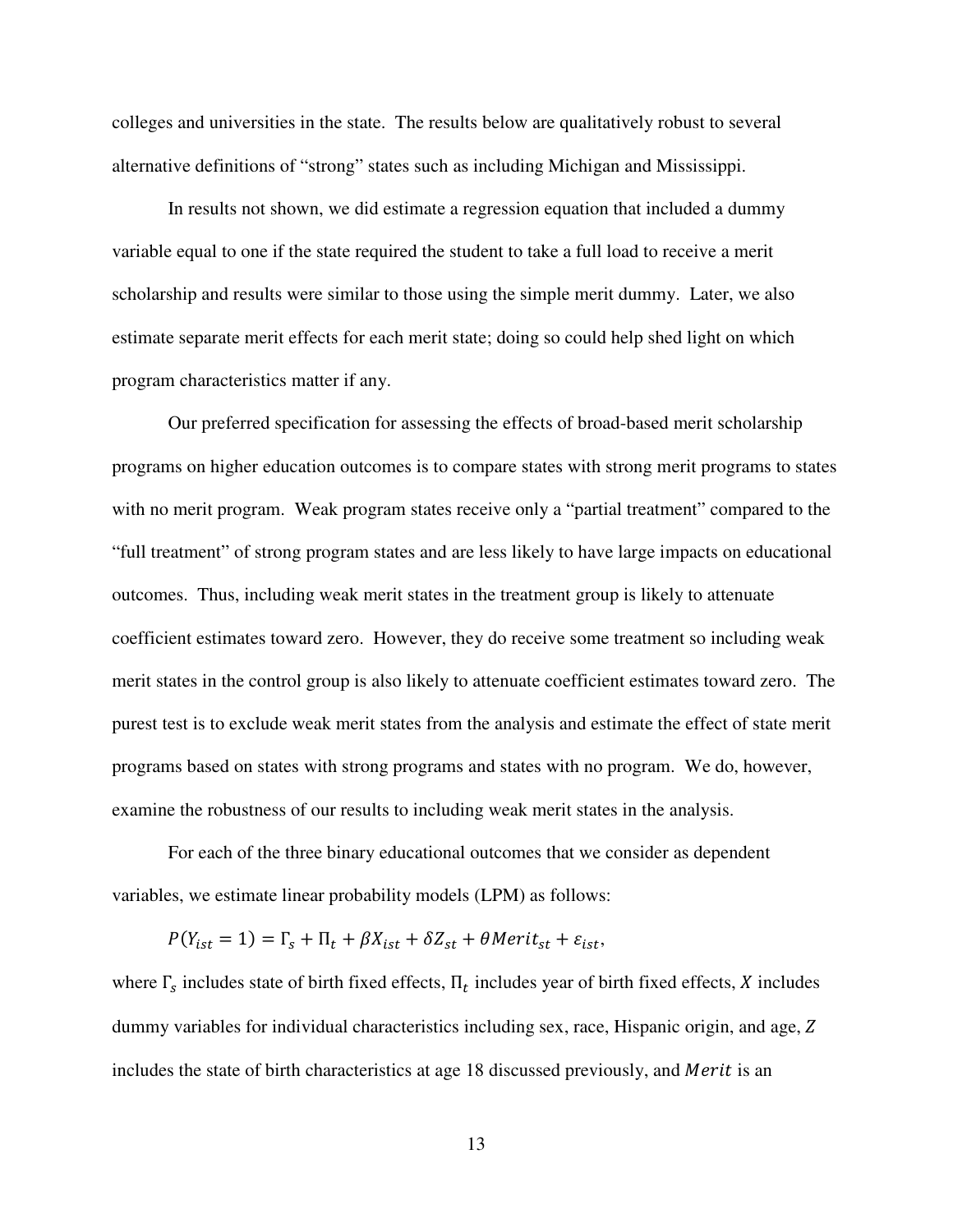colleges and universities in the state. The results below are qualitatively robust to several alternative definitions of "strong" states such as including Michigan and Mississippi.

In results not shown, we did estimate a regression equation that included a dummy variable equal to one if the state required the student to take a full load to receive a merit scholarship and results were similar to those using the simple merit dummy. Later, we also estimate separate merit effects for each merit state; doing so could help shed light on which program characteristics matter if any.

 Our preferred specification for assessing the effects of broad-based merit scholarship programs on higher education outcomes is to compare states with strong merit programs to states with no merit program. Weak program states receive only a "partial treatment" compared to the "full treatment" of strong program states and are less likely to have large impacts on educational outcomes. Thus, including weak merit states in the treatment group is likely to attenuate coefficient estimates toward zero. However, they do receive some treatment so including weak merit states in the control group is also likely to attenuate coefficient estimates toward zero. The purest test is to exclude weak merit states from the analysis and estimate the effect of state merit programs based on states with strong programs and states with no program. We do, however, examine the robustness of our results to including weak merit states in the analysis.

 For each of the three binary educational outcomes that we consider as dependent variables, we estimate linear probability models (LPM) as follows:

$$
P(Y_{ist} = 1) = \Gamma_s + \Pi_t + \beta X_{ist} + \delta Z_{st} + \theta Merit_{st} + \varepsilon_{ist},
$$

where  $\Gamma_s$  includes state of birth fixed effects,  $\Pi_t$  includes year of birth fixed effects, X includes dummy variables for individual characteristics including sex, race, Hispanic origin, and age, Z includes the state of birth characteristics at age 18 discussed previously, and Merit is an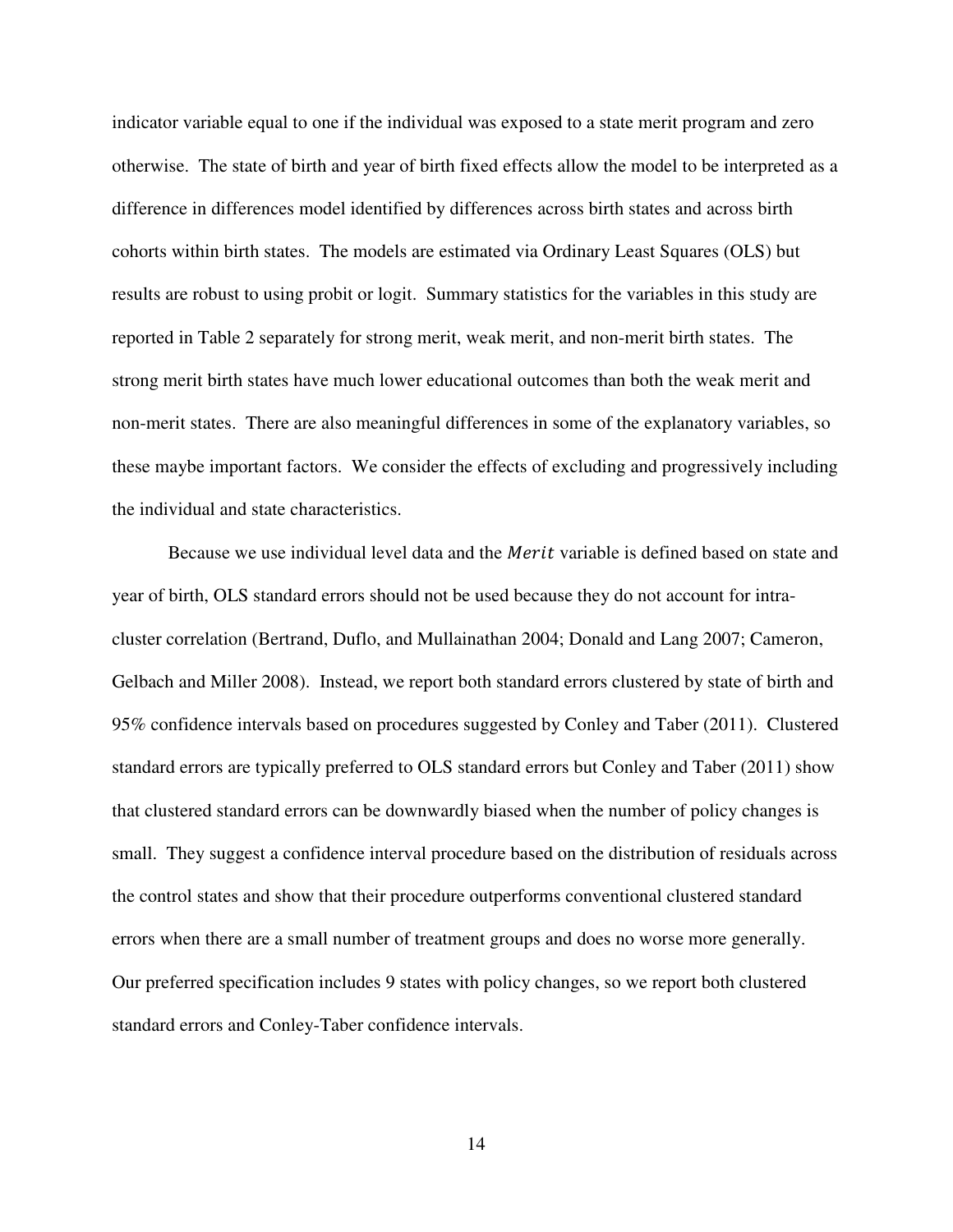indicator variable equal to one if the individual was exposed to a state merit program and zero otherwise. The state of birth and year of birth fixed effects allow the model to be interpreted as a difference in differences model identified by differences across birth states and across birth cohorts within birth states. The models are estimated via Ordinary Least Squares (OLS) but results are robust to using probit or logit. Summary statistics for the variables in this study are reported in Table 2 separately for strong merit, weak merit, and non-merit birth states. The strong merit birth states have much lower educational outcomes than both the weak merit and non-merit states. There are also meaningful differences in some of the explanatory variables, so these maybe important factors. We consider the effects of excluding and progressively including the individual and state characteristics.

Because we use individual level data and the *Merit* variable is defined based on state and year of birth, OLS standard errors should not be used because they do not account for intracluster correlation (Bertrand, Duflo, and Mullainathan 2004; Donald and Lang 2007; Cameron, Gelbach and Miller 2008). Instead, we report both standard errors clustered by state of birth and 95% confidence intervals based on procedures suggested by Conley and Taber (2011). Clustered standard errors are typically preferred to OLS standard errors but Conley and Taber (2011) show that clustered standard errors can be downwardly biased when the number of policy changes is small. They suggest a confidence interval procedure based on the distribution of residuals across the control states and show that their procedure outperforms conventional clustered standard errors when there are a small number of treatment groups and does no worse more generally. Our preferred specification includes 9 states with policy changes, so we report both clustered standard errors and Conley-Taber confidence intervals.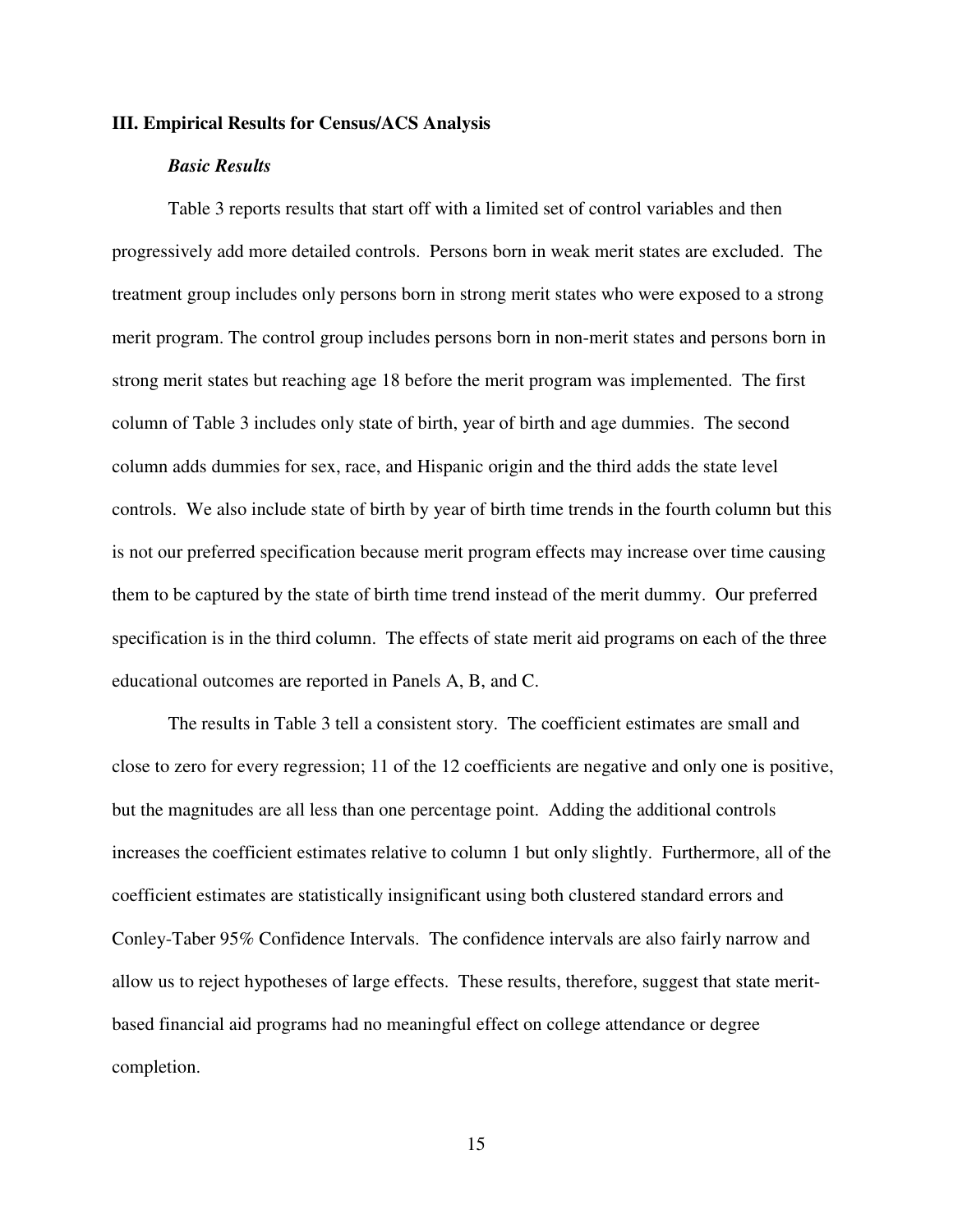#### **III. Empirical Results for Census/ACS Analysis**

#### *Basic Results*

 Table 3 reports results that start off with a limited set of control variables and then progressively add more detailed controls. Persons born in weak merit states are excluded. The treatment group includes only persons born in strong merit states who were exposed to a strong merit program. The control group includes persons born in non-merit states and persons born in strong merit states but reaching age 18 before the merit program was implemented. The first column of Table 3 includes only state of birth, year of birth and age dummies. The second column adds dummies for sex, race, and Hispanic origin and the third adds the state level controls. We also include state of birth by year of birth time trends in the fourth column but this is not our preferred specification because merit program effects may increase over time causing them to be captured by the state of birth time trend instead of the merit dummy. Our preferred specification is in the third column. The effects of state merit aid programs on each of the three educational outcomes are reported in Panels A, B, and C.

The results in Table 3 tell a consistent story. The coefficient estimates are small and close to zero for every regression; 11 of the 12 coefficients are negative and only one is positive, but the magnitudes are all less than one percentage point. Adding the additional controls increases the coefficient estimates relative to column 1 but only slightly. Furthermore, all of the coefficient estimates are statistically insignificant using both clustered standard errors and Conley-Taber 95% Confidence Intervals. The confidence intervals are also fairly narrow and allow us to reject hypotheses of large effects. These results, therefore, suggest that state meritbased financial aid programs had no meaningful effect on college attendance or degree completion.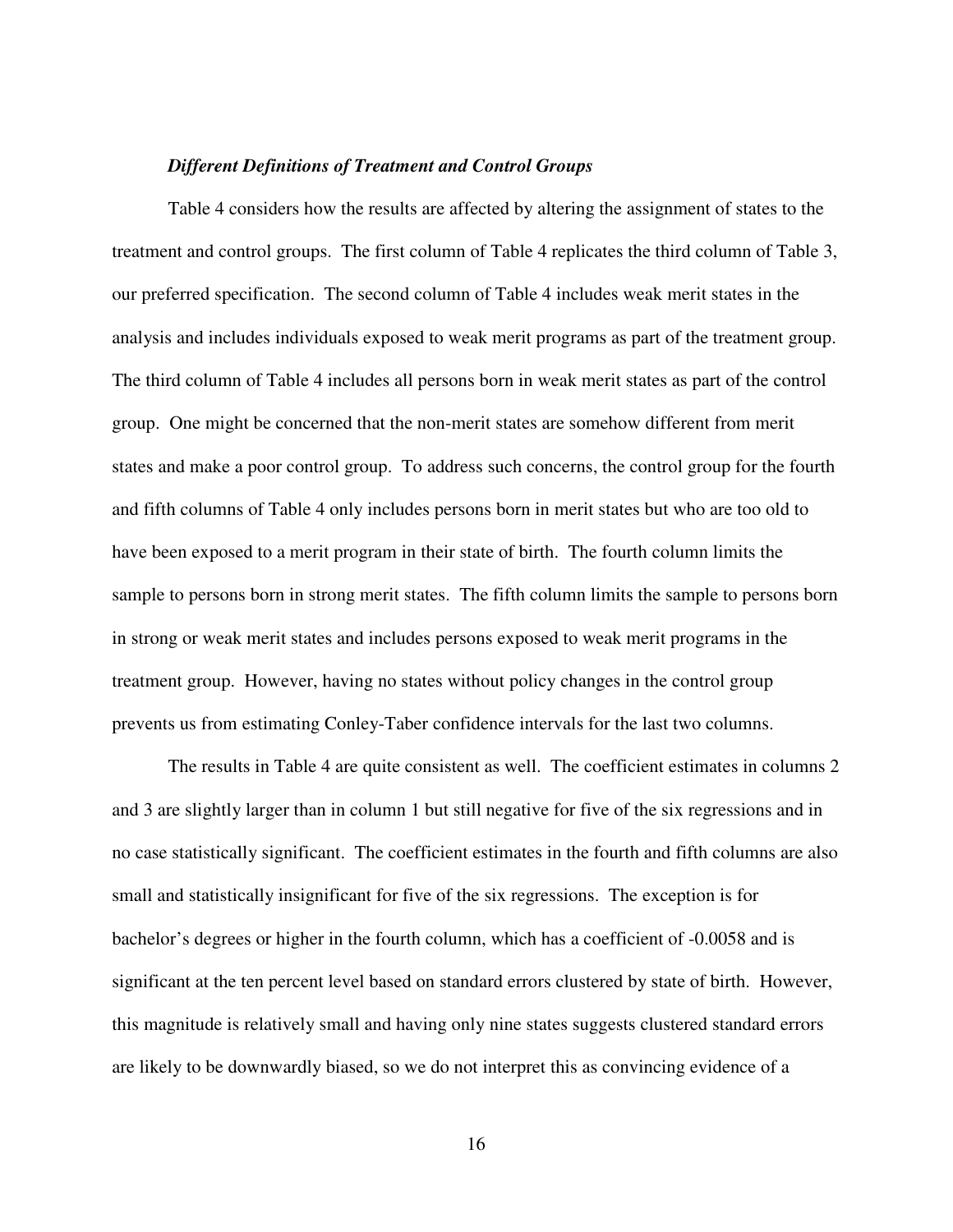#### *Different Definitions of Treatment and Control Groups*

Table 4 considers how the results are affected by altering the assignment of states to the treatment and control groups. The first column of Table 4 replicates the third column of Table 3, our preferred specification. The second column of Table 4 includes weak merit states in the analysis and includes individuals exposed to weak merit programs as part of the treatment group. The third column of Table 4 includes all persons born in weak merit states as part of the control group. One might be concerned that the non-merit states are somehow different from merit states and make a poor control group. To address such concerns, the control group for the fourth and fifth columns of Table 4 only includes persons born in merit states but who are too old to have been exposed to a merit program in their state of birth. The fourth column limits the sample to persons born in strong merit states. The fifth column limits the sample to persons born in strong or weak merit states and includes persons exposed to weak merit programs in the treatment group. However, having no states without policy changes in the control group prevents us from estimating Conley-Taber confidence intervals for the last two columns.

 The results in Table 4 are quite consistent as well. The coefficient estimates in columns 2 and 3 are slightly larger than in column 1 but still negative for five of the six regressions and in no case statistically significant. The coefficient estimates in the fourth and fifth columns are also small and statistically insignificant for five of the six regressions. The exception is for bachelor's degrees or higher in the fourth column, which has a coefficient of -0.0058 and is significant at the ten percent level based on standard errors clustered by state of birth. However, this magnitude is relatively small and having only nine states suggests clustered standard errors are likely to be downwardly biased, so we do not interpret this as convincing evidence of a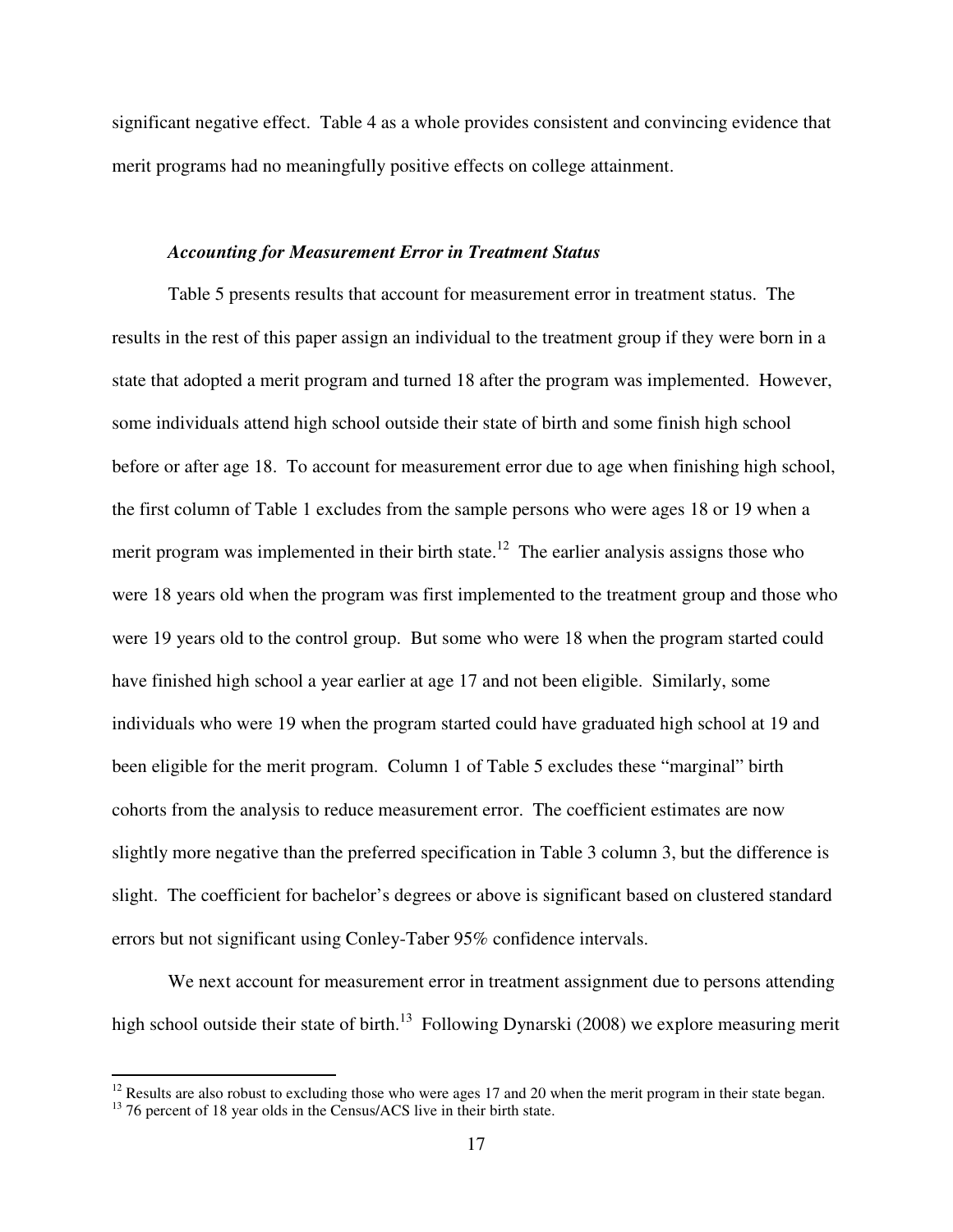significant negative effect. Table 4 as a whole provides consistent and convincing evidence that merit programs had no meaningfully positive effects on college attainment.

#### *Accounting for Measurement Error in Treatment Status*

 Table 5 presents results that account for measurement error in treatment status. The results in the rest of this paper assign an individual to the treatment group if they were born in a state that adopted a merit program and turned 18 after the program was implemented. However, some individuals attend high school outside their state of birth and some finish high school before or after age 18. To account for measurement error due to age when finishing high school, the first column of Table 1 excludes from the sample persons who were ages 18 or 19 when a merit program was implemented in their birth state.<sup>12</sup> The earlier analysis assigns those who were 18 years old when the program was first implemented to the treatment group and those who were 19 years old to the control group. But some who were 18 when the program started could have finished high school a year earlier at age 17 and not been eligible. Similarly, some individuals who were 19 when the program started could have graduated high school at 19 and been eligible for the merit program. Column 1 of Table 5 excludes these "marginal" birth cohorts from the analysis to reduce measurement error. The coefficient estimates are now slightly more negative than the preferred specification in Table 3 column 3, but the difference is slight. The coefficient for bachelor's degrees or above is significant based on clustered standard errors but not significant using Conley-Taber 95% confidence intervals.

We next account for measurement error in treatment assignment due to persons attending high school outside their state of birth.<sup>13</sup> Following Dynarski (2008) we explore measuring merit

<u>.</u>

 $12$  Results are also robust to excluding those who were ages 17 and 20 when the merit program in their state began.

<sup>&</sup>lt;sup>13</sup> 76 percent of 18 year olds in the Census/ACS live in their birth state.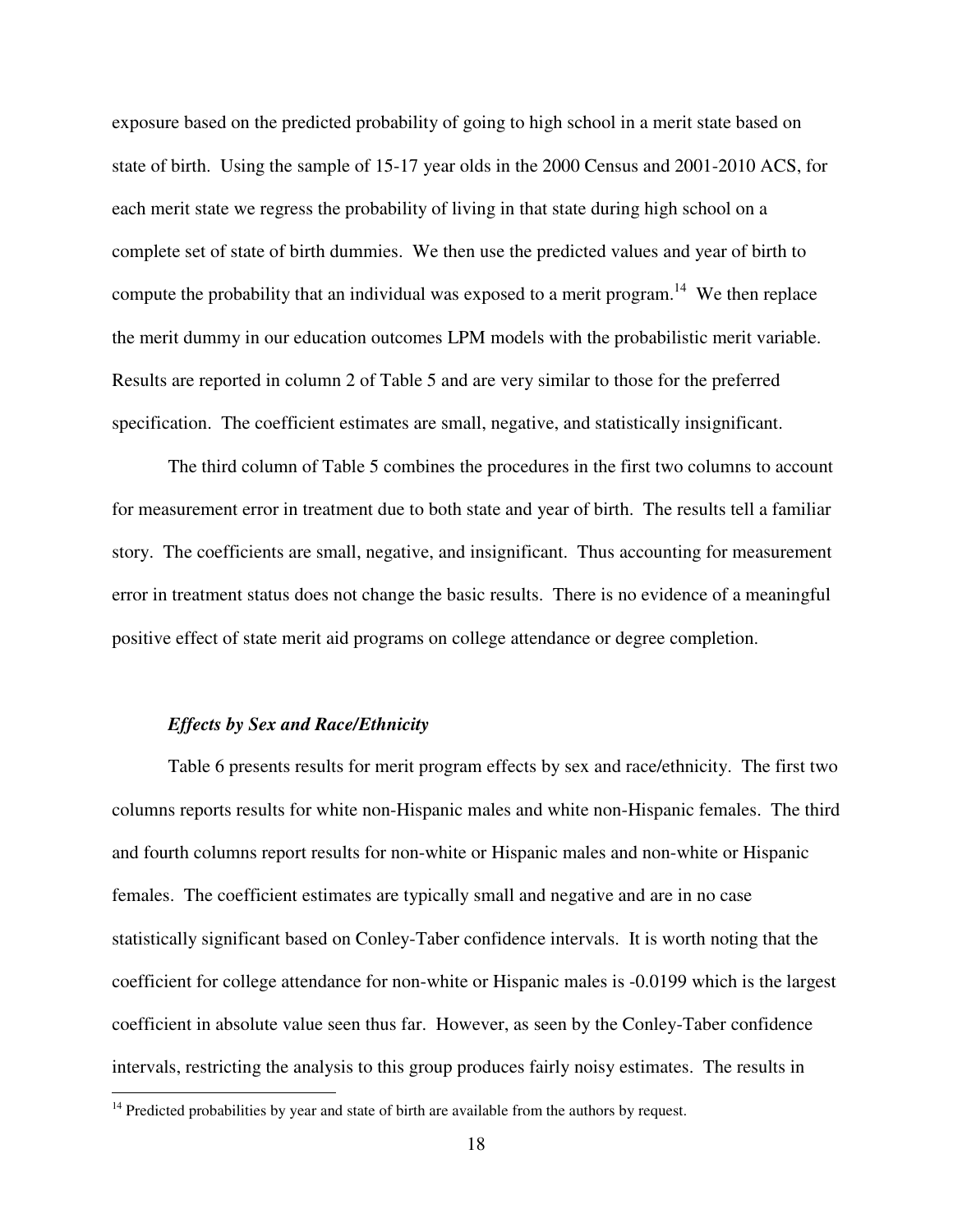exposure based on the predicted probability of going to high school in a merit state based on state of birth. Using the sample of 15-17 year olds in the 2000 Census and 2001-2010 ACS, for each merit state we regress the probability of living in that state during high school on a complete set of state of birth dummies. We then use the predicted values and year of birth to compute the probability that an individual was exposed to a merit program.<sup>14</sup> We then replace the merit dummy in our education outcomes LPM models with the probabilistic merit variable. Results are reported in column 2 of Table 5 and are very similar to those for the preferred specification. The coefficient estimates are small, negative, and statistically insignificant.

 The third column of Table 5 combines the procedures in the first two columns to account for measurement error in treatment due to both state and year of birth. The results tell a familiar story. The coefficients are small, negative, and insignificant. Thus accounting for measurement error in treatment status does not change the basic results. There is no evidence of a meaningful positive effect of state merit aid programs on college attendance or degree completion.

#### *Effects by Sex and Race/Ethnicity*

<u>.</u>

 Table 6 presents results for merit program effects by sex and race/ethnicity. The first two columns reports results for white non-Hispanic males and white non-Hispanic females. The third and fourth columns report results for non-white or Hispanic males and non-white or Hispanic females. The coefficient estimates are typically small and negative and are in no case statistically significant based on Conley-Taber confidence intervals. It is worth noting that the coefficient for college attendance for non-white or Hispanic males is -0.0199 which is the largest coefficient in absolute value seen thus far. However, as seen by the Conley-Taber confidence intervals, restricting the analysis to this group produces fairly noisy estimates. The results in

 $14$  Predicted probabilities by year and state of birth are available from the authors by request.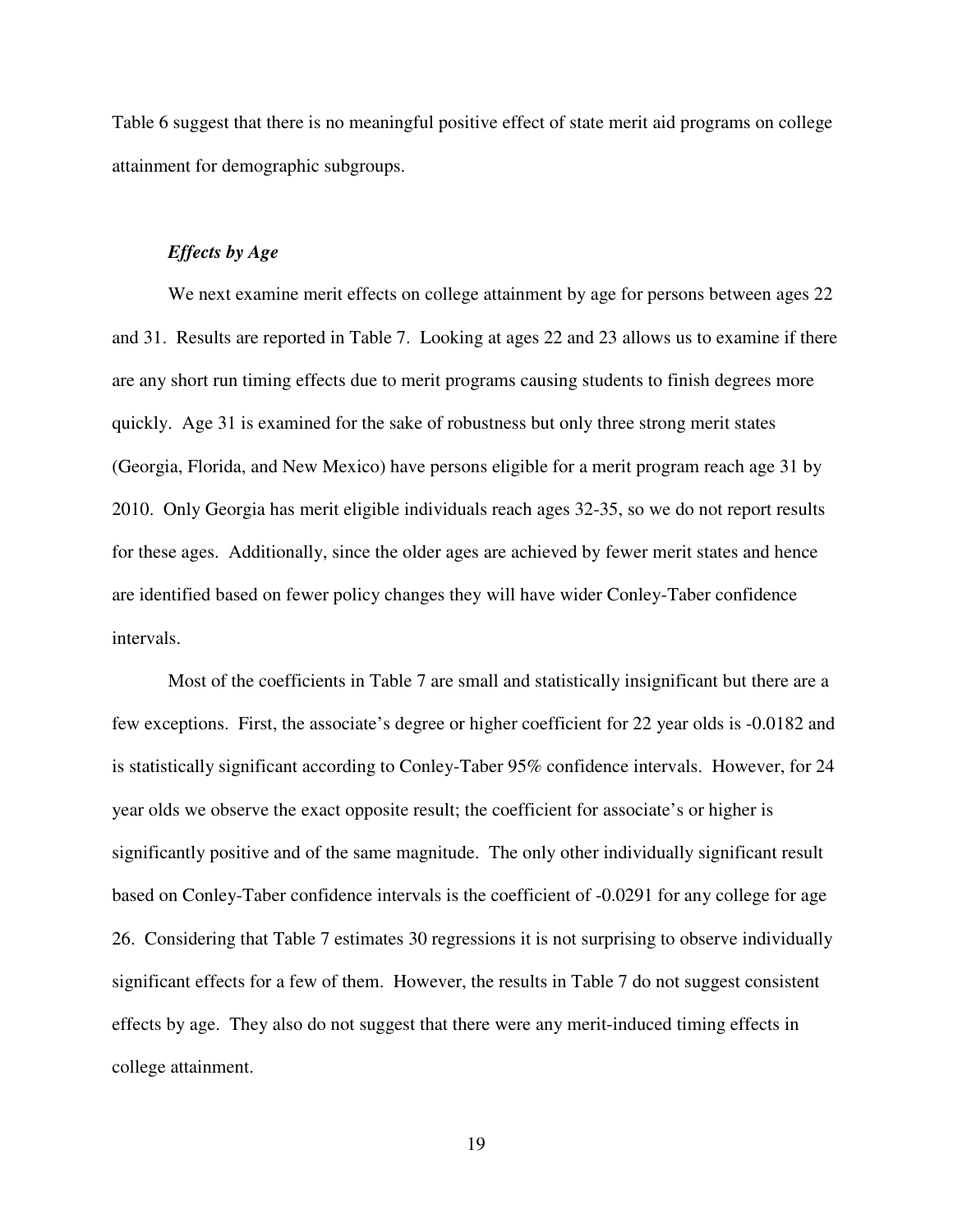Table 6 suggest that there is no meaningful positive effect of state merit aid programs on college attainment for demographic subgroups.

#### *Effects by Age*

We next examine merit effects on college attainment by age for persons between ages 22 and 31. Results are reported in Table 7. Looking at ages 22 and 23 allows us to examine if there are any short run timing effects due to merit programs causing students to finish degrees more quickly. Age 31 is examined for the sake of robustness but only three strong merit states (Georgia, Florida, and New Mexico) have persons eligible for a merit program reach age 31 by 2010. Only Georgia has merit eligible individuals reach ages 32-35, so we do not report results for these ages. Additionally, since the older ages are achieved by fewer merit states and hence are identified based on fewer policy changes they will have wider Conley-Taber confidence intervals.

 Most of the coefficients in Table 7 are small and statistically insignificant but there are a few exceptions. First, the associate's degree or higher coefficient for 22 year olds is -0.0182 and is statistically significant according to Conley-Taber 95% confidence intervals. However, for 24 year olds we observe the exact opposite result; the coefficient for associate's or higher is significantly positive and of the same magnitude. The only other individually significant result based on Conley-Taber confidence intervals is the coefficient of -0.0291 for any college for age 26. Considering that Table 7 estimates 30 regressions it is not surprising to observe individually significant effects for a few of them. However, the results in Table 7 do not suggest consistent effects by age. They also do not suggest that there were any merit-induced timing effects in college attainment.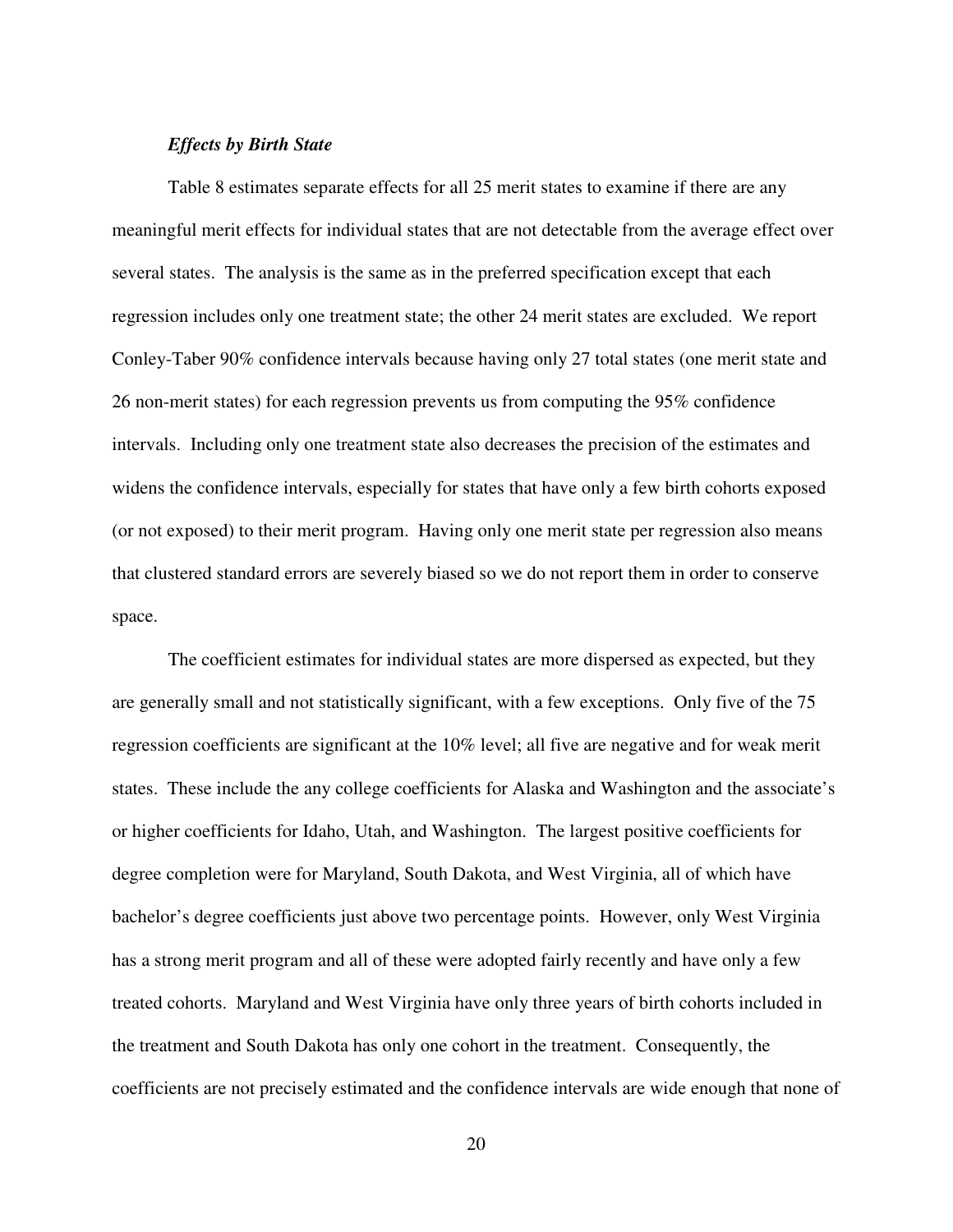#### *Effects by Birth State*

 Table 8 estimates separate effects for all 25 merit states to examine if there are any meaningful merit effects for individual states that are not detectable from the average effect over several states. The analysis is the same as in the preferred specification except that each regression includes only one treatment state; the other 24 merit states are excluded. We report Conley-Taber 90% confidence intervals because having only 27 total states (one merit state and 26 non-merit states) for each regression prevents us from computing the 95% confidence intervals. Including only one treatment state also decreases the precision of the estimates and widens the confidence intervals, especially for states that have only a few birth cohorts exposed (or not exposed) to their merit program. Having only one merit state per regression also means that clustered standard errors are severely biased so we do not report them in order to conserve space.

 The coefficient estimates for individual states are more dispersed as expected, but they are generally small and not statistically significant, with a few exceptions. Only five of the 75 regression coefficients are significant at the 10% level; all five are negative and for weak merit states. These include the any college coefficients for Alaska and Washington and the associate's or higher coefficients for Idaho, Utah, and Washington. The largest positive coefficients for degree completion were for Maryland, South Dakota, and West Virginia, all of which have bachelor's degree coefficients just above two percentage points. However, only West Virginia has a strong merit program and all of these were adopted fairly recently and have only a few treated cohorts. Maryland and West Virginia have only three years of birth cohorts included in the treatment and South Dakota has only one cohort in the treatment. Consequently, the coefficients are not precisely estimated and the confidence intervals are wide enough that none of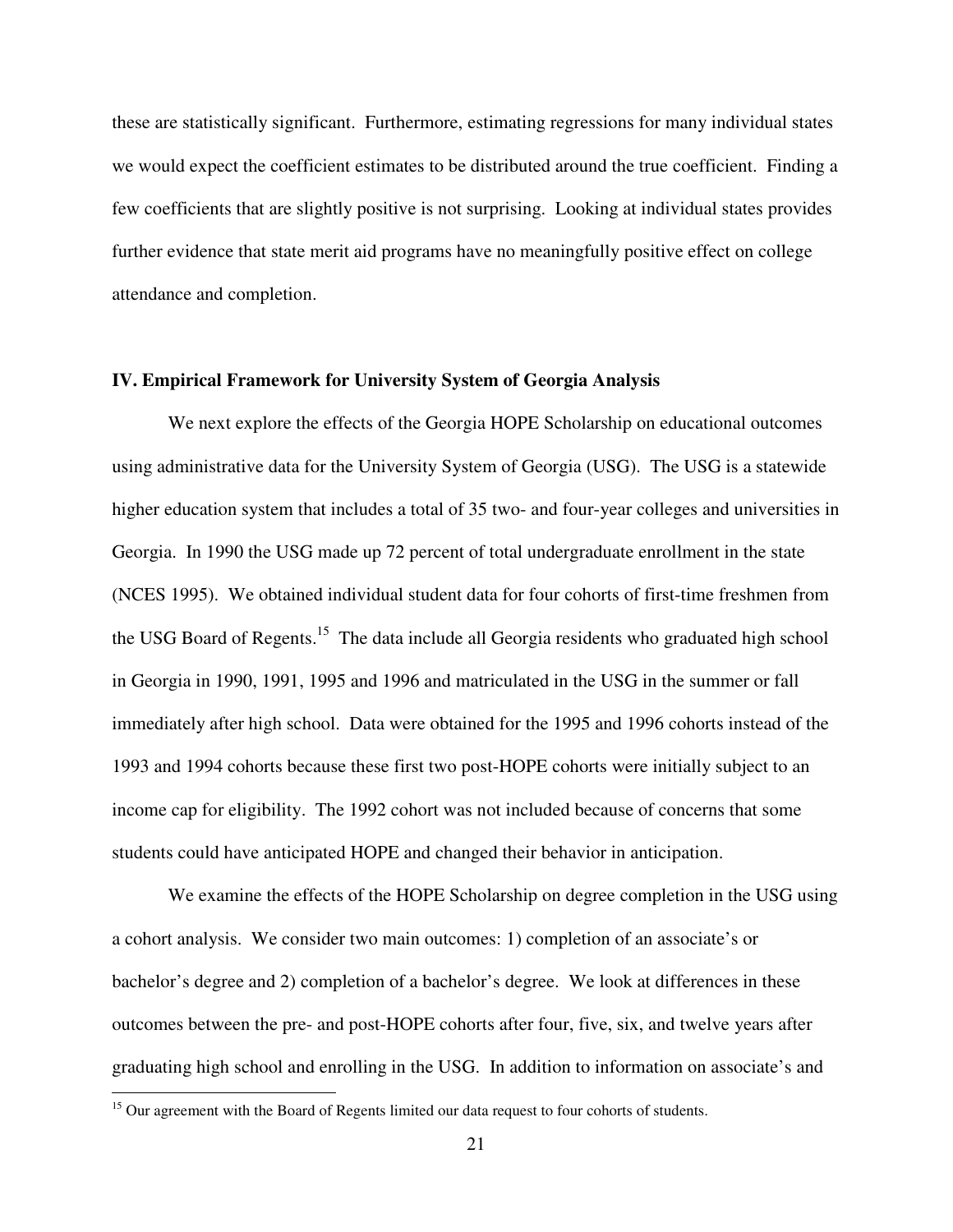these are statistically significant. Furthermore, estimating regressions for many individual states we would expect the coefficient estimates to be distributed around the true coefficient. Finding a few coefficients that are slightly positive is not surprising. Looking at individual states provides further evidence that state merit aid programs have no meaningfully positive effect on college attendance and completion.

#### **IV. Empirical Framework for University System of Georgia Analysis**

 We next explore the effects of the Georgia HOPE Scholarship on educational outcomes using administrative data for the University System of Georgia (USG). The USG is a statewide higher education system that includes a total of 35 two- and four-year colleges and universities in Georgia. In 1990 the USG made up 72 percent of total undergraduate enrollment in the state (NCES 1995). We obtained individual student data for four cohorts of first-time freshmen from the USG Board of Regents.<sup>15</sup> The data include all Georgia residents who graduated high school in Georgia in 1990, 1991, 1995 and 1996 and matriculated in the USG in the summer or fall immediately after high school. Data were obtained for the 1995 and 1996 cohorts instead of the 1993 and 1994 cohorts because these first two post-HOPE cohorts were initially subject to an income cap for eligibility. The 1992 cohort was not included because of concerns that some students could have anticipated HOPE and changed their behavior in anticipation.

We examine the effects of the HOPE Scholarship on degree completion in the USG using a cohort analysis. We consider two main outcomes: 1) completion of an associate's or bachelor's degree and 2) completion of a bachelor's degree. We look at differences in these outcomes between the pre- and post-HOPE cohorts after four, five, six, and twelve years after graduating high school and enrolling in the USG. In addition to information on associate's and

 $\overline{a}$ 

<sup>&</sup>lt;sup>15</sup> Our agreement with the Board of Regents limited our data request to four cohorts of students.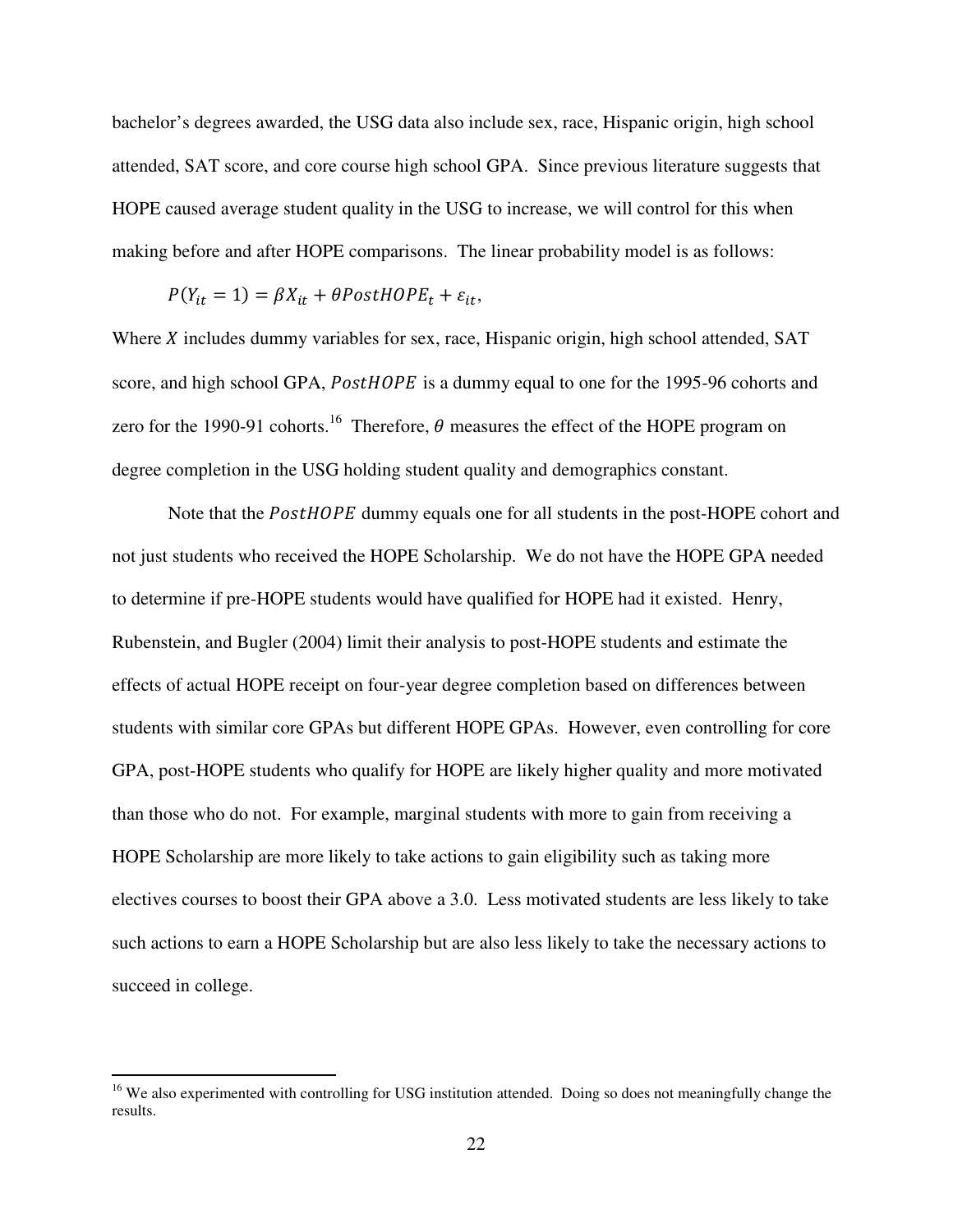bachelor's degrees awarded, the USG data also include sex, race, Hispanic origin, high school attended, SAT score, and core course high school GPA. Since previous literature suggests that HOPE caused average student quality in the USG to increase, we will control for this when making before and after HOPE comparisons. The linear probability model is as follows:

$$
P(Y_{it} = 1) = \beta X_{it} + \theta PostH OPE_t + \varepsilon_{it},
$$

Where  $\chi$  includes dummy variables for sex, race, Hispanic origin, high school attended, SAT score, and high school GPA, *PostHOPE* is a dummy equal to one for the 1995-96 cohorts and zero for the 1990-91 cohorts.<sup>16</sup> Therefore,  $\theta$  measures the effect of the HOPE program on degree completion in the USG holding student quality and demographics constant.

Note that the PostHOPE dummy equals one for all students in the post-HOPE cohort and not just students who received the HOPE Scholarship. We do not have the HOPE GPA needed to determine if pre-HOPE students would have qualified for HOPE had it existed. Henry, Rubenstein, and Bugler (2004) limit their analysis to post-HOPE students and estimate the effects of actual HOPE receipt on four-year degree completion based on differences between students with similar core GPAs but different HOPE GPAs. However, even controlling for core GPA, post-HOPE students who qualify for HOPE are likely higher quality and more motivated than those who do not. For example, marginal students with more to gain from receiving a HOPE Scholarship are more likely to take actions to gain eligibility such as taking more electives courses to boost their GPA above a 3.0. Less motivated students are less likely to take such actions to earn a HOPE Scholarship but are also less likely to take the necessary actions to succeed in college.

<u>.</u>

<sup>&</sup>lt;sup>16</sup> We also experimented with controlling for USG institution attended. Doing so does not meaningfully change the results.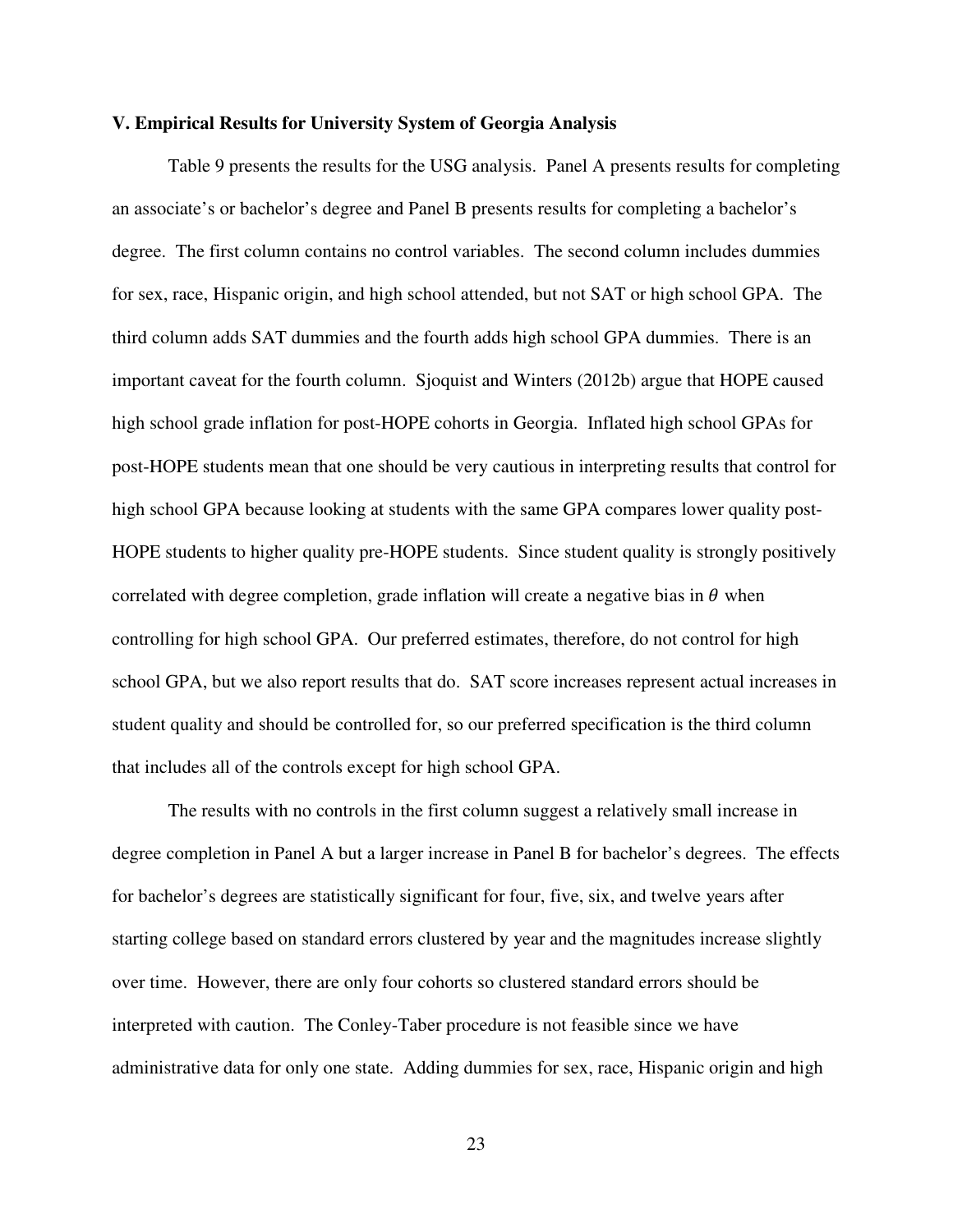#### **V. Empirical Results for University System of Georgia Analysis**

Table 9 presents the results for the USG analysis. Panel A presents results for completing an associate's or bachelor's degree and Panel B presents results for completing a bachelor's degree. The first column contains no control variables. The second column includes dummies for sex, race, Hispanic origin, and high school attended, but not SAT or high school GPA. The third column adds SAT dummies and the fourth adds high school GPA dummies. There is an important caveat for the fourth column. Sjoquist and Winters (2012b) argue that HOPE caused high school grade inflation for post-HOPE cohorts in Georgia. Inflated high school GPAs for post-HOPE students mean that one should be very cautious in interpreting results that control for high school GPA because looking at students with the same GPA compares lower quality post-HOPE students to higher quality pre-HOPE students. Since student quality is strongly positively correlated with degree completion, grade inflation will create a negative bias in  $\theta$  when controlling for high school GPA. Our preferred estimates, therefore, do not control for high school GPA, but we also report results that do. SAT score increases represent actual increases in student quality and should be controlled for, so our preferred specification is the third column that includes all of the controls except for high school GPA.

The results with no controls in the first column suggest a relatively small increase in degree completion in Panel A but a larger increase in Panel B for bachelor's degrees. The effects for bachelor's degrees are statistically significant for four, five, six, and twelve years after starting college based on standard errors clustered by year and the magnitudes increase slightly over time. However, there are only four cohorts so clustered standard errors should be interpreted with caution. The Conley-Taber procedure is not feasible since we have administrative data for only one state. Adding dummies for sex, race, Hispanic origin and high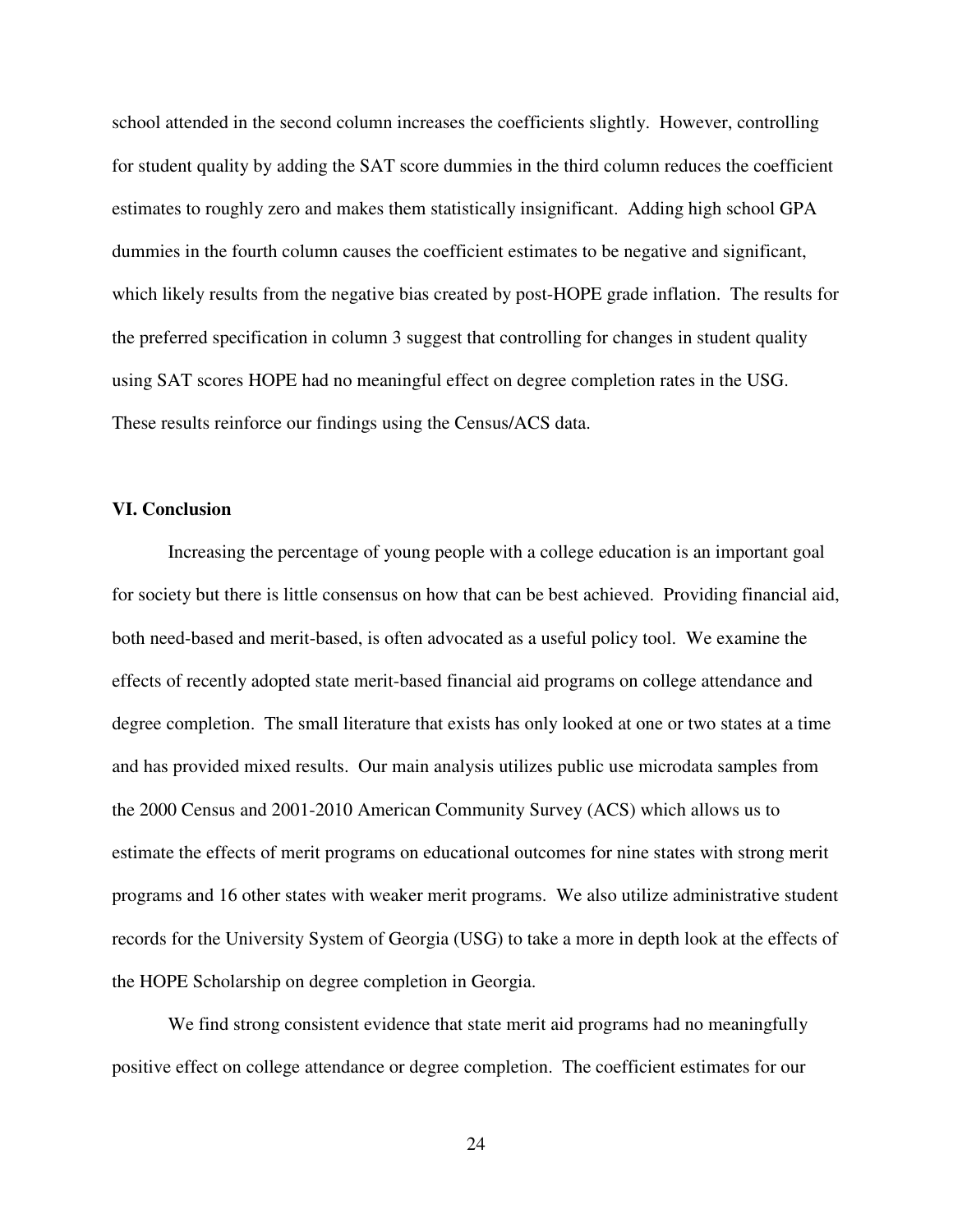school attended in the second column increases the coefficients slightly. However, controlling for student quality by adding the SAT score dummies in the third column reduces the coefficient estimates to roughly zero and makes them statistically insignificant. Adding high school GPA dummies in the fourth column causes the coefficient estimates to be negative and significant, which likely results from the negative bias created by post-HOPE grade inflation. The results for the preferred specification in column 3 suggest that controlling for changes in student quality using SAT scores HOPE had no meaningful effect on degree completion rates in the USG. These results reinforce our findings using the Census/ACS data.

#### **VI. Conclusion**

 Increasing the percentage of young people with a college education is an important goal for society but there is little consensus on how that can be best achieved. Providing financial aid, both need-based and merit-based, is often advocated as a useful policy tool. We examine the effects of recently adopted state merit-based financial aid programs on college attendance and degree completion. The small literature that exists has only looked at one or two states at a time and has provided mixed results. Our main analysis utilizes public use microdata samples from the 2000 Census and 2001-2010 American Community Survey (ACS) which allows us to estimate the effects of merit programs on educational outcomes for nine states with strong merit programs and 16 other states with weaker merit programs. We also utilize administrative student records for the University System of Georgia (USG) to take a more in depth look at the effects of the HOPE Scholarship on degree completion in Georgia.

 We find strong consistent evidence that state merit aid programs had no meaningfully positive effect on college attendance or degree completion. The coefficient estimates for our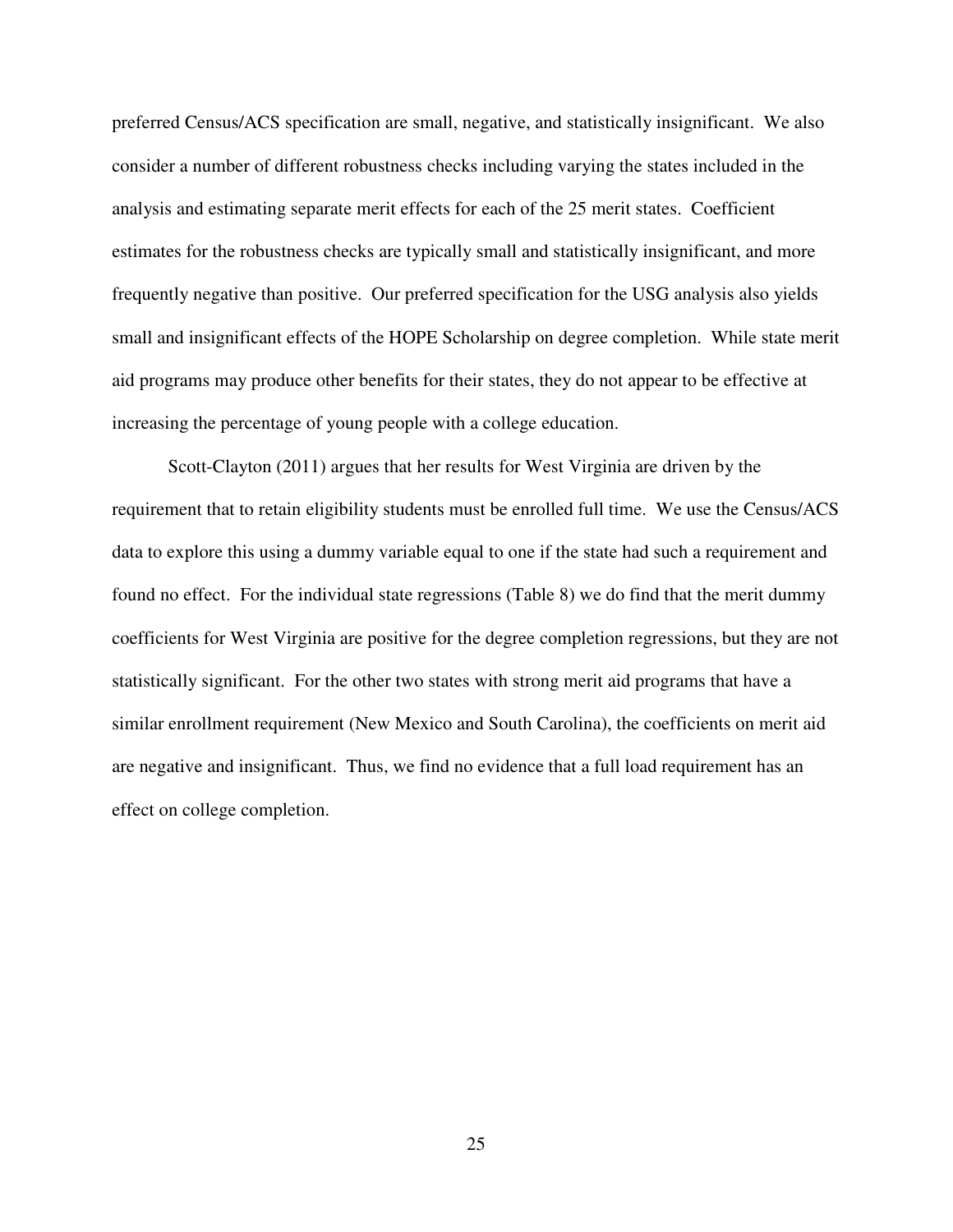preferred Census/ACS specification are small, negative, and statistically insignificant. We also consider a number of different robustness checks including varying the states included in the analysis and estimating separate merit effects for each of the 25 merit states. Coefficient estimates for the robustness checks are typically small and statistically insignificant, and more frequently negative than positive. Our preferred specification for the USG analysis also yields small and insignificant effects of the HOPE Scholarship on degree completion. While state merit aid programs may produce other benefits for their states, they do not appear to be effective at increasing the percentage of young people with a college education.

 Scott-Clayton (2011) argues that her results for West Virginia are driven by the requirement that to retain eligibility students must be enrolled full time. We use the Census/ACS data to explore this using a dummy variable equal to one if the state had such a requirement and found no effect. For the individual state regressions (Table 8) we do find that the merit dummy coefficients for West Virginia are positive for the degree completion regressions, but they are not statistically significant. For the other two states with strong merit aid programs that have a similar enrollment requirement (New Mexico and South Carolina), the coefficients on merit aid are negative and insignificant. Thus, we find no evidence that a full load requirement has an effect on college completion.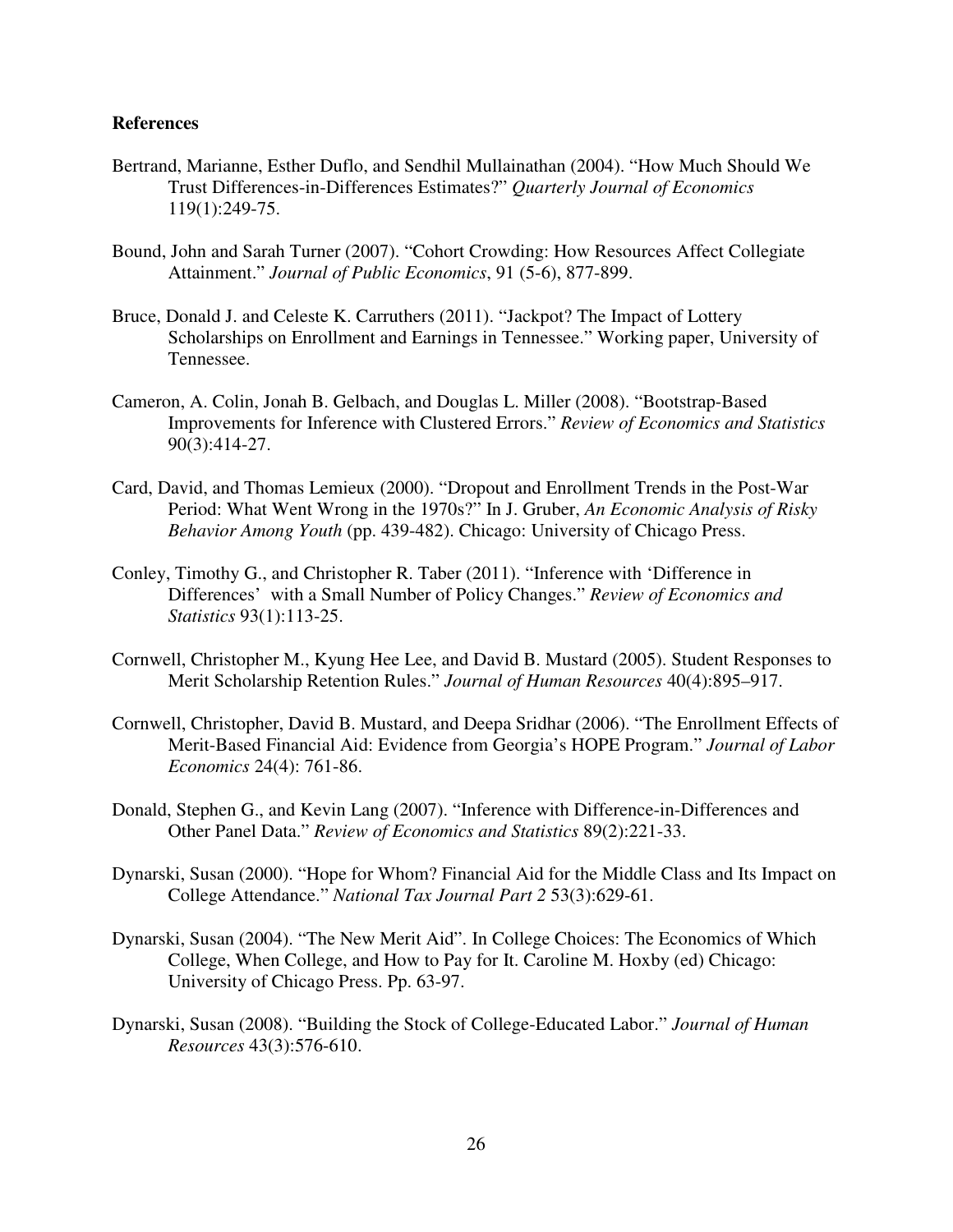#### **References**

- Bertrand, Marianne, Esther Duflo, and Sendhil Mullainathan (2004). "How Much Should We Trust Differences-in-Differences Estimates?" *Quarterly Journal of Economics* 119(1):249-75.
- Bound, John and Sarah Turner (2007). "Cohort Crowding: How Resources Affect Collegiate Attainment." *Journal of Public Economics*, 91 (5-6), 877-899.
- Bruce, Donald J. and Celeste K. Carruthers (2011). "Jackpot? The Impact of Lottery Scholarships on Enrollment and Earnings in Tennessee." Working paper, University of Tennessee.
- Cameron, A. Colin, Jonah B. Gelbach, and Douglas L. Miller (2008). "Bootstrap-Based Improvements for Inference with Clustered Errors." *Review of Economics and Statistics* 90(3):414-27.
- Card, David, and Thomas Lemieux (2000). "Dropout and Enrollment Trends in the Post-War Period: What Went Wrong in the 1970s?" In J. Gruber, *An Economic Analysis of Risky Behavior Among Youth* (pp. 439-482). Chicago: University of Chicago Press.
- Conley, Timothy G., and Christopher R. Taber (2011). "Inference with 'Difference in Differences' with a Small Number of Policy Changes." *Review of Economics and Statistics* 93(1):113-25.
- Cornwell, Christopher M., Kyung Hee Lee, and David B. Mustard (2005). Student Responses to Merit Scholarship Retention Rules." *Journal of Human Resources* 40(4):895–917.
- Cornwell, Christopher, David B. Mustard, and Deepa Sridhar (2006). "The Enrollment Effects of Merit-Based Financial Aid: Evidence from Georgia's HOPE Program." *Journal of Labor Economics* 24(4): 761-86.
- Donald, Stephen G., and Kevin Lang (2007). "Inference with Difference-in-Differences and Other Panel Data." *Review of Economics and Statistics* 89(2):221-33.
- Dynarski, Susan (2000). "Hope for Whom? Financial Aid for the Middle Class and Its Impact on College Attendance." *National Tax Journal Part 2* 53(3):629-61.
- Dynarski, Susan (2004). "The New Merit Aid". In College Choices: The Economics of Which College, When College, and How to Pay for It. Caroline M. Hoxby (ed) Chicago: University of Chicago Press. Pp. 63-97.
- Dynarski, Susan (2008). "Building the Stock of College-Educated Labor." *Journal of Human Resources* 43(3):576-610.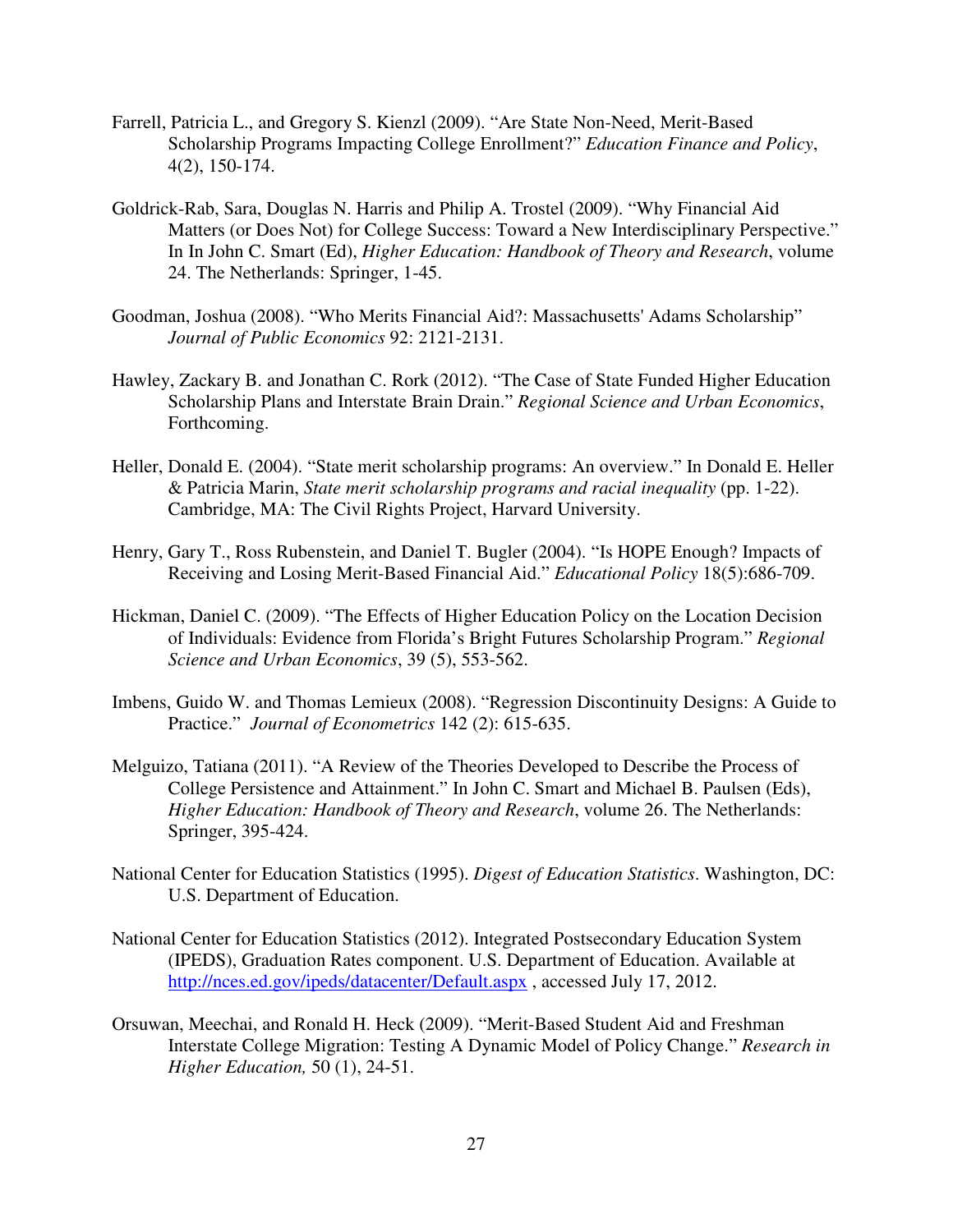- Farrell, Patricia L., and Gregory S. Kienzl (2009). "Are State Non-Need, Merit-Based Scholarship Programs Impacting College Enrollment?" *Education Finance and Policy*, 4(2), 150-174.
- Goldrick-Rab, Sara, Douglas N. Harris and Philip A. Trostel (2009). "Why Financial Aid Matters (or Does Not) for College Success: Toward a New Interdisciplinary Perspective." In In John C. Smart (Ed), *Higher Education: Handbook of Theory and Research*, volume 24. The Netherlands: Springer, 1-45.
- Goodman, Joshua (2008). "Who Merits Financial Aid?: Massachusetts' Adams Scholarship" *Journal of Public Economics* 92: 2121-2131.
- Hawley, Zackary B. and Jonathan C. Rork (2012). "The Case of State Funded Higher Education Scholarship Plans and Interstate Brain Drain." *Regional Science and Urban Economics*, Forthcoming.
- Heller, Donald E. (2004). "State merit scholarship programs: An overview." In Donald E. Heller & Patricia Marin, *State merit scholarship programs and racial inequality* (pp. 1-22). Cambridge, MA: The Civil Rights Project, Harvard University.
- Henry, Gary T., Ross Rubenstein, and Daniel T. Bugler (2004). "Is HOPE Enough? Impacts of Receiving and Losing Merit-Based Financial Aid." *Educational Policy* 18(5):686-709.
- Hickman, Daniel C. (2009). "The Effects of Higher Education Policy on the Location Decision of Individuals: Evidence from Florida's Bright Futures Scholarship Program." *Regional Science and Urban Economics*, 39 (5), 553-562.
- Imbens, Guido W. and Thomas Lemieux (2008). "Regression Discontinuity Designs: A Guide to Practice." *Journal of Econometrics* 142 (2): 615-635.
- Melguizo, Tatiana (2011). "A Review of the Theories Developed to Describe the Process of College Persistence and Attainment." In John C. Smart and Michael B. Paulsen (Eds), *Higher Education: Handbook of Theory and Research*, volume 26. The Netherlands: Springer, 395-424.
- National Center for Education Statistics (1995). *Digest of Education Statistics*. Washington, DC: U.S. Department of Education.
- National Center for Education Statistics (2012). Integrated Postsecondary Education System (IPEDS), Graduation Rates component. U.S. Department of Education. Available at http://nces.ed.gov/ipeds/datacenter/Default.aspx , accessed July 17, 2012.
- Orsuwan, Meechai, and Ronald H. Heck (2009). "Merit-Based Student Aid and Freshman Interstate College Migration: Testing A Dynamic Model of Policy Change." *Research in Higher Education,* 50 (1), 24-51.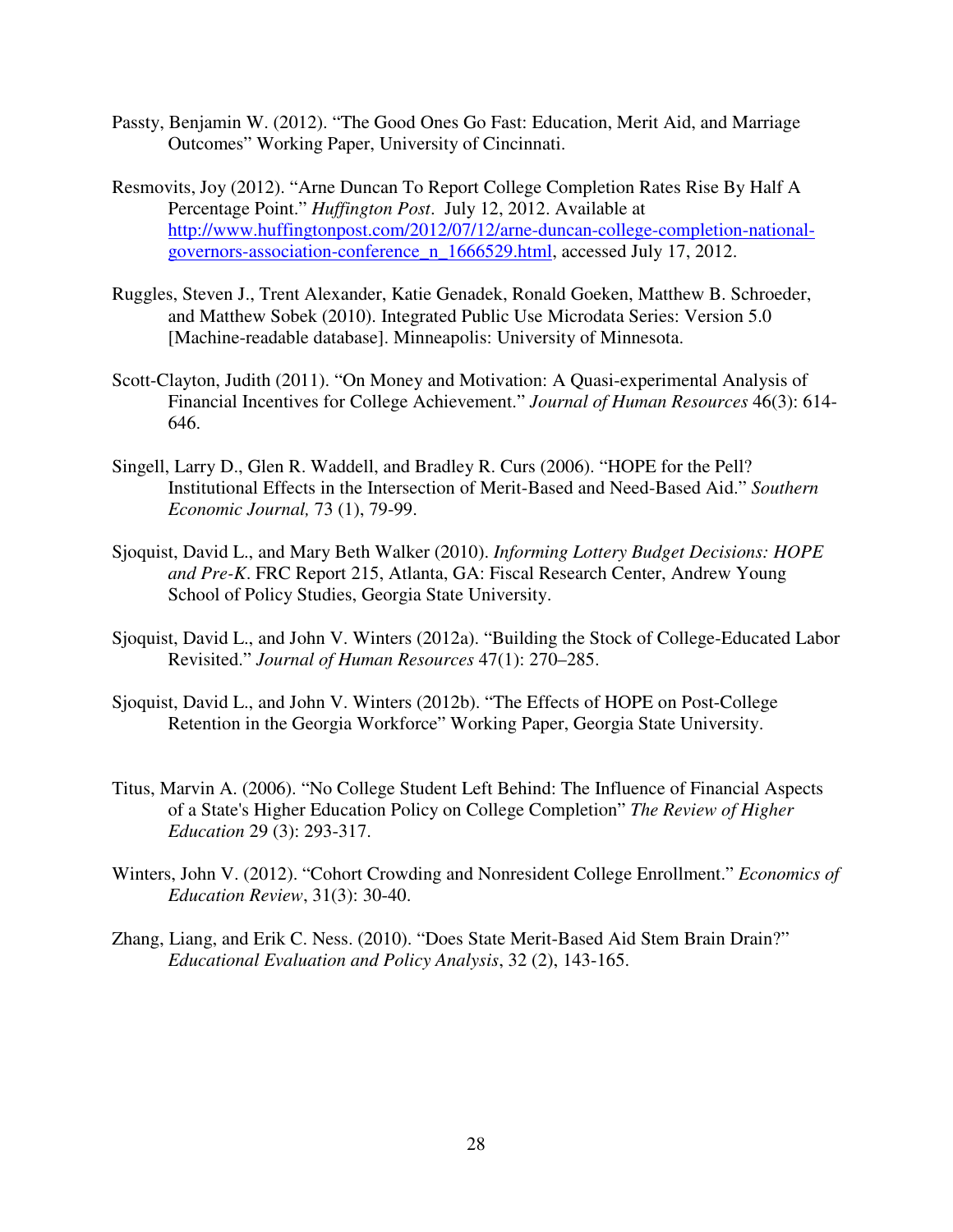- Passty, Benjamin W. (2012). "The Good Ones Go Fast: Education, Merit Aid, and Marriage Outcomes" Working Paper, University of Cincinnati.
- Resmovits, Joy (2012). "Arne Duncan To Report College Completion Rates Rise By Half A Percentage Point." *Huffington Post*. July 12, 2012. Available at http://www.huffingtonpost.com/2012/07/12/arne-duncan-college-completion-nationalgovernors-association-conference\_n\_1666529.html, accessed July 17, 2012.
- Ruggles, Steven J., Trent Alexander, Katie Genadek, Ronald Goeken, Matthew B. Schroeder, and Matthew Sobek (2010). Integrated Public Use Microdata Series: Version 5.0 [Machine-readable database]. Minneapolis: University of Minnesota.
- Scott-Clayton, Judith (2011). "On Money and Motivation: A Quasi-experimental Analysis of Financial Incentives for College Achievement." *Journal of Human Resources* 46(3): 614- 646.
- Singell, Larry D., Glen R. Waddell, and Bradley R. Curs (2006). "HOPE for the Pell? Institutional Effects in the Intersection of Merit-Based and Need-Based Aid." *Southern Economic Journal,* 73 (1), 79-99.
- Sjoquist, David L., and Mary Beth Walker (2010). *Informing Lottery Budget Decisions: HOPE and Pre-K*. FRC Report 215, Atlanta, GA: Fiscal Research Center, Andrew Young School of Policy Studies, Georgia State University.
- Sjoquist, David L., and John V. Winters (2012a). "Building the Stock of College-Educated Labor Revisited." *Journal of Human Resources* 47(1): 270–285.
- Sjoquist, David L., and John V. Winters (2012b). "The Effects of HOPE on Post-College Retention in the Georgia Workforce" Working Paper, Georgia State University.
- Titus, Marvin A. (2006). "No College Student Left Behind: The Influence of Financial Aspects of a State's Higher Education Policy on College Completion" *The Review of Higher Education* 29 (3): 293-317.
- Winters, John V. (2012). "Cohort Crowding and Nonresident College Enrollment." *Economics of Education Review*, 31(3): 30-40.
- Zhang, Liang, and Erik C. Ness. (2010). "Does State Merit-Based Aid Stem Brain Drain?" *Educational Evaluation and Policy Analysis*, 32 (2), 143-165.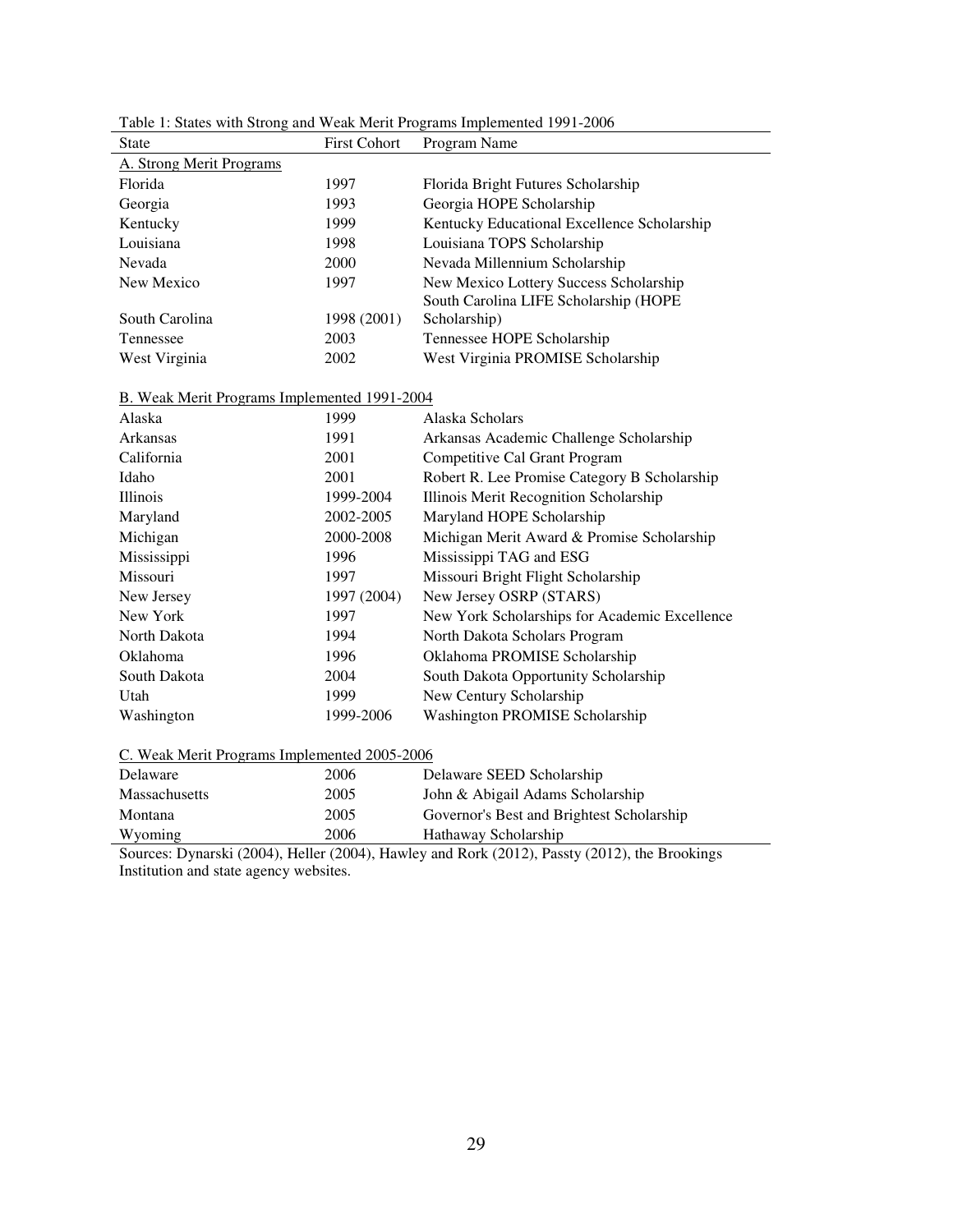| <b>State</b>             | <b>First Cohort</b> | Program Name                                |
|--------------------------|---------------------|---------------------------------------------|
| A. Strong Merit Programs |                     |                                             |
| Florida                  | 1997                | Florida Bright Futures Scholarship          |
| Georgia                  | 1993                | Georgia HOPE Scholarship                    |
| Kentucky                 | 1999                | Kentucky Educational Excellence Scholarship |
| Louisiana                | 1998                | Louisiana TOPS Scholarship                  |
| Nevada                   | 2000                | Nevada Millennium Scholarship               |
| New Mexico               | 1997                | New Mexico Lottery Success Scholarship      |
|                          |                     | South Carolina LIFE Scholarship (HOPE       |
| South Carolina           | 1998 (2001)         | Scholarship)                                |
| Tennessee                | 2003                | Tennessee HOPE Scholarship                  |
| West Virginia            | 2002                | West Virginia PROMISE Scholarship           |

Table 1: States with Strong and Weak Merit Programs Implemented 1991-2006

#### B. Weak Merit Programs Implemented 1991-2004

| 1999        | Alaska Scholars                               |
|-------------|-----------------------------------------------|
| 1991        | Arkansas Academic Challenge Scholarship       |
| 2001        | Competitive Cal Grant Program                 |
| 2001        | Robert R. Lee Promise Category B Scholarship  |
| 1999-2004   | Illinois Merit Recognition Scholarship        |
| 2002-2005   | Maryland HOPE Scholarship                     |
| 2000-2008   | Michigan Merit Award & Promise Scholarship    |
| 1996        | Mississippi TAG and ESG                       |
| 1997        | Missouri Bright Flight Scholarship            |
| 1997 (2004) | New Jersey OSRP (STARS)                       |
| 1997        | New York Scholarships for Academic Excellence |
| 1994        | North Dakota Scholars Program                 |
| 1996        | Oklahoma PROMISE Scholarship                  |
| 2004        | South Dakota Opportunity Scholarship          |
| 1999        | New Century Scholarship                       |
| 1999-2006   | <b>Washington PROMISE Scholarship</b>         |
|             |                                               |

#### C. Weak Merit Programs Implemented 2005-2006

| Delaware      | 2006 | Delaware SEED Scholarship                 |
|---------------|------|-------------------------------------------|
| Massachusetts | 2005 | John & Abigail Adams Scholarship          |
| Montana       | 2005 | Governor's Best and Brightest Scholarship |
| Wyoming       | 2006 | Hathaway Scholarship                      |

Sources: Dynarski (2004), Heller (2004), Hawley and Rork (2012), Passty (2012), the Brookings Institution and state agency websites.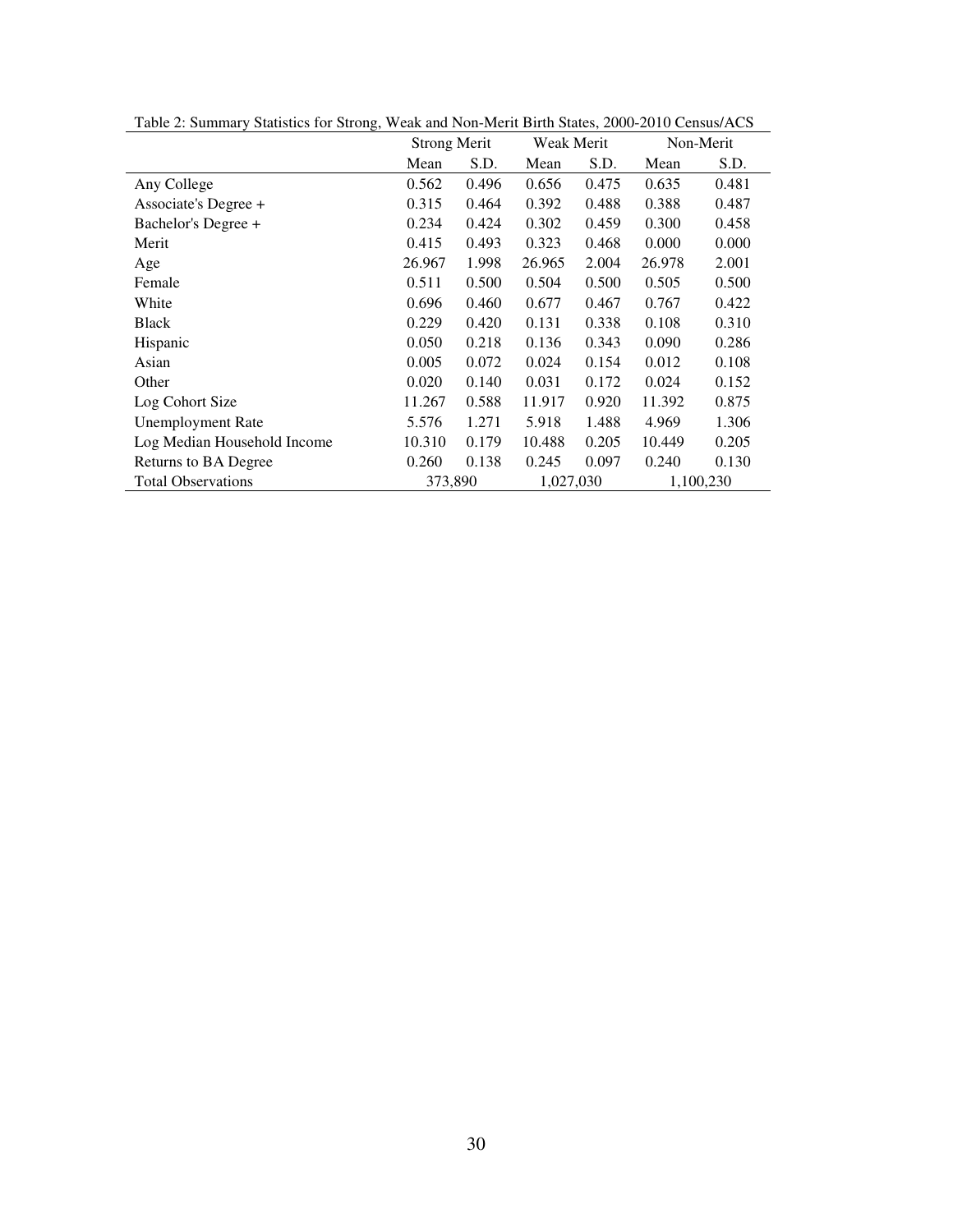| ັ                           |                     |       |            |       |           |           |
|-----------------------------|---------------------|-------|------------|-------|-----------|-----------|
|                             | <b>Strong Merit</b> |       | Weak Merit |       | Non-Merit |           |
|                             | Mean                | S.D.  | Mean       | S.D.  | Mean      | S.D.      |
| Any College                 | 0.562               | 0.496 | 0.656      | 0.475 | 0.635     | 0.481     |
| Associate's Degree +        | 0.315               | 0.464 | 0.392      | 0.488 | 0.388     | 0.487     |
| Bachelor's Degree +         | 0.234               | 0.424 | 0.302      | 0.459 | 0.300     | 0.458     |
| Merit                       | 0.415               | 0.493 | 0.323      | 0.468 | 0.000     | 0.000     |
| Age                         | 26.967              | 1.998 | 26.965     | 2.004 | 26.978    | 2.001     |
| Female                      | 0.511               | 0.500 | 0.504      | 0.500 | 0.505     | 0.500     |
| White                       | 0.696               | 0.460 | 0.677      | 0.467 | 0.767     | 0.422     |
| <b>Black</b>                | 0.229               | 0.420 | 0.131      | 0.338 | 0.108     | 0.310     |
| Hispanic                    | 0.050               | 0.218 | 0.136      | 0.343 | 0.090     | 0.286     |
| Asian                       | 0.005               | 0.072 | 0.024      | 0.154 | 0.012     | 0.108     |
| Other                       | 0.020               | 0.140 | 0.031      | 0.172 | 0.024     | 0.152     |
| Log Cohort Size             | 11.267              | 0.588 | 11.917     | 0.920 | 11.392    | 0.875     |
| <b>Unemployment Rate</b>    | 5.576               | 1.271 | 5.918      | 1.488 | 4.969     | 1.306     |
| Log Median Household Income | 10.310              | 0.179 | 10.488     | 0.205 | 10.449    | 0.205     |
| Returns to BA Degree        | 0.260               | 0.138 | 0.245      | 0.097 | 0.240     | 0.130     |
| <b>Total Observations</b>   | 373,890             |       | 1,027,030  |       |           | 1,100,230 |
|                             |                     |       |            |       |           |           |

Table 2: Summary Statistics for Strong, Weak and Non-Merit Birth States, 2000-2010 Census/ACS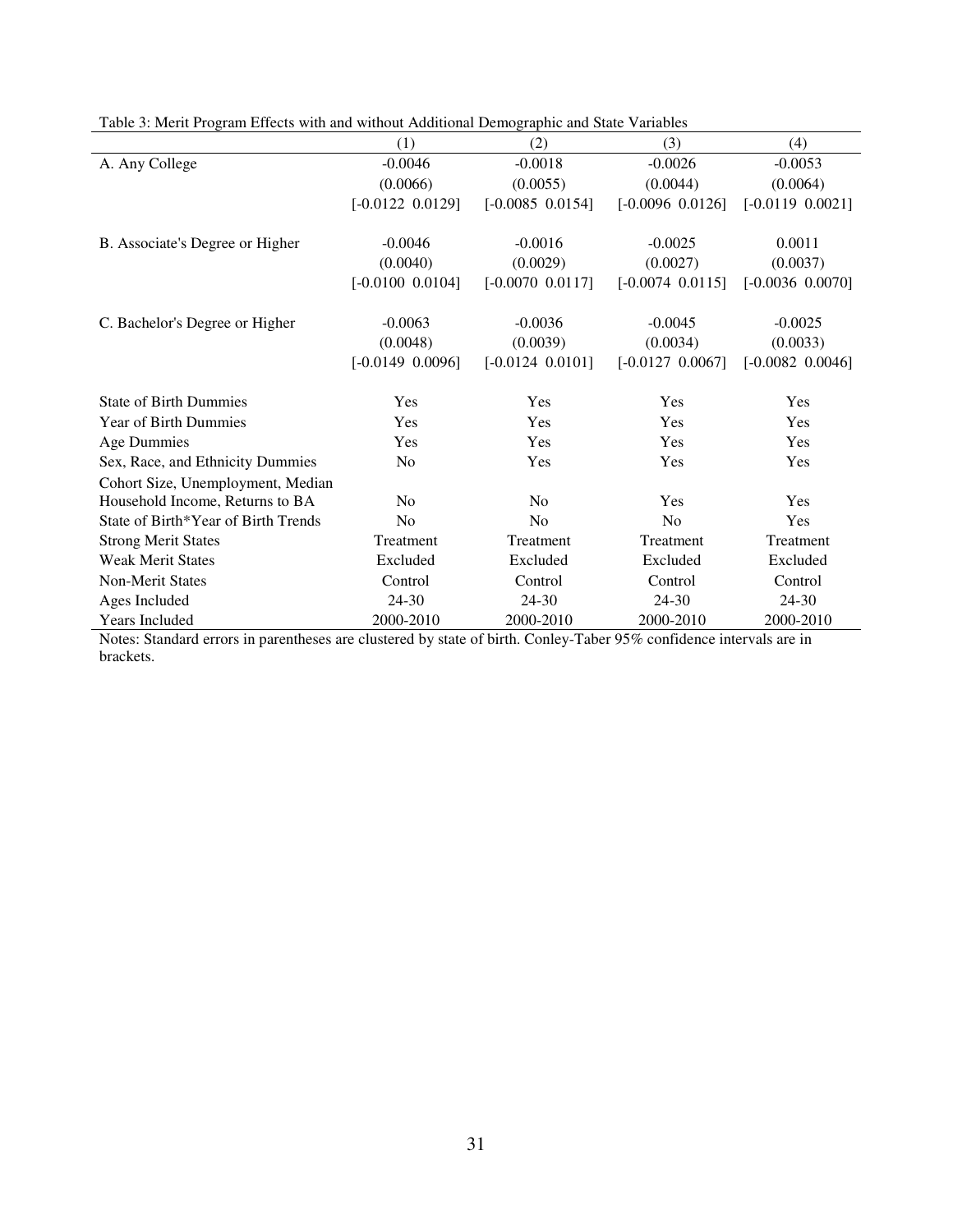| (1)                  | (2)                  | (3)                  | (4)                  |
|----------------------|----------------------|----------------------|----------------------|
| $-0.0046$            | $-0.0018$            | $-0.0026$            | $-0.0053$            |
| (0.0066)             | (0.0055)             | (0.0044)             | (0.0064)             |
| $[-0.0122 \ 0.0129]$ | $[-0.0085 \ 0.0154]$ | $[-0.0096 \ 0.0126]$ | $[-0.0119 \ 0.0021]$ |
| $-0.0046$            | $-0.0016$            | $-0.0025$            | 0.0011               |
| (0.0040)             | (0.0029)             | (0.0027)             | (0.0037)             |
| $[-0.0100 \ 0.0104]$ | $[-0.0070 \ 0.0117]$ | $[-0.0074 \ 0.0115]$ | $[-0.0036 \ 0.0070]$ |
| $-0.0063$            | $-0.0036$            | $-0.0045$            | $-0.0025$            |
| (0.0048)             | (0.0039)             | (0.0034)             | (0.0033)             |
| $[-0.0149 \ 0.0096]$ | $[-0.0124 \ 0.0101]$ | $[-0.0127 \ 0.0067]$ | $[-0.0082 \ 0.0046]$ |
| Yes                  | Yes                  | Yes                  | Yes                  |
| Yes                  | Yes                  | Yes                  | Yes                  |
| Yes                  | Yes                  | Yes                  | Yes                  |
| N <sub>0</sub>       | Yes                  | Yes                  | Yes                  |
|                      |                      |                      |                      |
| N <sub>0</sub>       | N <sub>0</sub>       | Yes                  | Yes                  |
| No                   | No                   | No                   | Yes                  |
| Treatment            | Treatment            | Treatment            | Treatment            |
| Excluded             | Excluded             | Excluded             | Excluded             |
| Control              | Control              | Control              | Control              |
| 24-30                | $24 - 30$            | 24-30                | 24-30                |
| 2000-2010            | 2000-2010            | 2000-2010            | 2000-2010            |
|                      |                      |                      |                      |

Table 3: Merit Program Effects with and without Additional Demographic and State Variables

Notes: Standard errors in parentheses are clustered by state of birth. Conley-Taber 95% confidence intervals are in brackets.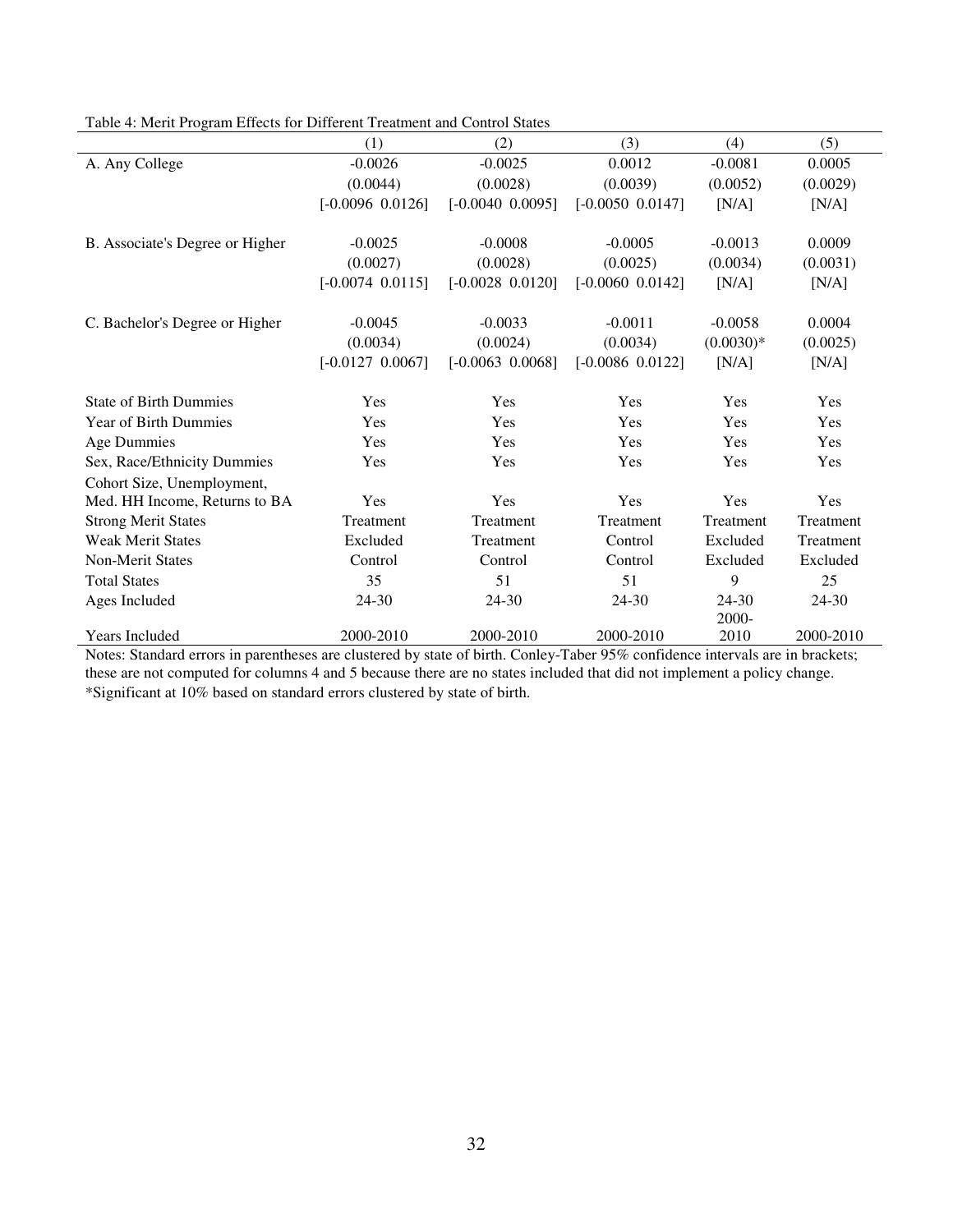|                                 | (1)                  | (2)                  | (3)                  | (4)         | (5)       |
|---------------------------------|----------------------|----------------------|----------------------|-------------|-----------|
| A. Any College                  | $-0.0026$            | $-0.0025$            | 0.0012               | $-0.0081$   | 0.0005    |
|                                 | (0.0044)             | (0.0028)             | (0.0039)             | (0.0052)    | (0.0029)  |
|                                 | $[-0.0096 \ 0.0126]$ | $[-0.0040 \ 0.0095]$ | $[-0.0050 \ 0.0147]$ | [N/A]       | [N/A]     |
| B. Associate's Degree or Higher | $-0.0025$            | $-0.0008$            | $-0.0005$            | $-0.0013$   | 0.0009    |
|                                 | (0.0027)             | (0.0028)             | (0.0025)             | (0.0034)    | (0.0031)  |
|                                 | $[-0.0074 \ 0.0115]$ | $[-0.0028 \ 0.0120]$ | $[-0.0060 \ 0.0142]$ | [N/A]       | [N/A]     |
| C. Bachelor's Degree or Higher  | $-0.0045$            | $-0.0033$            | $-0.0011$            | $-0.0058$   | 0.0004    |
|                                 | (0.0034)             | (0.0024)             | (0.0034)             | $(0.0030)*$ | (0.0025)  |
|                                 | $[-0.0127 \ 0.0067]$ | $[-0.0063 \ 0.0068]$ | $[-0.0086 \ 0.0122]$ | [N/A]       | [N/A]     |
| <b>State of Birth Dummies</b>   | Yes                  | Yes                  | Yes                  | Yes         | Yes       |
| Year of Birth Dummies           | Yes                  | Yes                  | Yes                  | Yes         | Yes       |
| <b>Age Dummies</b>              | Yes                  | Yes                  | Yes                  | Yes         | Yes       |
| Sex, Race/Ethnicity Dummies     | Yes                  | Yes                  | Yes                  | Yes         | Yes       |
| Cohort Size, Unemployment,      |                      |                      |                      |             |           |
| Med. HH Income, Returns to BA   | Yes                  | Yes                  | Yes                  | Yes         | Yes       |
| <b>Strong Merit States</b>      | Treatment            | Treatment            | Treatment            | Treatment   | Treatment |
| <b>Weak Merit States</b>        | Excluded             | Treatment            | Control              | Excluded    | Treatment |
| <b>Non-Merit States</b>         | Control              | Control              | Control              | Excluded    | Excluded  |
| <b>Total States</b>             | 35                   | 51                   | 51                   | 9           | 25        |
| Ages Included                   | 24-30                | 24-30                | 24-30                | 24-30       | 24-30     |
|                                 |                      |                      |                      | $2000 -$    |           |
| Years Included                  | 2000-2010            | 2000-2010            | 2000-2010            | 2010        | 2000-2010 |

Table 4: Merit Program Effects for Different Treatment and Control States

Notes: Standard errors in parentheses are clustered by state of birth. Conley-Taber 95% confidence intervals are in brackets; these are not computed for columns 4 and 5 because there are no states included that did not implement a policy change. \*Significant at 10% based on standard errors clustered by state of birth.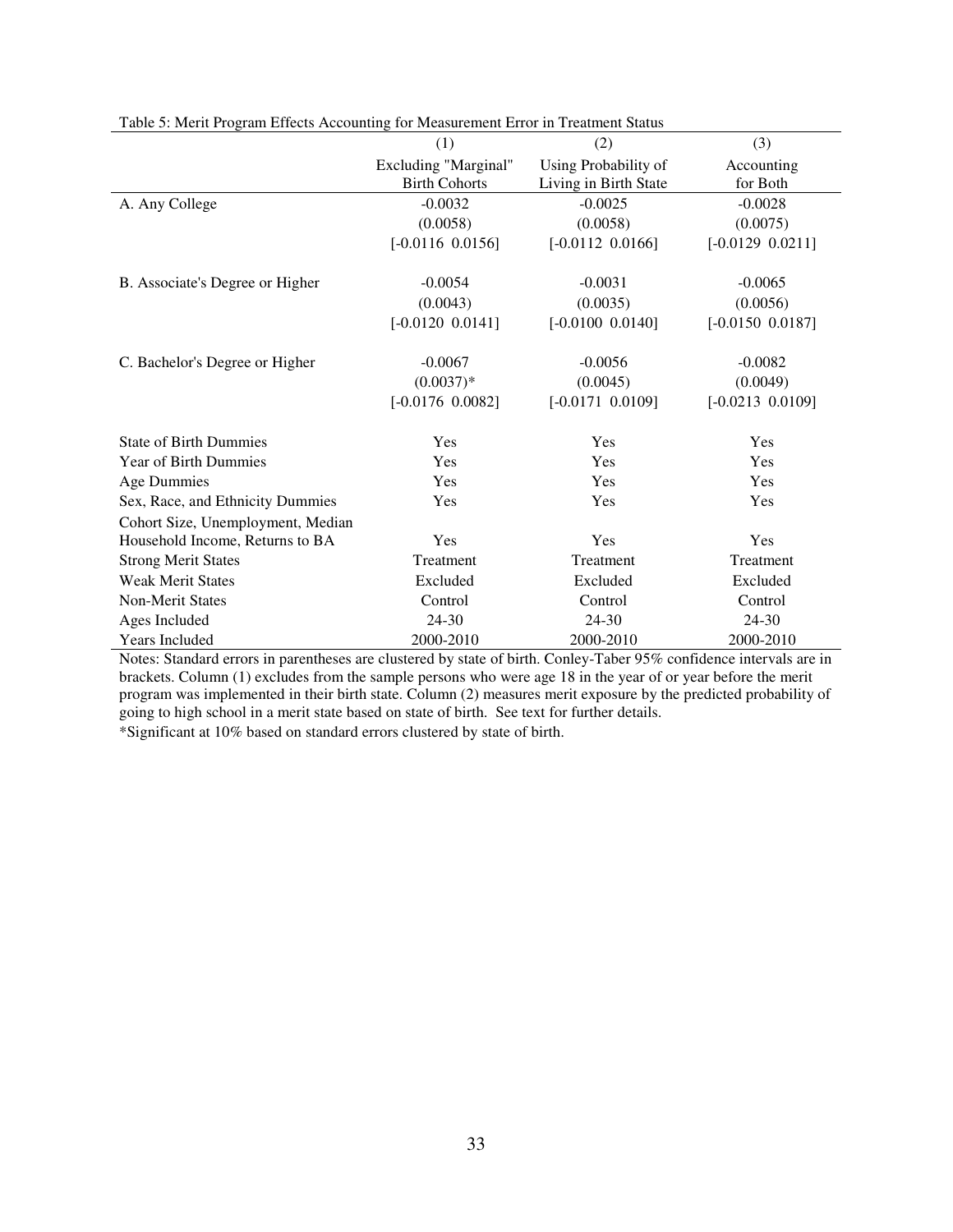|                                   | (1)                  | (2)                   | (3)                  |
|-----------------------------------|----------------------|-----------------------|----------------------|
|                                   | Excluding "Marginal" | Using Probability of  | Accounting           |
|                                   | <b>Birth Cohorts</b> | Living in Birth State | for Both             |
| A. Any College                    | $-0.0032$            | $-0.0025$             | $-0.0028$            |
|                                   | (0.0058)             | (0.0058)              | (0.0075)             |
|                                   | $[-0.0116 0.0156]$   | $[-0.0112 \ 0.0166]$  | $[-0.0129 \ 0.0211]$ |
| B. Associate's Degree or Higher   | $-0.0054$            | $-0.0031$             | $-0.0065$            |
|                                   | (0.0043)             | (0.0035)              | (0.0056)             |
|                                   | $[-0.0120 0.0141]$   | $[-0.0100 \ 0.0140]$  | $[-0.0150 \ 0.0187]$ |
| C. Bachelor's Degree or Higher    | $-0.0067$            | $-0.0056$             | $-0.0082$            |
|                                   | $(0.0037)*$          | (0.0045)              | (0.0049)             |
|                                   | $[-0.0176 \ 0.0082]$ | $[-0.0171 0.0109]$    | $[-0.0213 \ 0.0109]$ |
| <b>State of Birth Dummies</b>     | Yes                  | Yes                   | Yes                  |
| Year of Birth Dummies             | Yes                  | Yes                   | Yes                  |
| <b>Age Dummies</b>                | Yes                  | Yes                   | Yes                  |
| Sex, Race, and Ethnicity Dummies  | Yes                  | Yes                   | Yes                  |
| Cohort Size, Unemployment, Median |                      |                       |                      |
| Household Income, Returns to BA   | Yes                  | Yes                   | Yes                  |
| <b>Strong Merit States</b>        | Treatment            | Treatment             | Treatment            |
| <b>Weak Merit States</b>          | Excluded             | Excluded              | Excluded             |
| <b>Non-Merit States</b>           | Control              | Control               | Control              |
| Ages Included                     | 24-30                | 24-30                 | 24-30                |
| <b>Years Included</b>             | 2000-2010            | 2000-2010             | 2000-2010            |

Table 5: Merit Program Effects Accounting for Measurement Error in Treatment Status

Notes: Standard errors in parentheses are clustered by state of birth. Conley-Taber 95% confidence intervals are in brackets. Column (1) excludes from the sample persons who were age 18 in the year of or year before the merit program was implemented in their birth state. Column (2) measures merit exposure by the predicted probability of going to high school in a merit state based on state of birth. See text for further details.

\*Significant at 10% based on standard errors clustered by state of birth.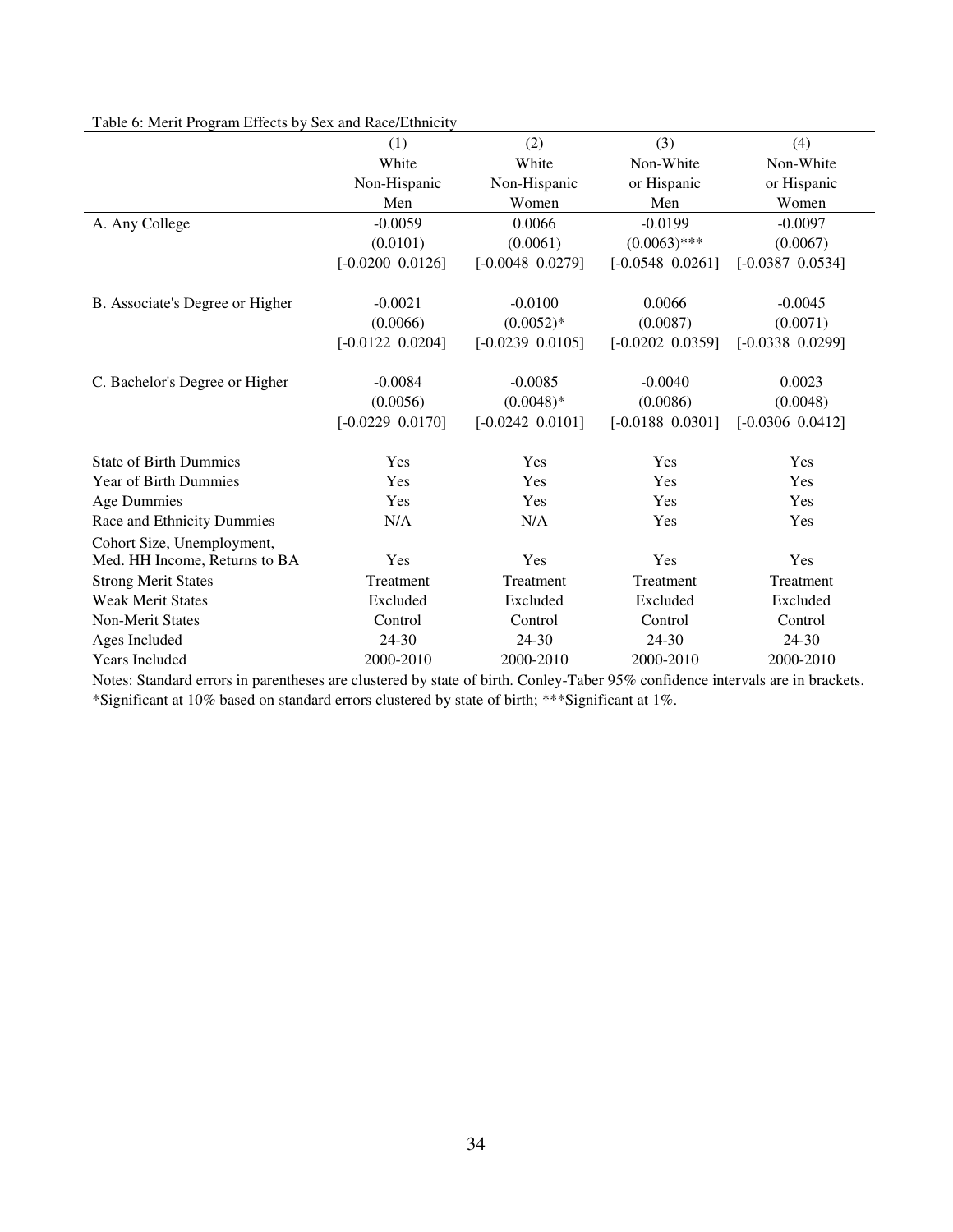|                                 | (1)                  | (2)                  | (3)                  | (4)                  |
|---------------------------------|----------------------|----------------------|----------------------|----------------------|
|                                 | White                | White                | Non-White            | Non-White            |
|                                 | Non-Hispanic         | Non-Hispanic         | or Hispanic          | or Hispanic          |
|                                 | Men                  | Women                | Men                  | Women                |
| A. Any College                  | $-0.0059$            | 0.0066               | $-0.0199$            | $-0.0097$            |
|                                 | (0.0101)             | (0.0061)             | $(0.0063)$ ***       | (0.0067)             |
|                                 | $[-0.0200 \ 0.0126]$ | $[-0.0048 \ 0.0279]$ | $[-0.0548 \ 0.0261]$ | $[-0.0387 \ 0.0534]$ |
|                                 |                      |                      |                      |                      |
| B. Associate's Degree or Higher | $-0.0021$            | $-0.0100$            | 0.0066               | $-0.0045$            |
|                                 | (0.0066)             | $(0.0052)*$          | (0.0087)             | (0.0071)             |
|                                 | $[-0.0122 \ 0.0204]$ | $[-0.0239 \ 0.0105]$ | $[-0.0202 \ 0.0359]$ | $[-0.0338 \ 0.0299]$ |
|                                 |                      |                      |                      |                      |
| C. Bachelor's Degree or Higher  | $-0.0084$            | $-0.0085$            | $-0.0040$            | 0.0023               |
|                                 | (0.0056)             | $(0.0048)*$          | (0.0086)             | (0.0048)             |
|                                 | $[-0.0229 \ 0.0170]$ | $[-0.0242 \ 0.0101]$ | $[-0.0188 \ 0.0301]$ | $[-0.0306 0.0412]$   |
| <b>State of Birth Dummies</b>   | Yes                  | Yes                  | Yes                  | Yes                  |
| Year of Birth Dummies           | Yes                  | Yes                  | Yes                  | Yes                  |
| <b>Age Dummies</b>              | Yes                  | Yes                  | Yes                  | Yes                  |
| Race and Ethnicity Dummies      | N/A                  | N/A                  | Yes                  | Yes                  |
| Cohort Size, Unemployment,      |                      |                      |                      |                      |
| Med. HH Income, Returns to BA   | Yes                  | Yes                  | Yes                  | Yes                  |
| <b>Strong Merit States</b>      | Treatment            | Treatment            | Treatment            | Treatment            |
| <b>Weak Merit States</b>        | Excluded             | Excluded             | Excluded             | Excluded             |
| <b>Non-Merit States</b>         | Control              | Control              | Control              | Control              |
| Ages Included                   | $24 - 30$            | 24-30                | 24-30                | 24-30                |
| <b>Years Included</b>           | 2000-2010            | 2000-2010            | 2000-2010            | 2000-2010            |

# Table 6: Merit Program Effects by Sex and Race/Ethnicity

Notes: Standard errors in parentheses are clustered by state of birth. Conley-Taber 95% confidence intervals are in brackets. \*Significant at 10% based on standard errors clustered by state of birth; \*\*\*Significant at 1%.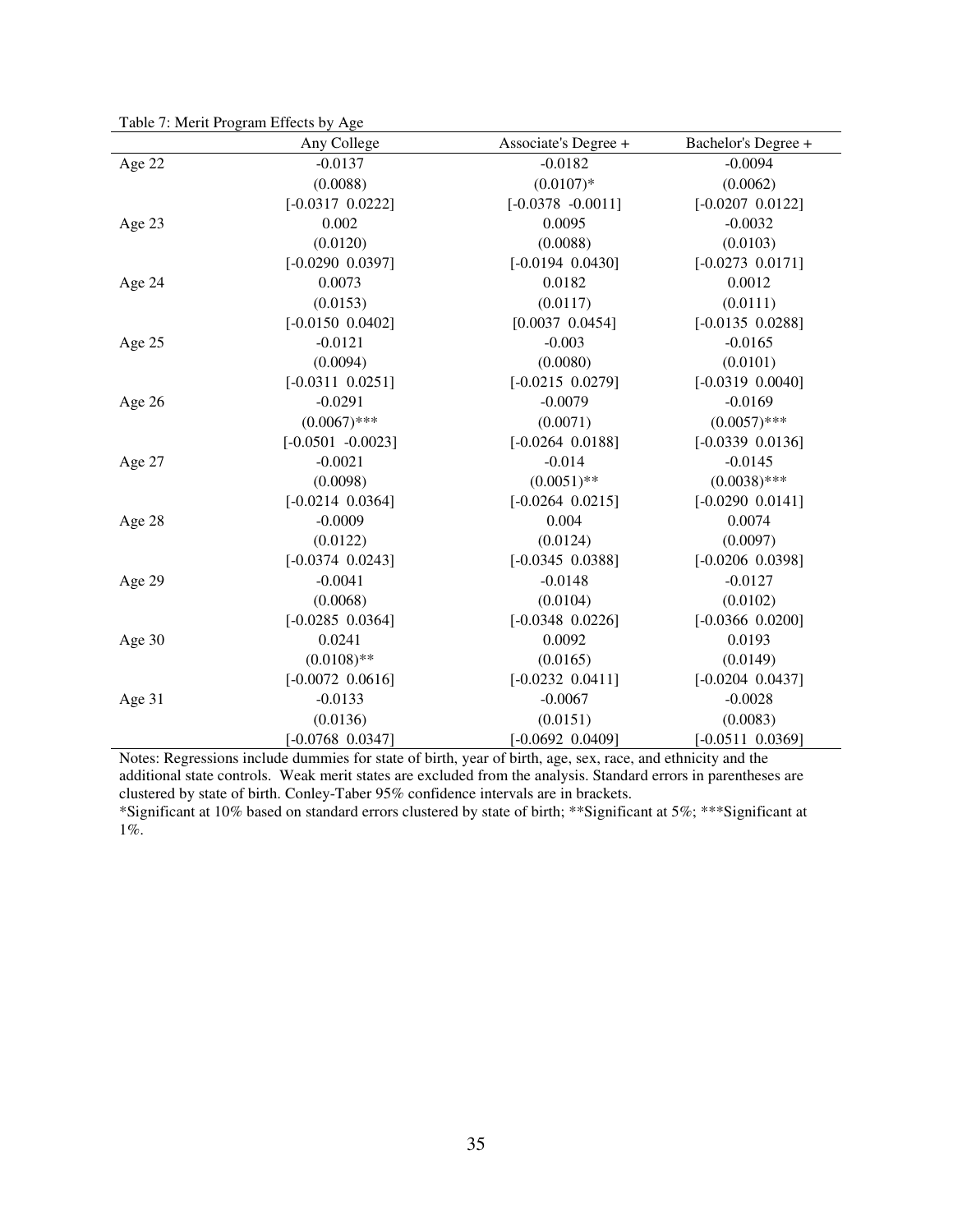| Table 7: Merit Program Effects by Age |                      |                      |                      |
|---------------------------------------|----------------------|----------------------|----------------------|
|                                       | Any College          | Associate's Degree + | Bachelor's Degree +  |
| Age 22                                | $-0.0137$            | $-0.0182$            | $-0.0094$            |
|                                       | (0.0088)             | $(0.0107)*$          | (0.0062)             |
|                                       | $[-0.0317 \ 0.0222]$ | $[-0.0378 - 0.0011]$ | $[-0.0207 \ 0.0122]$ |
| Age 23                                | 0.002                | 0.0095               | $-0.0032$            |
|                                       | (0.0120)             | (0.0088)             | (0.0103)             |
|                                       | $[-0.0290 0.0397]$   | $[-0.0194 \ 0.0430]$ | $[-0.0273 \ 0.0171]$ |
| Age 24                                | 0.0073               | 0.0182               | 0.0012               |
|                                       | (0.0153)             | (0.0117)             | (0.0111)             |
|                                       | $[-0.0150 \ 0.0402]$ | $[0.0037 \ 0.0454]$  | $[-0.0135 \ 0.0288]$ |
| Age 25                                | $-0.0121$            | $-0.003$             | $-0.0165$            |
|                                       | (0.0094)             | (0.0080)             | (0.0101)             |
|                                       | $[-0.0311 \ 0.0251]$ | $[-0.0215 \ 0.0279]$ | $[-0.0319 \ 0.0040]$ |
| Age 26                                | $-0.0291$            | $-0.0079$            | $-0.0169$            |
|                                       | $(0.0067)$ ***       | (0.0071)             | $(0.0057)$ ***       |
|                                       | $[-0.0501 - 0.0023]$ | $[-0.0264 \ 0.0188]$ | $[-0.0339 0.0136]$   |
| Age 27                                | $-0.0021$            | $-0.014$             | $-0.0145$            |
|                                       | (0.0098)             | $(0.0051)$ **        | $(0.0038)$ ***       |
|                                       | $[-0.0214 \ 0.0364]$ | $[-0.0264 \ 0.0215]$ | $[-0.0290 0.0141]$   |
| Age 28                                | $-0.0009$            | 0.004                | 0.0074               |
|                                       | (0.0122)             | (0.0124)             | (0.0097)             |
|                                       | $[-0.0374 \ 0.0243]$ | $[-0.0345 \ 0.0388]$ | $[-0.0206 0.0398]$   |
| Age 29                                | $-0.0041$            | $-0.0148$            | $-0.0127$            |
|                                       | (0.0068)             | (0.0104)             | (0.0102)             |
|                                       | $[-0.0285 \ 0.0364]$ | $[-0.0348 \ 0.0226]$ | $[-0.0366 \ 0.0200]$ |
| Age 30                                | 0.0241               | 0.0092               | 0.0193               |
|                                       | $(0.0108)$ **        | (0.0165)             | (0.0149)             |
|                                       | $[-0.0072 \ 0.0616]$ | $[-0.0232 \ 0.0411]$ | $[-0.0204 \ 0.0437]$ |
| Age 31                                | $-0.0133$            | $-0.0067$            | $-0.0028$            |
|                                       | (0.0136)             | (0.0151)             | (0.0083)             |
|                                       | $[-0.0768 \ 0.0347]$ | $[-0.0692 \ 0.0409]$ | $[-0.0511 \ 0.0369]$ |

Notes: Regressions include dummies for state of birth, year of birth, age, sex, race, and ethnicity and the additional state controls. Weak merit states are excluded from the analysis. Standard errors in parentheses are clustered by state of birth. Conley-Taber 95% confidence intervals are in brackets.

\*Significant at 10% based on standard errors clustered by state of birth; \*\*Significant at 5%; \*\*\*Significant at 1%.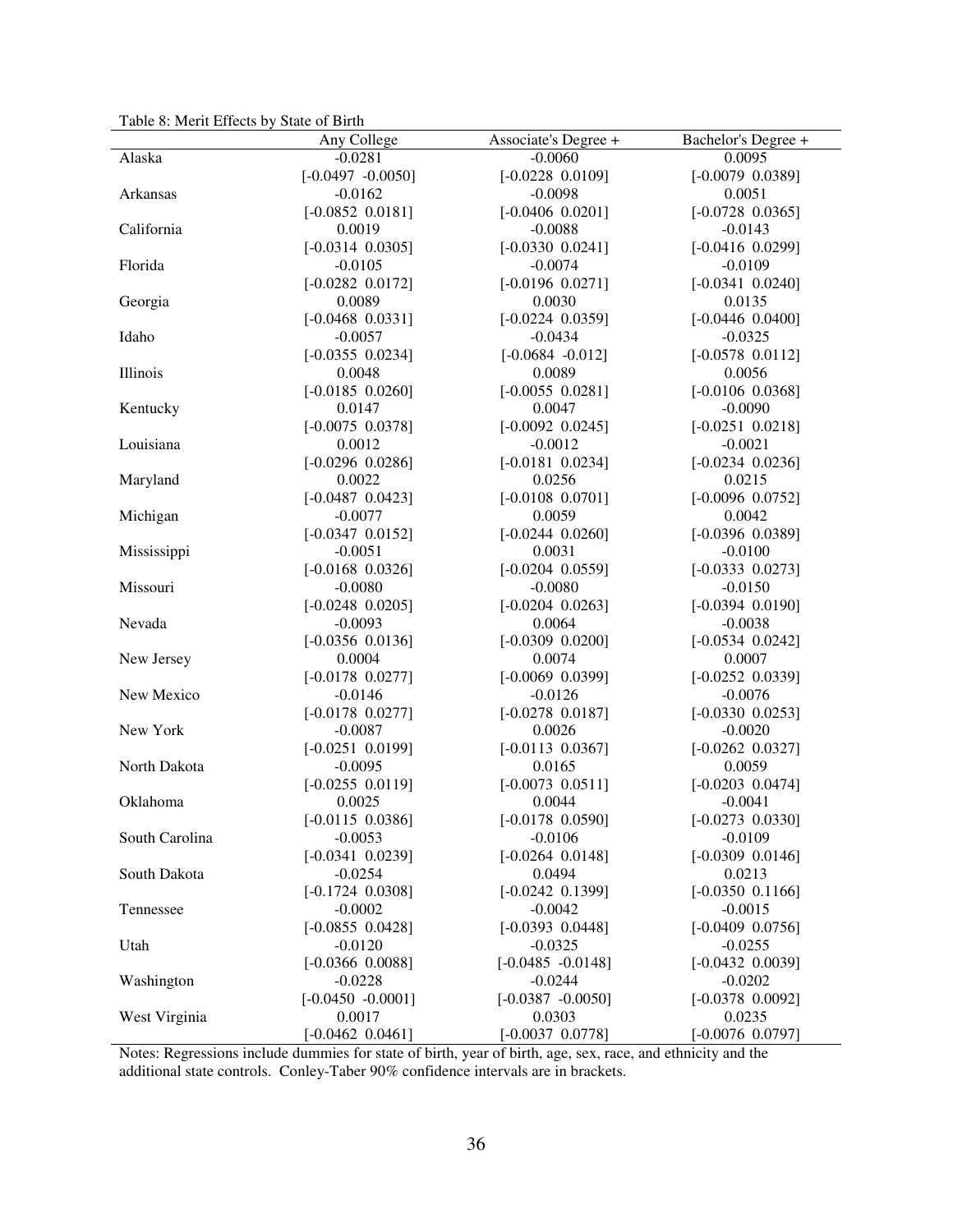Table 8: Merit Effects by State of Birth

|                | Any College                       | Associate's Degree +            | Bachelor's Degree +   |
|----------------|-----------------------------------|---------------------------------|-----------------------|
| Alaska         | $-0.0281$                         | $-0.0060$                       | 0.0095                |
|                | $[-0.0497 -0.0050]$               | $[-0.0228 0.0109]$              | $[-0.0079 0.0389]$    |
| Arkansas       | $-0.0162$                         | $-0.0098$                       | 0.0051                |
|                | $[-0.0852 0.0181]$                | $[-0.0406 \ 0.0201]$            | $[-0.0728 \ 0.0365]$  |
| California     | 0.0019                            | $-0.0088$                       | $-0.0143$             |
|                | $[-0.0314 \ 0.0305]$              | $[-0.0330 \ 0.0241]$            | $[-0.0416 0.0299]$    |
| Florida        | $-0.0105$                         | $-0.0074$                       | $-0.0109$             |
|                | $[-0.0282 0.0172]$                | $[-0.0196 0.0271]$              | $[-0.0341 0.0240]$    |
|                | 0.0089                            | 0.0030                          | 0.0135                |
| Georgia        |                                   |                                 | $[-0.0446\ 0.0400]$   |
|                | $[-0.0468 \ 0.0331]$<br>$-0.0057$ | $[-0.0224 0.0359]$<br>$-0.0434$ |                       |
| Idaho          |                                   |                                 | $-0.0325$             |
|                | $[-0.0355 \ 0.0234]$              | $[-0.0684 - 0.012]$             | $[-0.0578 \ 0.0112]$  |
| Illinois       | 0.0048                            | 0.0089                          | 0.0056                |
|                | $[-0.0185 0.0260]$                | $[-0.0055 \ 0.0281]$            | $[-0.0106 0.0368]$    |
| Kentucky       | 0.0147                            | 0.0047                          | $-0.0090$             |
|                | $[-0.0075 \ 0.0378]$              | $[-0.0092 \ 0.0245]$            | $[-0.0251 \ 0.0218]$  |
| Louisiana      | 0.0012                            | $-0.0012$                       | $-0.0021$             |
|                | $[-0.0296 0.0286]$                | $[-0.0181 \ 0.0234]$            | $[-0.0234 \ 0.0236]$  |
| Maryland       | 0.0022                            | 0.0256                          | 0.0215                |
|                | $[-0.0487 0.0423]$                | $[-0.0108 \ 0.0701]$            | $[-0.0096 0.0752]$    |
| Michigan       | $-0.0077$                         | 0.0059                          | 0.0042                |
|                | $[-0.0347 \ 0.0152]$              | $[-0.0244 \ 0.0260]$            | $[-0.0396 0.0389]$    |
| Mississippi    | $-0.0051$                         | 0.0031                          | $-0.0100$             |
|                | $[-0.0168 \ 0.0326]$              | $[-0.0204 \ 0.0559]$            | $[-0.0333 \ 0.0273]$  |
| Missouri       | $-0.0080$                         | $-0.0080$                       | $-0.0150$             |
|                | $[-0.0248 \ 0.0205]$              | $[-0.0204 \ 0.0263]$            | $[-0.0394 \ 0.0190]$  |
| Nevada         | $-0.0093$                         | 0.0064                          | $-0.0038$             |
|                | $[-0.0356 0.0136]$                | $[-0.0309 \ 0.0200]$            | $[-0.0534 \ 0.0242]$  |
| New Jersey     | 0.0004                            | 0.0074                          | 0.0007                |
|                | $[-0.0178 \ 0.0277]$              | $[-0.0069 \ 0.0399]$            | $[-0.0252 \ 0.0339]$  |
| New Mexico     | $-0.0146$                         | $-0.0126$                       | $-0.0076$             |
|                | $[-0.0178 \ 0.0277]$              | $[-0.0278 0.0187]$              | $[-0.0330 0.0253]$    |
| New York       | $-0.0087$                         | 0.0026                          | $-0.0020$             |
|                | $[-0.0251 0.0199]$                | $[-0.0113 \ 0.0367]$            | $[-0.0262 \ 0.0327]$  |
| North Dakota   | $-0.0095$                         | 0.0165                          | 0.0059                |
|                | $[-0.0255 \ 0.0119]$              | $[-0.0073 \ 0.0511]$            | $[-0.0203 \ 0.0474]$  |
| Oklahoma       | 0.0025                            | 0.0044                          | $-0.0041$             |
|                | $[-0.0115 \ 0.0386]$              | $[-0.0178 \ 0.0590]$            | $[-0.0273 \ 0.0330]$  |
| South Carolina | $-0.0053$                         | $-0.0106$                       | $-0.0109$             |
|                | $[-0.0341 \ 0.0239]$              | $[-0.0264 \ 0.0148]$            | $[-0.0309 \ 0.0146]$  |
| South Dakota   | $-0.0254$                         | 0.0494                          | 0.0213                |
|                | $[-0.1724 \ 0.0308]$              | $[-0.0242 \ 0.1399]$            | $[-0.0350 \ 0.1166]$  |
| Tennessee      | $-0.0002$                         | $-0.0042$                       | $-0.0015$             |
|                | $[-0.0855 \ 0.0428]$              | $[-0.0393 \ 0.0448]$            | $[-0.0409 \; 0.0756]$ |
| Utah           | $-0.0120$                         | $-0.0325$                       | $-0.0255$             |
|                | $[-0.0366 \ 0.0088]$              | $[-0.0485 -0.0148]$             | $[-0.0432 \ 0.0039]$  |
| Washington     | $-0.0228$                         | $-0.0244$                       | $-0.0202$             |
|                | $[-0.0450 - 0.0001]$              | $[-0.0387 -0.0050]$             | $[-0.0378 \ 0.0092]$  |
| West Virginia  | 0.0017                            | 0.0303                          | 0.0235                |
|                | $[-0.0462 \ 0.0461]$              | $[-0.0037 \ 0.0778]$            | $[-0.0076 0.0797]$    |

Notes: Regressions include dummies for state of birth, year of birth, age, sex, race, and ethnicity and the additional state controls. Conley-Taber 90% confidence intervals are in brackets.